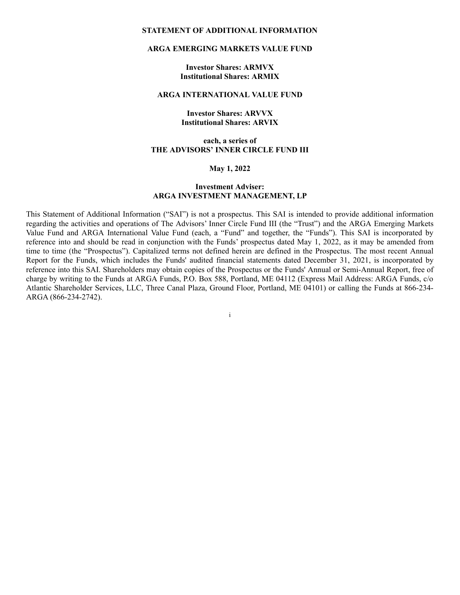#### **STATEMENT OF ADDITIONAL INFORMATION**

#### **ARGA EMERGING MARKETS VALUE FUND**

**Investor Shares: ARMVX Institutional Shares: ARMIX**

#### **ARGA INTERNATIONAL VALUE FUND**

#### **Investor Shares: ARVVX Institutional Shares: ARVIX**

#### **each, a series of THE ADVISORS' INNER CIRCLE FUND III**

#### **May 1, 2022**

#### **Investment Adviser: ARGA INVESTMENT MANAGEMENT, LP**

This Statement of Additional Information ("SAI") is not a prospectus. This SAI is intended to provide additional information regarding the activities and operations of The Advisors' Inner Circle Fund III (the "Trust") and the ARGA Emerging Markets Value Fund and ARGA International Value Fund (each, a "Fund" and together, the "Funds"). This SAI is incorporated by reference into and should be read in conjunction with the Funds' prospectus dated May 1, 2022, as it may be amended from time to time (the "Prospectus"). Capitalized terms not defined herein are defined in the Prospectus. The most recent Annual Report for the Funds, which includes the Funds' audited financial statements dated December 31, 2021, is incorporated by reference into this SAI. Shareholders may obtain copies of the Prospectus or the Funds' Annual or Semi-Annual Report, free of charge by writing to the Funds at ARGA Funds, P.O. Box 588, Portland, ME 04112 (Express Mail Address: ARGA Funds, c/o Atlantic Shareholder Services, LLC, Three Canal Plaza, Ground Floor, Portland, ME 04101) or calling the Funds at 866-234- ARGA (866-234-2742).

i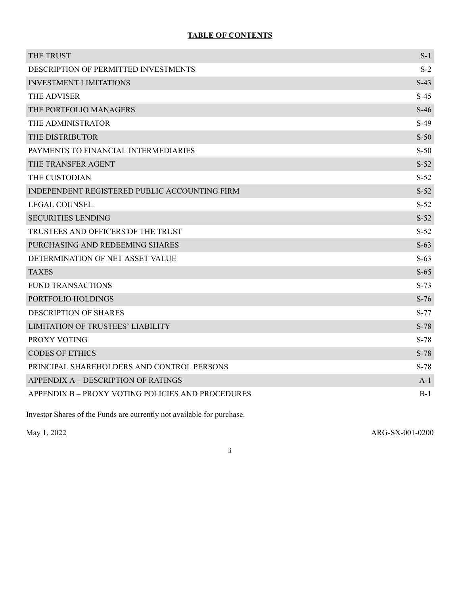# **TABLE OF CONTENTS**

| THE TRUST                                         | $S-1$  |
|---------------------------------------------------|--------|
| DESCRIPTION OF PERMITTED INVESTMENTS              | $S-2$  |
| <b>INVESTMENT LIMITATIONS</b>                     | $S-43$ |
| THE ADVISER                                       | S-45   |
| THE PORTFOLIO MANAGERS                            | $S-46$ |
| THE ADMINISTRATOR                                 | $S-49$ |
| THE DISTRIBUTOR                                   | $S-50$ |
| PAYMENTS TO FINANCIAL INTERMEDIARIES              | $S-50$ |
| THE TRANSFER AGENT                                | $S-52$ |
| THE CUSTODIAN                                     | $S-52$ |
| INDEPENDENT REGISTERED PUBLIC ACCOUNTING FIRM     | $S-52$ |
| <b>LEGAL COUNSEL</b>                              | $S-52$ |
| <b>SECURITIES LENDING</b>                         | $S-52$ |
| TRUSTEES AND OFFICERS OF THE TRUST                | $S-52$ |
| PURCHASING AND REDEEMING SHARES                   | $S-63$ |
| DETERMINATION OF NET ASSET VALUE                  | $S-63$ |
| <b>TAXES</b>                                      | $S-65$ |
| <b>FUND TRANSACTIONS</b>                          | $S-73$ |
| PORTFOLIO HOLDINGS                                | $S-76$ |
| <b>DESCRIPTION OF SHARES</b>                      | $S-77$ |
| <b>LIMITATION OF TRUSTEES' LIABILITY</b>          | $S-78$ |
| PROXY VOTING                                      | $S-78$ |
| <b>CODES OF ETHICS</b>                            | $S-78$ |
| PRINCIPAL SHAREHOLDERS AND CONTROL PERSONS        | $S-78$ |
| APPENDIX A - DESCRIPTION OF RATINGS               | $A-1$  |
| APPENDIX B - PROXY VOTING POLICIES AND PROCEDURES | $B-1$  |

Investor Shares of the Funds are currently not available for purchase.

May 1, 2022 ARG-SX-001-0200

ii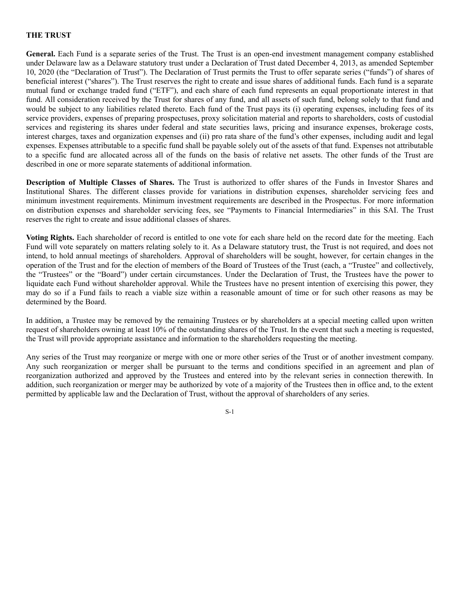## **THE TRUST**

**General.** Each Fund is a separate series of the Trust. The Trust is an open-end investment management company established under Delaware law as a Delaware statutory trust under a Declaration of Trust dated December 4, 2013, as amended September 10, 2020 (the "Declaration of Trust"). The Declaration of Trust permits the Trust to offer separate series ("funds") of shares of beneficial interest ("shares"). The Trust reserves the right to create and issue shares of additional funds. Each fund is a separate mutual fund or exchange traded fund ("ETF"), and each share of each fund represents an equal proportionate interest in that fund. All consideration received by the Trust for shares of any fund, and all assets of such fund, belong solely to that fund and would be subject to any liabilities related thereto. Each fund of the Trust pays its (i) operating expenses, including fees of its service providers, expenses of preparing prospectuses, proxy solicitation material and reports to shareholders, costs of custodial services and registering its shares under federal and state securities laws, pricing and insurance expenses, brokerage costs, interest charges, taxes and organization expenses and (ii) pro rata share of the fund's other expenses, including audit and legal expenses. Expenses attributable to a specific fund shall be payable solely out of the assets of that fund. Expenses not attributable to a specific fund are allocated across all of the funds on the basis of relative net assets. The other funds of the Trust are described in one or more separate statements of additional information.

**Description of Multiple Classes of Shares.** The Trust is authorized to offer shares of the Funds in Investor Shares and Institutional Shares. The different classes provide for variations in distribution expenses, shareholder servicing fees and minimum investment requirements. Minimum investment requirements are described in the Prospectus. For more information on distribution expenses and shareholder servicing fees, see "Payments to Financial Intermediaries" in this SAI. The Trust reserves the right to create and issue additional classes of shares.

**Voting Rights.** Each shareholder of record is entitled to one vote for each share held on the record date for the meeting. Each Fund will vote separately on matters relating solely to it. As a Delaware statutory trust, the Trust is not required, and does not intend, to hold annual meetings of shareholders. Approval of shareholders will be sought, however, for certain changes in the operation of the Trust and for the election of members of the Board of Trustees of the Trust (each, a "Trustee" and collectively, the "Trustees" or the "Board") under certain circumstances. Under the Declaration of Trust, the Trustees have the power to liquidate each Fund without shareholder approval. While the Trustees have no present intention of exercising this power, they may do so if a Fund fails to reach a viable size within a reasonable amount of time or for such other reasons as may be determined by the Board.

In addition, a Trustee may be removed by the remaining Trustees or by shareholders at a special meeting called upon written request of shareholders owning at least 10% of the outstanding shares of the Trust. In the event that such a meeting is requested, the Trust will provide appropriate assistance and information to the shareholders requesting the meeting.

Any series of the Trust may reorganize or merge with one or more other series of the Trust or of another investment company. Any such reorganization or merger shall be pursuant to the terms and conditions specified in an agreement and plan of reorganization authorized and approved by the Trustees and entered into by the relevant series in connection therewith. In addition, such reorganization or merger may be authorized by vote of a majority of the Trustees then in office and, to the extent permitted by applicable law and the Declaration of Trust, without the approval of shareholders of any series.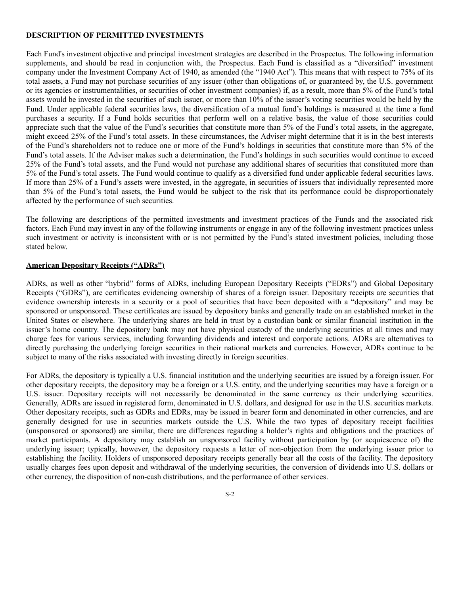### **DESCRIPTION OF PERMITTED INVESTMENTS**

Each Fund's investment objective and principal investment strategies are described in the Prospectus. The following information supplements, and should be read in conjunction with, the Prospectus. Each Fund is classified as a "diversified" investment company under the Investment Company Act of 1940, as amended (the "1940 Act"). This means that with respect to 75% of its total assets, a Fund may not purchase securities of any issuer (other than obligations of, or guaranteed by, the U.S. government or its agencies or instrumentalities, or securities of other investment companies) if, as a result, more than 5% of the Fund's total assets would be invested in the securities of such issuer, or more than 10% of the issuer's voting securities would be held by the Fund. Under applicable federal securities laws, the diversification of a mutual fund's holdings is measured at the time a fund purchases a security. If a Fund holds securities that perform well on a relative basis, the value of those securities could appreciate such that the value of the Fund's securities that constitute more than 5% of the Fund's total assets, in the aggregate, might exceed 25% of the Fund's total assets. In these circumstances, the Adviser might determine that it is in the best interests of the Fund's shareholders not to reduce one or more of the Fund's holdings in securities that constitute more than 5% of the Fund's total assets. If the Adviser makes such a determination, the Fund's holdings in such securities would continue to exceed 25% of the Fund's total assets, and the Fund would not purchase any additional shares of securities that constituted more than 5% of the Fund's total assets. The Fund would continue to qualify as a diversified fund under applicable federal securities laws. If more than 25% of a Fund's assets were invested, in the aggregate, in securities of issuers that individually represented more than 5% of the Fund's total assets, the Fund would be subject to the risk that its performance could be disproportionately affected by the performance of such securities.

The following are descriptions of the permitted investments and investment practices of the Funds and the associated risk factors. Each Fund may invest in any of the following instruments or engage in any of the following investment practices unless such investment or activity is inconsistent with or is not permitted by the Fund's stated investment policies, including those stated below.

# **American Depositary Receipts ("ADRs")**

ADRs, as well as other "hybrid" forms of ADRs, including European Depositary Receipts ("EDRs") and Global Depositary Receipts ("GDRs"), are certificates evidencing ownership of shares of a foreign issuer. Depositary receipts are securities that evidence ownership interests in a security or a pool of securities that have been deposited with a "depository" and may be sponsored or unsponsored. These certificates are issued by depository banks and generally trade on an established market in the United States or elsewhere. The underlying shares are held in trust by a custodian bank or similar financial institution in the issuer's home country. The depository bank may not have physical custody of the underlying securities at all times and may charge fees for various services, including forwarding dividends and interest and corporate actions. ADRs are alternatives to directly purchasing the underlying foreign securities in their national markets and currencies. However, ADRs continue to be subject to many of the risks associated with investing directly in foreign securities.

For ADRs, the depository is typically a U.S. financial institution and the underlying securities are issued by a foreign issuer. For other depositary receipts, the depository may be a foreign or a U.S. entity, and the underlying securities may have a foreign or a U.S. issuer. Depositary receipts will not necessarily be denominated in the same currency as their underlying securities. Generally, ADRs are issued in registered form, denominated in U.S. dollars, and designed for use in the U.S. securities markets. Other depositary receipts, such as GDRs and EDRs, may be issued in bearer form and denominated in other currencies, and are generally designed for use in securities markets outside the U.S. While the two types of depositary receipt facilities (unsponsored or sponsored) are similar, there are differences regarding a holder's rights and obligations and the practices of market participants. A depository may establish an unsponsored facility without participation by (or acquiescence of) the underlying issuer; typically, however, the depository requests a letter of non-objection from the underlying issuer prior to establishing the facility. Holders of unsponsored depositary receipts generally bear all the costs of the facility. The depository usually charges fees upon deposit and withdrawal of the underlying securities, the conversion of dividends into U.S. dollars or other currency, the disposition of non-cash distributions, and the performance of other services.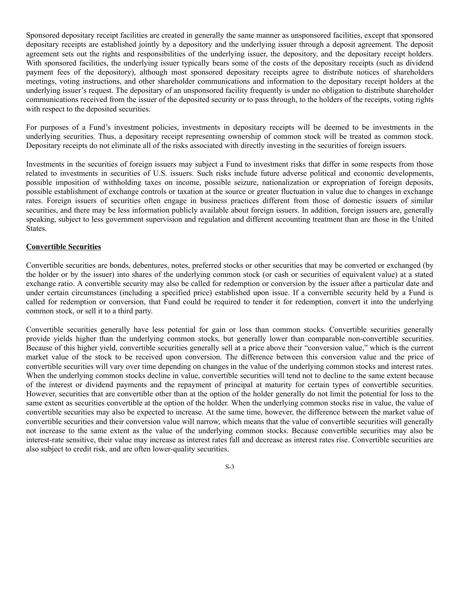Sponsored depositary receipt facilities are created in generally the same manner as unsponsored facilities, except that sponsored depositary receipts are established jointly by a depository and the underlying issuer through a deposit agreement. The deposit agreement sets out the rights and responsibilities of the underlying issuer, the depository, and the depositary receipt holders. With sponsored facilities, the underlying issuer typically bears some of the costs of the depositary receipts (such as dividend payment fees of the depository), although most sponsored depositary receipts agree to distribute notices of shareholders meetings, voting instructions, and other shareholder communications and information to the depositary receipt holders at the underlying issuer's request. The depositary of an unsponsored facility frequently is under no obligation to distribute shareholder communications received from the issuer of the deposited security or to pass through, to the holders of the receipts, voting rights with respect to the deposited securities.

For purposes of a Fund's investment policies, investments in depositary receipts will be deemed to be investments in the underlying securities. Thus, a depositary receipt representing ownership of common stock will be treated as common stock. Depositary receipts do not eliminate all of the risks associated with directly investing in the securities of foreign issuers.

Investments in the securities of foreign issuers may subject a Fund to investment risks that differ in some respects from those related to investments in securities of U.S. issuers. Such risks include future adverse political and economic developments, possible imposition of withholding taxes on income, possible seizure, nationalization or expropriation of foreign deposits, possible establishment of exchange controls or taxation at the source or greater fluctuation in value due to changes in exchange rates. Foreign issuers of securities often engage in business practices different from those of domestic issuers of similar securities, and there may be less information publicly available about foreign issuers. In addition, foreign issuers are, generally speaking, subject to less government supervision and regulation and different accounting treatment than are those in the United States.

# **Convertible Securities**

Convertible securities are bonds, debentures, notes, preferred stocks or other securities that may be converted or exchanged (by the holder or by the issuer) into shares of the underlying common stock (or cash or securities of equivalent value) at a stated exchange ratio. A convertible security may also be called for redemption or conversion by the issuer after a particular date and under certain circumstances (including a specified price) established upon issue. If a convertible security held by a Fund is called for redemption or conversion, that Fund could be required to tender it for redemption, convert it into the underlying common stock, or sell it to a third party.

Convertible securities generally have less potential for gain or loss than common stocks. Convertible securities generally provide yields higher than the underlying common stocks, but generally lower than comparable non-convertible securities. Because of this higher yield, convertible securities generally sell at a price above their "conversion value," which is the current market value of the stock to be received upon conversion. The difference between this conversion value and the price of convertible securities will vary over time depending on changes in the value of the underlying common stocks and interest rates. When the underlying common stocks decline in value, convertible securities will tend not to decline to the same extent because of the interest or dividend payments and the repayment of principal at maturity for certain types of convertible securities. However, securities that are convertible other than at the option of the holder generally do not limit the potential for loss to the same extent as securities convertible at the option of the holder. When the underlying common stocks rise in value, the value of convertible securities may also be expected to increase. At the same time, however, the difference between the market value of convertible securities and their conversion value will narrow, which means that the value of convertible securities will generally not increase to the same extent as the value of the underlying common stocks. Because convertible securities may also be interest-rate sensitive, their value may increase as interest rates fall and decrease as interest rates rise. Convertible securities are also subject to credit risk, and are often lower-quality securities.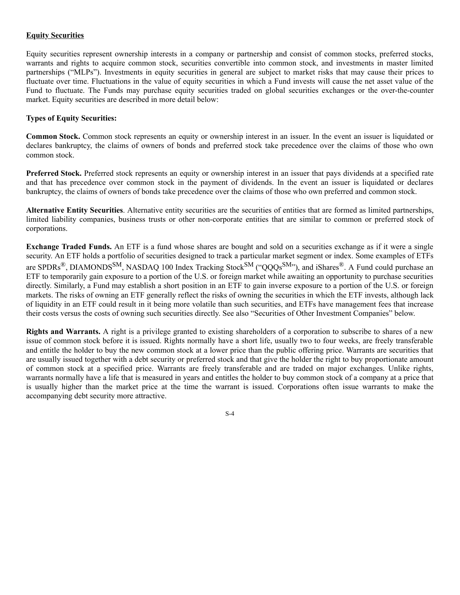# **Equity Securities**

Equity securities represent ownership interests in a company or partnership and consist of common stocks, preferred stocks, warrants and rights to acquire common stock, securities convertible into common stock, and investments in master limited partnerships ("MLPs"). Investments in equity securities in general are subject to market risks that may cause their prices to fluctuate over time. Fluctuations in the value of equity securities in which a Fund invests will cause the net asset value of the Fund to fluctuate. The Funds may purchase equity securities traded on global securities exchanges or the over-the-counter market. Equity securities are described in more detail below:

# **Types of Equity Securities:**

**Common Stock.** Common stock represents an equity or ownership interest in an issuer. In the event an issuer is liquidated or declares bankruptcy, the claims of owners of bonds and preferred stock take precedence over the claims of those who own common stock.

**Preferred Stock.** Preferred stock represents an equity or ownership interest in an issuer that pays dividends at a specified rate and that has precedence over common stock in the payment of dividends. In the event an issuer is liquidated or declares bankruptcy, the claims of owners of bonds take precedence over the claims of those who own preferred and common stock.

**Alternative Entity Securities**. Alternative entity securities are the securities of entities that are formed as limited partnerships, limited liability companies, business trusts or other non-corporate entities that are similar to common or preferred stock of corporations.

**Exchange Traded Funds.** An ETF is a fund whose shares are bought and sold on a securities exchange as if it were a single security. An ETF holds a portfolio of securities designed to track a particular market segment or index. Some examples of ETFs are SPDRs<sup>®</sup>, DIAMONDS<sup>SM</sup>, NASDAQ 100 Index Tracking Stock<sup>SM</sup> ("QQQs<sup>SM,</sup>"), and iShares<sup>®</sup>. A Fund could purchase an ETF to temporarily gain exposure to a portion of the U.S. or foreign market while awaiting an opportunity to purchase securities directly. Similarly, a Fund may establish a short position in an ETF to gain inverse exposure to a portion of the U.S. or foreign markets. The risks of owning an ETF generally reflect the risks of owning the securities in which the ETF invests, although lack of liquidity in an ETF could result in it being more volatile than such securities, and ETFs have management fees that increase their costs versus the costs of owning such securities directly. See also "Securities of Other Investment Companies" below.

**Rights and Warrants.** A right is a privilege granted to existing shareholders of a corporation to subscribe to shares of a new issue of common stock before it is issued. Rights normally have a short life, usually two to four weeks, are freely transferable and entitle the holder to buy the new common stock at a lower price than the public offering price. Warrants are securities that are usually issued together with a debt security or preferred stock and that give the holder the right to buy proportionate amount of common stock at a specified price. Warrants are freely transferable and are traded on major exchanges. Unlike rights, warrants normally have a life that is measured in years and entitles the holder to buy common stock of a company at a price that is usually higher than the market price at the time the warrant is issued. Corporations often issue warrants to make the accompanying debt security more attractive.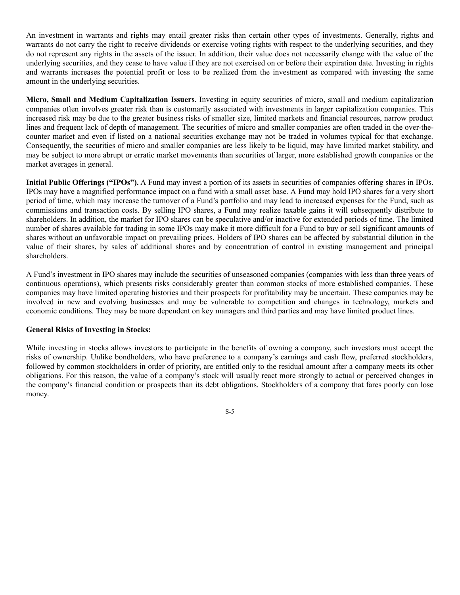An investment in warrants and rights may entail greater risks than certain other types of investments. Generally, rights and warrants do not carry the right to receive dividends or exercise voting rights with respect to the underlying securities, and they do not represent any rights in the assets of the issuer. In addition, their value does not necessarily change with the value of the underlying securities, and they cease to have value if they are not exercised on or before their expiration date. Investing in rights and warrants increases the potential profit or loss to be realized from the investment as compared with investing the same amount in the underlying securities.

**Micro, Small and Medium Capitalization Issuers.** Investing in equity securities of micro, small and medium capitalization companies often involves greater risk than is customarily associated with investments in larger capitalization companies. This increased risk may be due to the greater business risks of smaller size, limited markets and financial resources, narrow product lines and frequent lack of depth of management. The securities of micro and smaller companies are often traded in the over-thecounter market and even if listed on a national securities exchange may not be traded in volumes typical for that exchange. Consequently, the securities of micro and smaller companies are less likely to be liquid, may have limited market stability, and may be subject to more abrupt or erratic market movements than securities of larger, more established growth companies or the market averages in general.

**Initial Public Offerings ("IPOs").** A Fund may invest a portion of its assets in securities of companies offering shares in IPOs. IPOs may have a magnified performance impact on a fund with a small asset base. A Fund may hold IPO shares for a very short period of time, which may increase the turnover of a Fund's portfolio and may lead to increased expenses for the Fund, such as commissions and transaction costs. By selling IPO shares, a Fund may realize taxable gains it will subsequently distribute to shareholders. In addition, the market for IPO shares can be speculative and/or inactive for extended periods of time. The limited number of shares available for trading in some IPOs may make it more difficult for a Fund to buy or sell significant amounts of shares without an unfavorable impact on prevailing prices. Holders of IPO shares can be affected by substantial dilution in the value of their shares, by sales of additional shares and by concentration of control in existing management and principal shareholders.

A Fund's investment in IPO shares may include the securities of unseasoned companies (companies with less than three years of continuous operations), which presents risks considerably greater than common stocks of more established companies. These companies may have limited operating histories and their prospects for profitability may be uncertain. These companies may be involved in new and evolving businesses and may be vulnerable to competition and changes in technology, markets and economic conditions. They may be more dependent on key managers and third parties and may have limited product lines.

#### **General Risks of Investing in Stocks:**

While investing in stocks allows investors to participate in the benefits of owning a company, such investors must accept the risks of ownership. Unlike bondholders, who have preference to a company's earnings and cash flow, preferred stockholders, followed by common stockholders in order of priority, are entitled only to the residual amount after a company meets its other obligations. For this reason, the value of a company's stock will usually react more strongly to actual or perceived changes in the company's financial condition or prospects than its debt obligations. Stockholders of a company that fares poorly can lose money.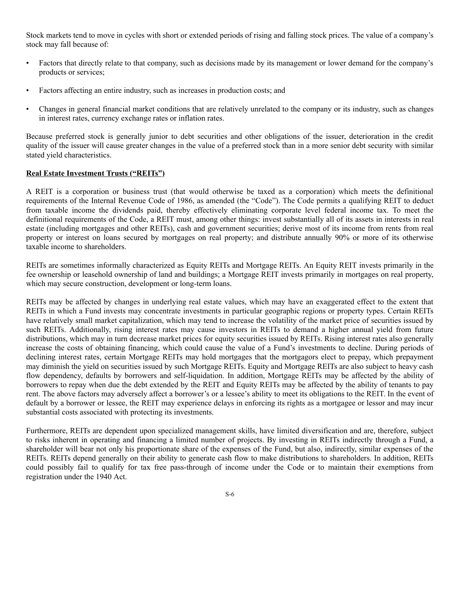Stock markets tend to move in cycles with short or extended periods of rising and falling stock prices. The value of a company's stock may fall because of:

- Factors that directly relate to that company, such as decisions made by its management or lower demand for the company's products or services;
- Factors affecting an entire industry, such as increases in production costs; and
- Changes in general financial market conditions that are relatively unrelated to the company or its industry, such as changes in interest rates, currency exchange rates or inflation rates.

Because preferred stock is generally junior to debt securities and other obligations of the issuer, deterioration in the credit quality of the issuer will cause greater changes in the value of a preferred stock than in a more senior debt security with similar stated yield characteristics.

# **Real Estate Investment Trusts ("REITs")**

A REIT is a corporation or business trust (that would otherwise be taxed as a corporation) which meets the definitional requirements of the Internal Revenue Code of 1986, as amended (the "Code"). The Code permits a qualifying REIT to deduct from taxable income the dividends paid, thereby effectively eliminating corporate level federal income tax. To meet the definitional requirements of the Code, a REIT must, among other things: invest substantially all of its assets in interests in real estate (including mortgages and other REITs), cash and government securities; derive most of its income from rents from real property or interest on loans secured by mortgages on real property; and distribute annually 90% or more of its otherwise taxable income to shareholders.

REITs are sometimes informally characterized as Equity REITs and Mortgage REITs. An Equity REIT invests primarily in the fee ownership or leasehold ownership of land and buildings; a Mortgage REIT invests primarily in mortgages on real property, which may secure construction, development or long-term loans.

REITs may be affected by changes in underlying real estate values, which may have an exaggerated effect to the extent that REITs in which a Fund invests may concentrate investments in particular geographic regions or property types. Certain REITs have relatively small market capitalization, which may tend to increase the volatility of the market price of securities issued by such REITs. Additionally, rising interest rates may cause investors in REITs to demand a higher annual yield from future distributions, which may in turn decrease market prices for equity securities issued by REITs. Rising interest rates also generally increase the costs of obtaining financing, which could cause the value of a Fund's investments to decline. During periods of declining interest rates, certain Mortgage REITs may hold mortgages that the mortgagors elect to prepay, which prepayment may diminish the yield on securities issued by such Mortgage REITs. Equity and Mortgage REITs are also subject to heavy cash flow dependency, defaults by borrowers and self-liquidation. In addition, Mortgage REITs may be affected by the ability of borrowers to repay when due the debt extended by the REIT and Equity REITs may be affected by the ability of tenants to pay rent. The above factors may adversely affect a borrower's or a lessee's ability to meet its obligations to the REIT. In the event of default by a borrower or lessee, the REIT may experience delays in enforcing its rights as a mortgagee or lessor and may incur substantial costs associated with protecting its investments.

Furthermore, REITs are dependent upon specialized management skills, have limited diversification and are, therefore, subject to risks inherent in operating and financing a limited number of projects. By investing in REITs indirectly through a Fund, a shareholder will bear not only his proportionate share of the expenses of the Fund, but also, indirectly, similar expenses of the REITs. REITs depend generally on their ability to generate cash flow to make distributions to shareholders. In addition, REITs could possibly fail to qualify for tax free pass-through of income under the Code or to maintain their exemptions from registration under the 1940 Act.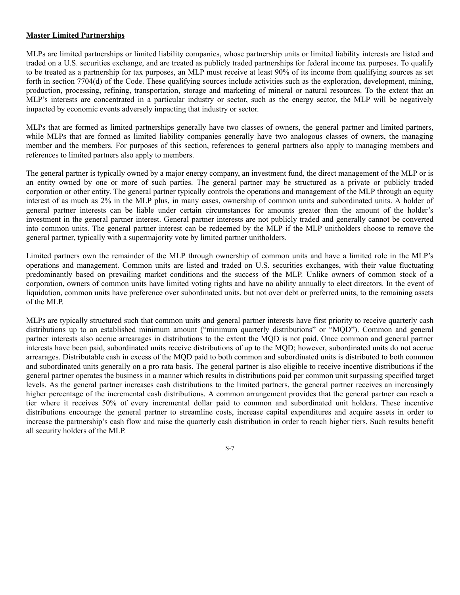## **Master Limited Partnerships**

MLPs are limited partnerships or limited liability companies, whose partnership units or limited liability interests are listed and traded on a U.S. securities exchange, and are treated as publicly traded partnerships for federal income tax purposes. To qualify to be treated as a partnership for tax purposes, an MLP must receive at least 90% of its income from qualifying sources as set forth in section 7704(d) of the Code. These qualifying sources include activities such as the exploration, development, mining, production, processing, refining, transportation, storage and marketing of mineral or natural resources. To the extent that an MLP's interests are concentrated in a particular industry or sector, such as the energy sector, the MLP will be negatively impacted by economic events adversely impacting that industry or sector.

MLPs that are formed as limited partnerships generally have two classes of owners, the general partner and limited partners, while MLPs that are formed as limited liability companies generally have two analogous classes of owners, the managing member and the members. For purposes of this section, references to general partners also apply to managing members and references to limited partners also apply to members.

The general partner is typically owned by a major energy company, an investment fund, the direct management of the MLP or is an entity owned by one or more of such parties. The general partner may be structured as a private or publicly traded corporation or other entity. The general partner typically controls the operations and management of the MLP through an equity interest of as much as 2% in the MLP plus, in many cases, ownership of common units and subordinated units. A holder of general partner interests can be liable under certain circumstances for amounts greater than the amount of the holder's investment in the general partner interest. General partner interests are not publicly traded and generally cannot be converted into common units. The general partner interest can be redeemed by the MLP if the MLP unitholders choose to remove the general partner, typically with a supermajority vote by limited partner unitholders.

Limited partners own the remainder of the MLP through ownership of common units and have a limited role in the MLP's operations and management. Common units are listed and traded on U.S. securities exchanges, with their value fluctuating predominantly based on prevailing market conditions and the success of the MLP. Unlike owners of common stock of a corporation, owners of common units have limited voting rights and have no ability annually to elect directors. In the event of liquidation, common units have preference over subordinated units, but not over debt or preferred units, to the remaining assets of the MLP.

MLPs are typically structured such that common units and general partner interests have first priority to receive quarterly cash distributions up to an established minimum amount ("minimum quarterly distributions" or "MQD"). Common and general partner interests also accrue arrearages in distributions to the extent the MQD is not paid. Once common and general partner interests have been paid, subordinated units receive distributions of up to the MQD; however, subordinated units do not accrue arrearages. Distributable cash in excess of the MQD paid to both common and subordinated units is distributed to both common and subordinated units generally on a pro rata basis. The general partner is also eligible to receive incentive distributions if the general partner operates the business in a manner which results in distributions paid per common unit surpassing specified target levels. As the general partner increases cash distributions to the limited partners, the general partner receives an increasingly higher percentage of the incremental cash distributions. A common arrangement provides that the general partner can reach a tier where it receives 50% of every incremental dollar paid to common and subordinated unit holders. These incentive distributions encourage the general partner to streamline costs, increase capital expenditures and acquire assets in order to increase the partnership's cash flow and raise the quarterly cash distribution in order to reach higher tiers. Such results benefit all security holders of the MLP.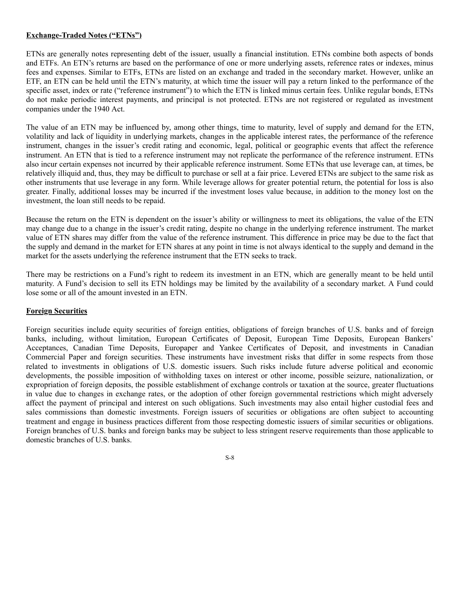# **Exchange-Traded Notes ("ETNs")**

ETNs are generally notes representing debt of the issuer, usually a financial institution. ETNs combine both aspects of bonds and ETFs. An ETN's returns are based on the performance of one or more underlying assets, reference rates or indexes, minus fees and expenses. Similar to ETFs, ETNs are listed on an exchange and traded in the secondary market. However, unlike an ETF, an ETN can be held until the ETN's maturity, at which time the issuer will pay a return linked to the performance of the specific asset, index or rate ("reference instrument") to which the ETN is linked minus certain fees. Unlike regular bonds, ETNs do not make periodic interest payments, and principal is not protected. ETNs are not registered or regulated as investment companies under the 1940 Act.

The value of an ETN may be influenced by, among other things, time to maturity, level of supply and demand for the ETN, volatility and lack of liquidity in underlying markets, changes in the applicable interest rates, the performance of the reference instrument, changes in the issuer's credit rating and economic, legal, political or geographic events that affect the reference instrument. An ETN that is tied to a reference instrument may not replicate the performance of the reference instrument. ETNs also incur certain expenses not incurred by their applicable reference instrument. Some ETNs that use leverage can, at times, be relatively illiquid and, thus, they may be difficult to purchase or sell at a fair price. Levered ETNs are subject to the same risk as other instruments that use leverage in any form. While leverage allows for greater potential return, the potential for loss is also greater. Finally, additional losses may be incurred if the investment loses value because, in addition to the money lost on the investment, the loan still needs to be repaid.

Because the return on the ETN is dependent on the issuer's ability or willingness to meet its obligations, the value of the ETN may change due to a change in the issuer's credit rating, despite no change in the underlying reference instrument. The market value of ETN shares may differ from the value of the reference instrument. This difference in price may be due to the fact that the supply and demand in the market for ETN shares at any point in time is not always identical to the supply and demand in the market for the assets underlying the reference instrument that the ETN seeks to track.

There may be restrictions on a Fund's right to redeem its investment in an ETN, which are generally meant to be held until maturity. A Fund's decision to sell its ETN holdings may be limited by the availability of a secondary market. A Fund could lose some or all of the amount invested in an ETN.

#### **Foreign Securities**

Foreign securities include equity securities of foreign entities, obligations of foreign branches of U.S. banks and of foreign banks, including, without limitation, European Certificates of Deposit, European Time Deposits, European Bankers' Acceptances, Canadian Time Deposits, Europaper and Yankee Certificates of Deposit, and investments in Canadian Commercial Paper and foreign securities. These instruments have investment risks that differ in some respects from those related to investments in obligations of U.S. domestic issuers. Such risks include future adverse political and economic developments, the possible imposition of withholding taxes on interest or other income, possible seizure, nationalization, or expropriation of foreign deposits, the possible establishment of exchange controls or taxation at the source, greater fluctuations in value due to changes in exchange rates, or the adoption of other foreign governmental restrictions which might adversely affect the payment of principal and interest on such obligations. Such investments may also entail higher custodial fees and sales commissions than domestic investments. Foreign issuers of securities or obligations are often subject to accounting treatment and engage in business practices different from those respecting domestic issuers of similar securities or obligations. Foreign branches of U.S. banks and foreign banks may be subject to less stringent reserve requirements than those applicable to domestic branches of U.S. banks.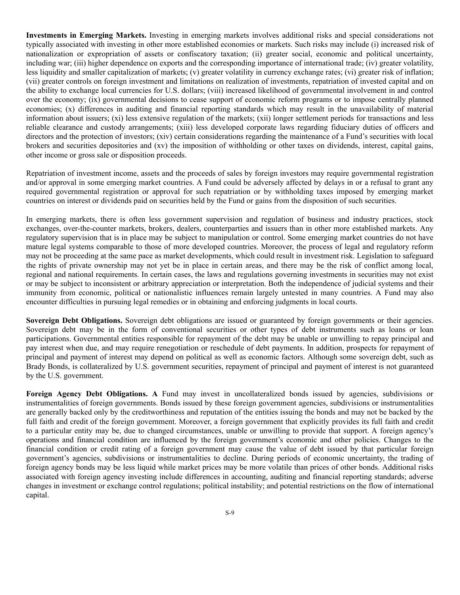**Investments in Emerging Markets.** Investing in emerging markets involves additional risks and special considerations not typically associated with investing in other more established economies or markets. Such risks may include (i) increased risk of nationalization or expropriation of assets or confiscatory taxation; (ii) greater social, economic and political uncertainty, including war; (iii) higher dependence on exports and the corresponding importance of international trade; (iv) greater volatility, less liquidity and smaller capitalization of markets; (v) greater volatility in currency exchange rates; (vi) greater risk of inflation; (vii) greater controls on foreign investment and limitations on realization of investments, repatriation of invested capital and on the ability to exchange local currencies for U.S. dollars; (viii) increased likelihood of governmental involvement in and control over the economy; (ix) governmental decisions to cease support of economic reform programs or to impose centrally planned economies; (x) differences in auditing and financial reporting standards which may result in the unavailability of material information about issuers; (xi) less extensive regulation of the markets; (xii) longer settlement periods for transactions and less reliable clearance and custody arrangements; (xiii) less developed corporate laws regarding fiduciary duties of officers and directors and the protection of investors; (xiv) certain considerations regarding the maintenance of a Fund's securities with local brokers and securities depositories and (xv) the imposition of withholding or other taxes on dividends, interest, capital gains, other income or gross sale or disposition proceeds.

Repatriation of investment income, assets and the proceeds of sales by foreign investors may require governmental registration and/or approval in some emerging market countries. A Fund could be adversely affected by delays in or a refusal to grant any required governmental registration or approval for such repatriation or by withholding taxes imposed by emerging market countries on interest or dividends paid on securities held by the Fund or gains from the disposition of such securities.

In emerging markets, there is often less government supervision and regulation of business and industry practices, stock exchanges, over-the-counter markets, brokers, dealers, counterparties and issuers than in other more established markets. Any regulatory supervision that is in place may be subject to manipulation or control. Some emerging market countries do not have mature legal systems comparable to those of more developed countries. Moreover, the process of legal and regulatory reform may not be proceeding at the same pace as market developments, which could result in investment risk. Legislation to safeguard the rights of private ownership may not yet be in place in certain areas, and there may be the risk of conflict among local, regional and national requirements. In certain cases, the laws and regulations governing investments in securities may not exist or may be subject to inconsistent or arbitrary appreciation or interpretation. Both the independence of judicial systems and their immunity from economic, political or nationalistic influences remain largely untested in many countries. A Fund may also encounter difficulties in pursuing legal remedies or in obtaining and enforcing judgments in local courts.

**Sovereign Debt Obligations.** Sovereign debt obligations are issued or guaranteed by foreign governments or their agencies. Sovereign debt may be in the form of conventional securities or other types of debt instruments such as loans or loan participations. Governmental entities responsible for repayment of the debt may be unable or unwilling to repay principal and pay interest when due, and may require renegotiation or reschedule of debt payments. In addition, prospects for repayment of principal and payment of interest may depend on political as well as economic factors. Although some sovereign debt, such as Brady Bonds, is collateralized by U.S. government securities, repayment of principal and payment of interest is not guaranteed by the U.S. government.

**Foreign Agency Debt Obligations. A** Fund may invest in uncollateralized bonds issued by agencies, subdivisions or instrumentalities of foreign governments. Bonds issued by these foreign government agencies, subdivisions or instrumentalities are generally backed only by the creditworthiness and reputation of the entities issuing the bonds and may not be backed by the full faith and credit of the foreign government. Moreover, a foreign government that explicitly provides its full faith and credit to a particular entity may be, due to changed circumstances, unable or unwilling to provide that support. A foreign agency's operations and financial condition are influenced by the foreign government's economic and other policies. Changes to the financial condition or credit rating of a foreign government may cause the value of debt issued by that particular foreign government's agencies, subdivisions or instrumentalities to decline. During periods of economic uncertainty, the trading of foreign agency bonds may be less liquid while market prices may be more volatile than prices of other bonds. Additional risks associated with foreign agency investing include differences in accounting, auditing and financial reporting standards; adverse changes in investment or exchange control regulations; political instability; and potential restrictions on the flow of international capital.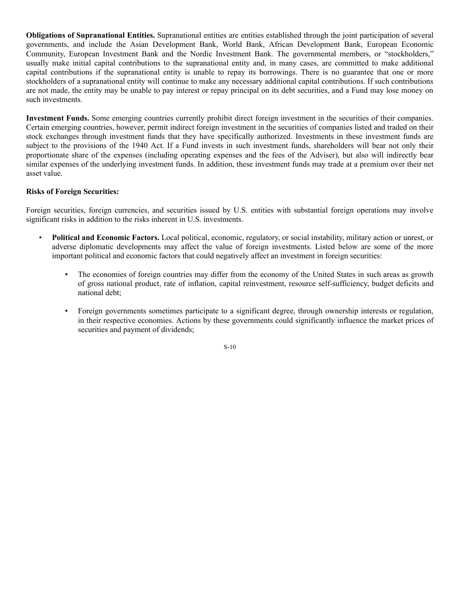**Obligations of Supranational Entities.** Supranational entities are entities established through the joint participation of several governments, and include the Asian Development Bank, World Bank, African Development Bank, European Economic Community, European Investment Bank and the Nordic Investment Bank. The governmental members, or "stockholders," usually make initial capital contributions to the supranational entity and, in many cases, are committed to make additional capital contributions if the supranational entity is unable to repay its borrowings. There is no guarantee that one or more stockholders of a supranational entity will continue to make any necessary additional capital contributions. If such contributions are not made, the entity may be unable to pay interest or repay principal on its debt securities, and a Fund may lose money on such investments.

**Investment Funds.** Some emerging countries currently prohibit direct foreign investment in the securities of their companies. Certain emerging countries, however, permit indirect foreign investment in the securities of companies listed and traded on their stock exchanges through investment funds that they have specifically authorized. Investments in these investment funds are subject to the provisions of the 1940 Act. If a Fund invests in such investment funds, shareholders will bear not only their proportionate share of the expenses (including operating expenses and the fees of the Adviser), but also will indirectly bear similar expenses of the underlying investment funds. In addition, these investment funds may trade at a premium over their net asset value.

# **Risks of Foreign Securities:**

Foreign securities, foreign currencies, and securities issued by U.S. entities with substantial foreign operations may involve significant risks in addition to the risks inherent in U.S. investments.

- **Political and Economic Factors.** Local political, economic, regulatory, or social instability, military action or unrest, or adverse diplomatic developments may affect the value of foreign investments. Listed below are some of the more important political and economic factors that could negatively affect an investment in foreign securities:
	- The economies of foreign countries may differ from the economy of the United States in such areas as growth of gross national product, rate of inflation, capital reinvestment, resource self-sufficiency, budget deficits and national debt;
	- Foreign governments sometimes participate to a significant degree, through ownership interests or regulation, in their respective economies. Actions by these governments could significantly influence the market prices of securities and payment of dividends;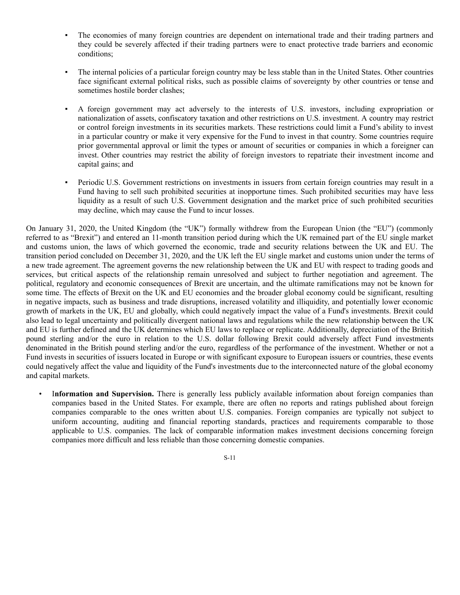- The economies of many foreign countries are dependent on international trade and their trading partners and they could be severely affected if their trading partners were to enact protective trade barriers and economic conditions;
- The internal policies of a particular foreign country may be less stable than in the United States. Other countries face significant external political risks, such as possible claims of sovereignty by other countries or tense and sometimes hostile border clashes;
- A foreign government may act adversely to the interests of U.S. investors, including expropriation or nationalization of assets, confiscatory taxation and other restrictions on U.S. investment. A country may restrict or control foreign investments in its securities markets. These restrictions could limit a Fund's ability to invest in a particular country or make it very expensive for the Fund to invest in that country. Some countries require prior governmental approval or limit the types or amount of securities or companies in which a foreigner can invest. Other countries may restrict the ability of foreign investors to repatriate their investment income and capital gains; and
- Periodic U.S. Government restrictions on investments in issuers from certain foreign countries may result in a Fund having to sell such prohibited securities at inopportune times. Such prohibited securities may have less liquidity as a result of such U.S. Government designation and the market price of such prohibited securities may decline, which may cause the Fund to incur losses.

On January 31, 2020, the United Kingdom (the "UK") formally withdrew from the European Union (the "EU") (commonly referred to as "Brexit") and entered an 11-month transition period during which the UK remained part of the EU single market and customs union, the laws of which governed the economic, trade and security relations between the UK and EU. The transition period concluded on December 31, 2020, and the UK left the EU single market and customs union under the terms of a new trade agreement. The agreement governs the new relationship between the UK and EU with respect to trading goods and services, but critical aspects of the relationship remain unresolved and subject to further negotiation and agreement. The political, regulatory and economic consequences of Brexit are uncertain, and the ultimate ramifications may not be known for some time. The effects of Brexit on the UK and EU economies and the broader global economy could be significant, resulting in negative impacts, such as business and trade disruptions, increased volatility and illiquidity, and potentially lower economic growth of markets in the UK, EU and globally, which could negatively impact the value of a Fund's investments. Brexit could also lead to legal uncertainty and politically divergent national laws and regulations while the new relationship between the UK and EU is further defined and the UK determines which EU laws to replace or replicate. Additionally, depreciation of the British pound sterling and/or the euro in relation to the U.S. dollar following Brexit could adversely affect Fund investments denominated in the British pound sterling and/or the euro, regardless of the performance of the investment. Whether or not a Fund invests in securities of issuers located in Europe or with significant exposure to European issuers or countries, these events could negatively affect the value and liquidity of the Fund's investments due to the interconnected nature of the global economy and capital markets.

• I**nformation and Supervision.** There is generally less publicly available information about foreign companies than companies based in the United States. For example, there are often no reports and ratings published about foreign companies comparable to the ones written about U.S. companies. Foreign companies are typically not subject to uniform accounting, auditing and financial reporting standards, practices and requirements comparable to those applicable to U.S. companies. The lack of comparable information makes investment decisions concerning foreign companies more difficult and less reliable than those concerning domestic companies.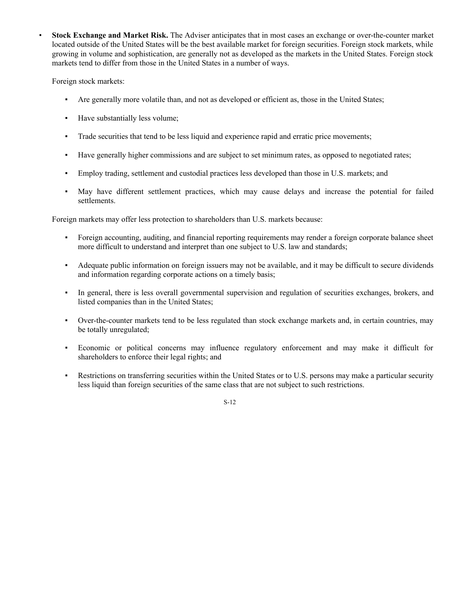• **Stock Exchange and Market Risk.** The Adviser anticipates that in most cases an exchange or over-the-counter market located outside of the United States will be the best available market for foreign securities. Foreign stock markets, while growing in volume and sophistication, are generally not as developed as the markets in the United States. Foreign stock markets tend to differ from those in the United States in a number of ways.

Foreign stock markets:

- Are generally more volatile than, and not as developed or efficient as, those in the United States;
- Have substantially less volume;
- Trade securities that tend to be less liquid and experience rapid and erratic price movements;
- Have generally higher commissions and are subject to set minimum rates, as opposed to negotiated rates;
- Employ trading, settlement and custodial practices less developed than those in U.S. markets; and
- May have different settlement practices, which may cause delays and increase the potential for failed settlements.

Foreign markets may offer less protection to shareholders than U.S. markets because:

- Foreign accounting, auditing, and financial reporting requirements may render a foreign corporate balance sheet more difficult to understand and interpret than one subject to U.S. law and standards;
- Adequate public information on foreign issuers may not be available, and it may be difficult to secure dividends and information regarding corporate actions on a timely basis;
- In general, there is less overall governmental supervision and regulation of securities exchanges, brokers, and listed companies than in the United States;
- Over-the-counter markets tend to be less regulated than stock exchange markets and, in certain countries, may be totally unregulated;
- Economic or political concerns may influence regulatory enforcement and may make it difficult for shareholders to enforce their legal rights; and
- Restrictions on transferring securities within the United States or to U.S. persons may make a particular security less liquid than foreign securities of the same class that are not subject to such restrictions.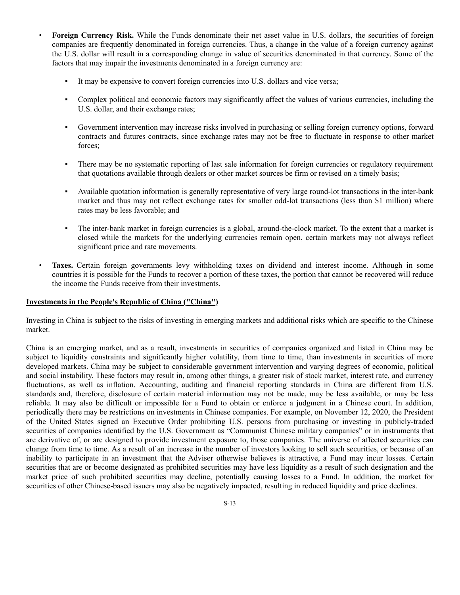- **Foreign Currency Risk.** While the Funds denominate their net asset value in U.S. dollars, the securities of foreign companies are frequently denominated in foreign currencies. Thus, a change in the value of a foreign currency against the U.S. dollar will result in a corresponding change in value of securities denominated in that currency. Some of the factors that may impair the investments denominated in a foreign currency are:
	- It may be expensive to convert foreign currencies into U.S. dollars and vice versa;
	- Complex political and economic factors may significantly affect the values of various currencies, including the U.S. dollar, and their exchange rates;
	- Government intervention may increase risks involved in purchasing or selling foreign currency options, forward contracts and futures contracts, since exchange rates may not be free to fluctuate in response to other market forces;
	- There may be no systematic reporting of last sale information for foreign currencies or regulatory requirement that quotations available through dealers or other market sources be firm or revised on a timely basis;
	- Available quotation information is generally representative of very large round-lot transactions in the inter-bank market and thus may not reflect exchange rates for smaller odd-lot transactions (less than \$1 million) where rates may be less favorable; and
	- The inter-bank market in foreign currencies is a global, around-the-clock market. To the extent that a market is closed while the markets for the underlying currencies remain open, certain markets may not always reflect significant price and rate movements.
- **Taxes.** Certain foreign governments levy withholding taxes on dividend and interest income. Although in some countries it is possible for the Funds to recover a portion of these taxes, the portion that cannot be recovered will reduce the income the Funds receive from their investments.

#### **Investments in the People's Republic of China ("China")**

Investing in China is subject to the risks of investing in emerging markets and additional risks which are specific to the Chinese market.

China is an emerging market, and as a result, investments in securities of companies organized and listed in China may be subject to liquidity constraints and significantly higher volatility, from time to time, than investments in securities of more developed markets. China may be subject to considerable government intervention and varying degrees of economic, political and social instability. These factors may result in, among other things, a greater risk of stock market, interest rate, and currency fluctuations, as well as inflation. Accounting, auditing and financial reporting standards in China are different from U.S. standards and, therefore, disclosure of certain material information may not be made, may be less available, or may be less reliable. It may also be difficult or impossible for a Fund to obtain or enforce a judgment in a Chinese court. In addition, periodically there may be restrictions on investments in Chinese companies. For example, on November 12, 2020, the President of the United States signed an Executive Order prohibiting U.S. persons from purchasing or investing in publicly-traded securities of companies identified by the U.S. Government as "Communist Chinese military companies" or in instruments that are derivative of, or are designed to provide investment exposure to, those companies. The universe of affected securities can change from time to time. As a result of an increase in the number of investors looking to sell such securities, or because of an inability to participate in an investment that the Adviser otherwise believes is attractive, a Fund may incur losses. Certain securities that are or become designated as prohibited securities may have less liquidity as a result of such designation and the market price of such prohibited securities may decline, potentially causing losses to a Fund. In addition, the market for securities of other Chinese-based issuers may also be negatively impacted, resulting in reduced liquidity and price declines.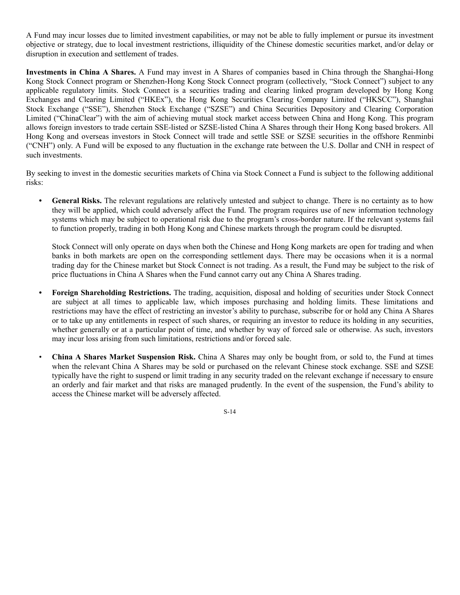A Fund may incur losses due to limited investment capabilities, or may not be able to fully implement or pursue its investment objective or strategy, due to local investment restrictions, illiquidity of the Chinese domestic securities market, and/or delay or disruption in execution and settlement of trades.

**Investments in China A Shares.** A Fund may invest in A Shares of companies based in China through the Shanghai-Hong Kong Stock Connect program or Shenzhen-Hong Kong Stock Connect program (collectively, "Stock Connect") subject to any applicable regulatory limits. Stock Connect is a securities trading and clearing linked program developed by Hong Kong Exchanges and Clearing Limited ("HKEx"), the Hong Kong Securities Clearing Company Limited ("HKSCC"), Shanghai Stock Exchange ("SSE"), Shenzhen Stock Exchange ("SZSE") and China Securities Depository and Clearing Corporation Limited ("ChinaClear") with the aim of achieving mutual stock market access between China and Hong Kong. This program allows foreign investors to trade certain SSE-listed or SZSE-listed China A Shares through their Hong Kong based brokers. All Hong Kong and overseas investors in Stock Connect will trade and settle SSE or SZSE securities in the offshore Renminbi ("CNH") only. A Fund will be exposed to any fluctuation in the exchange rate between the U.S. Dollar and CNH in respect of such investments.

By seeking to invest in the domestic securities markets of China via Stock Connect a Fund is subject to the following additional risks:

**• General Risks.** The relevant regulations are relatively untested and subject to change. There is no certainty as to how they will be applied, which could adversely affect the Fund. The program requires use of new information technology systems which may be subject to operational risk due to the program's cross-border nature. If the relevant systems fail to function properly, trading in both Hong Kong and Chinese markets through the program could be disrupted.

Stock Connect will only operate on days when both the Chinese and Hong Kong markets are open for trading and when banks in both markets are open on the corresponding settlement days. There may be occasions when it is a normal trading day for the Chinese market but Stock Connect is not trading. As a result, the Fund may be subject to the risk of price fluctuations in China A Shares when the Fund cannot carry out any China A Shares trading.

- **• Foreign Shareholding Restrictions.** The trading, acquisition, disposal and holding of securities under Stock Connect are subject at all times to applicable law, which imposes purchasing and holding limits. These limitations and restrictions may have the effect of restricting an investor's ability to purchase, subscribe for or hold any China A Shares or to take up any entitlements in respect of such shares, or requiring an investor to reduce its holding in any securities, whether generally or at a particular point of time, and whether by way of forced sale or otherwise. As such, investors may incur loss arising from such limitations, restrictions and/or forced sale.
- **China A Shares Market Suspension Risk.** China A Shares may only be bought from, or sold to, the Fund at times when the relevant China A Shares may be sold or purchased on the relevant Chinese stock exchange. SSE and SZSE typically have the right to suspend or limit trading in any security traded on the relevant exchange if necessary to ensure an orderly and fair market and that risks are managed prudently. In the event of the suspension, the Fund's ability to access the Chinese market will be adversely affected.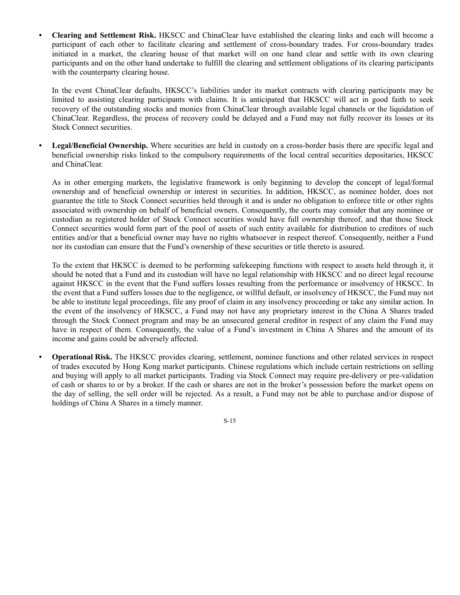**• Clearing and Settlement Risk.** HKSCC and ChinaClear have established the clearing links and each will become a participant of each other to facilitate clearing and settlement of cross-boundary trades. For cross-boundary trades initiated in a market, the clearing house of that market will on one hand clear and settle with its own clearing participants and on the other hand undertake to fulfill the clearing and settlement obligations of its clearing participants with the counterparty clearing house.

In the event ChinaClear defaults, HKSCC's liabilities under its market contracts with clearing participants may be limited to assisting clearing participants with claims. It is anticipated that HKSCC will act in good faith to seek recovery of the outstanding stocks and monies from ChinaClear through available legal channels or the liquidation of ChinaClear. Regardless, the process of recovery could be delayed and a Fund may not fully recover its losses or its Stock Connect securities.

**• Legal/Beneficial Ownership.** Where securities are held in custody on a cross-border basis there are specific legal and beneficial ownership risks linked to the compulsory requirements of the local central securities depositaries, HKSCC and ChinaClear.

As in other emerging markets, the legislative framework is only beginning to develop the concept of legal/formal ownership and of beneficial ownership or interest in securities. In addition, HKSCC, as nominee holder, does not guarantee the title to Stock Connect securities held through it and is under no obligation to enforce title or other rights associated with ownership on behalf of beneficial owners. Consequently, the courts may consider that any nominee or custodian as registered holder of Stock Connect securities would have full ownership thereof, and that those Stock Connect securities would form part of the pool of assets of such entity available for distribution to creditors of such entities and/or that a beneficial owner may have no rights whatsoever in respect thereof. Consequently, neither a Fund nor its custodian can ensure that the Fund's ownership of these securities or title thereto is assured.

To the extent that HKSCC is deemed to be performing safekeeping functions with respect to assets held through it, it should be noted that a Fund and its custodian will have no legal relationship with HKSCC and no direct legal recourse against HKSCC in the event that the Fund suffers losses resulting from the performance or insolvency of HKSCC. In the event that a Fund suffers losses due to the negligence, or willful default, or insolvency of HKSCC, the Fund may not be able to institute legal proceedings, file any proof of claim in any insolvency proceeding or take any similar action. In the event of the insolvency of HKSCC, a Fund may not have any proprietary interest in the China A Shares traded through the Stock Connect program and may be an unsecured general creditor in respect of any claim the Fund may have in respect of them. Consequently, the value of a Fund's investment in China A Shares and the amount of its income and gains could be adversely affected.

**• Operational Risk.** The HKSCC provides clearing, settlement, nominee functions and other related services in respect of trades executed by Hong Kong market participants. Chinese regulations which include certain restrictions on selling and buying will apply to all market participants. Trading via Stock Connect may require pre-delivery or pre-validation of cash or shares to or by a broker. If the cash or shares are not in the broker's possession before the market opens on the day of selling, the sell order will be rejected. As a result, a Fund may not be able to purchase and/or dispose of holdings of China A Shares in a timely manner.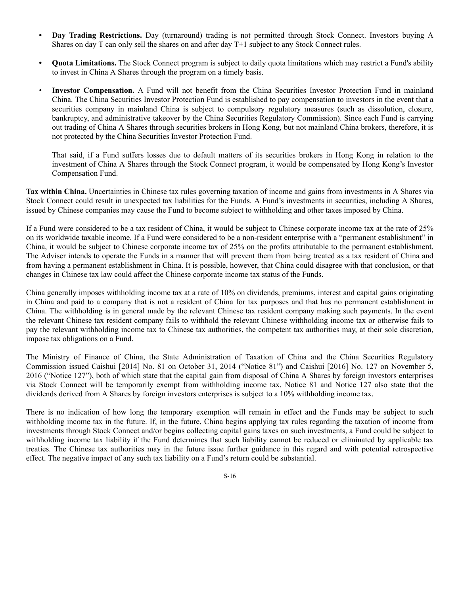- **• Day Trading Restrictions.** Day (turnaround) trading is not permitted through Stock Connect. Investors buying A Shares on day T can only sell the shares on and after day T+1 subject to any Stock Connect rules.
- **• Quota Limitations.** The Stock Connect program is subject to daily quota limitations which may restrict a Fund's ability to invest in China A Shares through the program on a timely basis.
- **Investor Compensation.** A Fund will not benefit from the China Securities Investor Protection Fund in mainland China. The China Securities Investor Protection Fund is established to pay compensation to investors in the event that a securities company in mainland China is subject to compulsory regulatory measures (such as dissolution, closure, bankruptcy, and administrative takeover by the China Securities Regulatory Commission). Since each Fund is carrying out trading of China A Shares through securities brokers in Hong Kong, but not mainland China brokers, therefore, it is not protected by the China Securities Investor Protection Fund.

That said, if a Fund suffers losses due to default matters of its securities brokers in Hong Kong in relation to the investment of China A Shares through the Stock Connect program, it would be compensated by Hong Kong's Investor Compensation Fund.

**Tax within China.** Uncertainties in Chinese tax rules governing taxation of income and gains from investments in A Shares via Stock Connect could result in unexpected tax liabilities for the Funds. A Fund's investments in securities, including A Shares, issued by Chinese companies may cause the Fund to become subject to withholding and other taxes imposed by China.

If a Fund were considered to be a tax resident of China, it would be subject to Chinese corporate income tax at the rate of 25% on its worldwide taxable income. If a Fund were considered to be a non-resident enterprise with a "permanent establishment" in China, it would be subject to Chinese corporate income tax of 25% on the profits attributable to the permanent establishment. The Adviser intends to operate the Funds in a manner that will prevent them from being treated as a tax resident of China and from having a permanent establishment in China. It is possible, however, that China could disagree with that conclusion, or that changes in Chinese tax law could affect the Chinese corporate income tax status of the Funds.

China generally imposes withholding income tax at a rate of 10% on dividends, premiums, interest and capital gains originating in China and paid to a company that is not a resident of China for tax purposes and that has no permanent establishment in China. The withholding is in general made by the relevant Chinese tax resident company making such payments. In the event the relevant Chinese tax resident company fails to withhold the relevant Chinese withholding income tax or otherwise fails to pay the relevant withholding income tax to Chinese tax authorities, the competent tax authorities may, at their sole discretion, impose tax obligations on a Fund.

The Ministry of Finance of China, the State Administration of Taxation of China and the China Securities Regulatory Commission issued Caishui [2014] No. 81 on October 31, 2014 ("Notice 81") and Caishui [2016] No. 127 on November 5, 2016 ("Notice 127"), both of which state that the capital gain from disposal of China A Shares by foreign investors enterprises via Stock Connect will be temporarily exempt from withholding income tax. Notice 81 and Notice 127 also state that the dividends derived from A Shares by foreign investors enterprises is subject to a 10% withholding income tax.

There is no indication of how long the temporary exemption will remain in effect and the Funds may be subject to such withholding income tax in the future. If, in the future, China begins applying tax rules regarding the taxation of income from investments through Stock Connect and/or begins collecting capital gains taxes on such investments, a Fund could be subject to withholding income tax liability if the Fund determines that such liability cannot be reduced or eliminated by applicable tax treaties. The Chinese tax authorities may in the future issue further guidance in this regard and with potential retrospective effect. The negative impact of any such tax liability on a Fund's return could be substantial.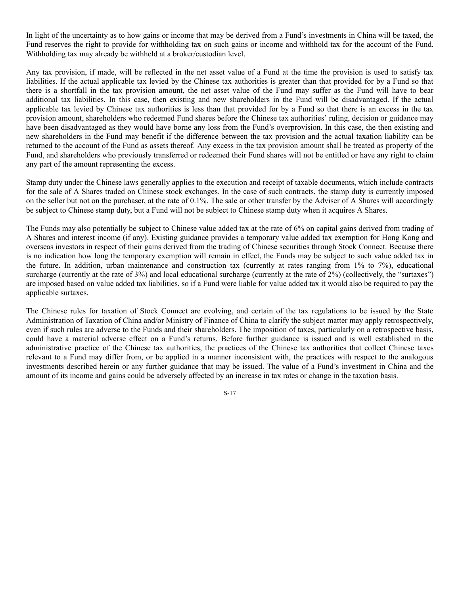In light of the uncertainty as to how gains or income that may be derived from a Fund's investments in China will be taxed, the Fund reserves the right to provide for withholding tax on such gains or income and withhold tax for the account of the Fund. Withholding tax may already be withheld at a broker/custodian level.

Any tax provision, if made, will be reflected in the net asset value of a Fund at the time the provision is used to satisfy tax liabilities. If the actual applicable tax levied by the Chinese tax authorities is greater than that provided for by a Fund so that there is a shortfall in the tax provision amount, the net asset value of the Fund may suffer as the Fund will have to bear additional tax liabilities. In this case, then existing and new shareholders in the Fund will be disadvantaged. If the actual applicable tax levied by Chinese tax authorities is less than that provided for by a Fund so that there is an excess in the tax provision amount, shareholders who redeemed Fund shares before the Chinese tax authorities' ruling, decision or guidance may have been disadvantaged as they would have borne any loss from the Fund's overprovision. In this case, the then existing and new shareholders in the Fund may benefit if the difference between the tax provision and the actual taxation liability can be returned to the account of the Fund as assets thereof. Any excess in the tax provision amount shall be treated as property of the Fund, and shareholders who previously transferred or redeemed their Fund shares will not be entitled or have any right to claim any part of the amount representing the excess.

Stamp duty under the Chinese laws generally applies to the execution and receipt of taxable documents, which include contracts for the sale of A Shares traded on Chinese stock exchanges. In the case of such contracts, the stamp duty is currently imposed on the seller but not on the purchaser, at the rate of 0.1%. The sale or other transfer by the Adviser of A Shares will accordingly be subject to Chinese stamp duty, but a Fund will not be subject to Chinese stamp duty when it acquires A Shares.

The Funds may also potentially be subject to Chinese value added tax at the rate of 6% on capital gains derived from trading of A Shares and interest income (if any). Existing guidance provides a temporary value added tax exemption for Hong Kong and overseas investors in respect of their gains derived from the trading of Chinese securities through Stock Connect. Because there is no indication how long the temporary exemption will remain in effect, the Funds may be subject to such value added tax in the future. In addition, urban maintenance and construction tax (currently at rates ranging from 1% to 7%), educational surcharge (currently at the rate of 3%) and local educational surcharge (currently at the rate of 2%) (collectively, the "surtaxes") are imposed based on value added tax liabilities, so if a Fund were liable for value added tax it would also be required to pay the applicable surtaxes.

The Chinese rules for taxation of Stock Connect are evolving, and certain of the tax regulations to be issued by the State Administration of Taxation of China and/or Ministry of Finance of China to clarify the subject matter may apply retrospectively, even if such rules are adverse to the Funds and their shareholders. The imposition of taxes, particularly on a retrospective basis, could have a material adverse effect on a Fund's returns. Before further guidance is issued and is well established in the administrative practice of the Chinese tax authorities, the practices of the Chinese tax authorities that collect Chinese taxes relevant to a Fund may differ from, or be applied in a manner inconsistent with, the practices with respect to the analogous investments described herein or any further guidance that may be issued. The value of a Fund's investment in China and the amount of its income and gains could be adversely affected by an increase in tax rates or change in the taxation basis.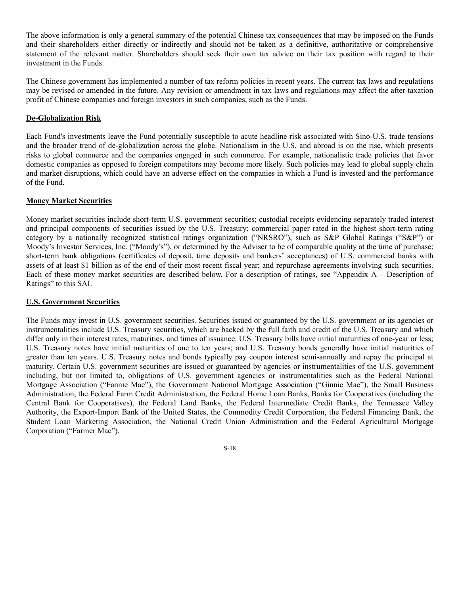The above information is only a general summary of the potential Chinese tax consequences that may be imposed on the Funds and their shareholders either directly or indirectly and should not be taken as a definitive, authoritative or comprehensive statement of the relevant matter. Shareholders should seek their own tax advice on their tax position with regard to their investment in the Funds.

The Chinese government has implemented a number of tax reform policies in recent years. The current tax laws and regulations may be revised or amended in the future. Any revision or amendment in tax laws and regulations may affect the after-taxation profit of Chinese companies and foreign investors in such companies, such as the Funds.

# **De-Globalization Risk**

Each Fund's investments leave the Fund potentially susceptible to acute headline risk associated with Sino-U.S. trade tensions and the broader trend of de-globalization across the globe. Nationalism in the U.S. and abroad is on the rise, which presents risks to global commerce and the companies engaged in such commerce. For example, nationalistic trade policies that favor domestic companies as opposed to foreign competitors may become more likely. Such policies may lead to global supply chain and market disruptions, which could have an adverse effect on the companies in which a Fund is invested and the performance of the Fund.

#### **Money Market Securities**

Money market securities include short-term U.S. government securities; custodial receipts evidencing separately traded interest and principal components of securities issued by the U.S. Treasury; commercial paper rated in the highest short-term rating category by a nationally recognized statistical ratings organization ("NRSRO"), such as S&P Global Ratings ("S&P") or Moody's Investor Services, Inc. ("Moody's"), or determined by the Adviser to be of comparable quality at the time of purchase; short-term bank obligations (certificates of deposit, time deposits and bankers' acceptances) of U.S. commercial banks with assets of at least \$1 billion as of the end of their most recent fiscal year; and repurchase agreements involving such securities. Each of these money market securities are described below. For a description of ratings, see "Appendix A – Description of Ratings" to this SAI.

#### **U.S. Government Securities**

The Funds may invest in U.S. government securities. Securities issued or guaranteed by the U.S. government or its agencies or instrumentalities include U.S. Treasury securities, which are backed by the full faith and credit of the U.S. Treasury and which differ only in their interest rates, maturities, and times of issuance. U.S. Treasury bills have initial maturities of one-year or less; U.S. Treasury notes have initial maturities of one to ten years; and U.S. Treasury bonds generally have initial maturities of greater than ten years. U.S. Treasury notes and bonds typically pay coupon interest semi-annually and repay the principal at maturity. Certain U.S. government securities are issued or guaranteed by agencies or instrumentalities of the U.S. government including, but not limited to, obligations of U.S. government agencies or instrumentalities such as the Federal National Mortgage Association ("Fannie Mae"), the Government National Mortgage Association ("Ginnie Mae"), the Small Business Administration, the Federal Farm Credit Administration, the Federal Home Loan Banks, Banks for Cooperatives (including the Central Bank for Cooperatives), the Federal Land Banks, the Federal Intermediate Credit Banks, the Tennessee Valley Authority, the Export-Import Bank of the United States, the Commodity Credit Corporation, the Federal Financing Bank, the Student Loan Marketing Association, the National Credit Union Administration and the Federal Agricultural Mortgage Corporation ("Farmer Mac").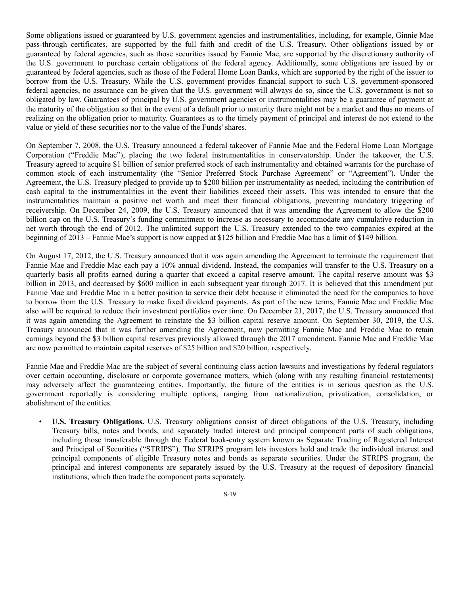Some obligations issued or guaranteed by U.S. government agencies and instrumentalities, including, for example, Ginnie Mae pass-through certificates, are supported by the full faith and credit of the U.S. Treasury. Other obligations issued by or guaranteed by federal agencies, such as those securities issued by Fannie Mae, are supported by the discretionary authority of the U.S. government to purchase certain obligations of the federal agency. Additionally, some obligations are issued by or guaranteed by federal agencies, such as those of the Federal Home Loan Banks, which are supported by the right of the issuer to borrow from the U.S. Treasury. While the U.S. government provides financial support to such U.S. government-sponsored federal agencies, no assurance can be given that the U.S. government will always do so, since the U.S. government is not so obligated by law. Guarantees of principal by U.S. government agencies or instrumentalities may be a guarantee of payment at the maturity of the obligation so that in the event of a default prior to maturity there might not be a market and thus no means of realizing on the obligation prior to maturity. Guarantees as to the timely payment of principal and interest do not extend to the value or yield of these securities nor to the value of the Funds' shares.

On September 7, 2008, the U.S. Treasury announced a federal takeover of Fannie Mae and the Federal Home Loan Mortgage Corporation ("Freddie Mac"), placing the two federal instrumentalities in conservatorship. Under the takeover, the U.S. Treasury agreed to acquire \$1 billion of senior preferred stock of each instrumentality and obtained warrants for the purchase of common stock of each instrumentality (the "Senior Preferred Stock Purchase Agreement" or "Agreement"). Under the Agreement, the U.S. Treasury pledged to provide up to \$200 billion per instrumentality as needed, including the contribution of cash capital to the instrumentalities in the event their liabilities exceed their assets. This was intended to ensure that the instrumentalities maintain a positive net worth and meet their financial obligations, preventing mandatory triggering of receivership. On December 24, 2009, the U.S. Treasury announced that it was amending the Agreement to allow the \$200 billion cap on the U.S. Treasury's funding commitment to increase as necessary to accommodate any cumulative reduction in net worth through the end of 2012. The unlimited support the U.S. Treasury extended to the two companies expired at the beginning of 2013 – Fannie Mae's support is now capped at \$125 billion and Freddie Mac has a limit of \$149 billion.

On August 17, 2012, the U.S. Treasury announced that it was again amending the Agreement to terminate the requirement that Fannie Mae and Freddie Mac each pay a 10% annual dividend. Instead, the companies will transfer to the U.S. Treasury on a quarterly basis all profits earned during a quarter that exceed a capital reserve amount. The capital reserve amount was \$3 billion in 2013, and decreased by \$600 million in each subsequent year through 2017. It is believed that this amendment put Fannie Mae and Freddie Mac in a better position to service their debt because it eliminated the need for the companies to have to borrow from the U.S. Treasury to make fixed dividend payments. As part of the new terms, Fannie Mae and Freddie Mac also will be required to reduce their investment portfolios over time. On December 21, 2017, the U.S. Treasury announced that it was again amending the Agreement to reinstate the \$3 billion capital reserve amount. On September 30, 2019, the U.S. Treasury announced that it was further amending the Agreement, now permitting Fannie Mae and Freddie Mac to retain earnings beyond the \$3 billion capital reserves previously allowed through the 2017 amendment. Fannie Mae and Freddie Mac are now permitted to maintain capital reserves of \$25 billion and \$20 billion, respectively.

Fannie Mae and Freddie Mac are the subject of several continuing class action lawsuits and investigations by federal regulators over certain accounting, disclosure or corporate governance matters, which (along with any resulting financial restatements) may adversely affect the guaranteeing entities. Importantly, the future of the entities is in serious question as the U.S. government reportedly is considering multiple options, ranging from nationalization, privatization, consolidation, or abolishment of the entities.

• **U.S. Treasury Obligations.** U.S. Treasury obligations consist of direct obligations of the U.S. Treasury, including Treasury bills, notes and bonds, and separately traded interest and principal component parts of such obligations, including those transferable through the Federal book-entry system known as Separate Trading of Registered Interest and Principal of Securities ("STRIPS"). The STRIPS program lets investors hold and trade the individual interest and principal components of eligible Treasury notes and bonds as separate securities. Under the STRIPS program, the principal and interest components are separately issued by the U.S. Treasury at the request of depository financial institutions, which then trade the component parts separately.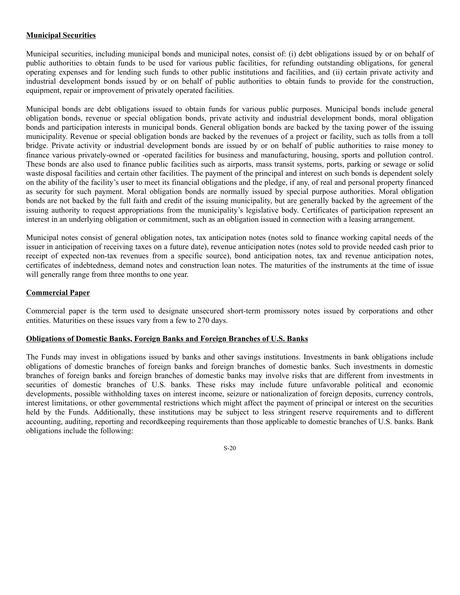# **Municipal Securities**

Municipal securities, including municipal bonds and municipal notes, consist of: (i) debt obligations issued by or on behalf of public authorities to obtain funds to be used for various public facilities, for refunding outstanding obligations, for general operating expenses and for lending such funds to other public institutions and facilities, and (ii) certain private activity and industrial development bonds issued by or on behalf of public authorities to obtain funds to provide for the construction, equipment, repair or improvement of privately operated facilities.

Municipal bonds are debt obligations issued to obtain funds for various public purposes. Municipal bonds include general obligation bonds, revenue or special obligation bonds, private activity and industrial development bonds, moral obligation bonds and participation interests in municipal bonds. General obligation bonds are backed by the taxing power of the issuing municipality. Revenue or special obligation bonds are backed by the revenues of a project or facility, such as tolls from a toll bridge. Private activity or industrial development bonds are issued by or on behalf of public authorities to raise money to finance various privately-owned or -operated facilities for business and manufacturing, housing, sports and pollution control. These bonds are also used to finance public facilities such as airports, mass transit systems, ports, parking or sewage or solid waste disposal facilities and certain other facilities. The payment of the principal and interest on such bonds is dependent solely on the ability of the facility's user to meet its financial obligations and the pledge, if any, of real and personal property financed as security for such payment. Moral obligation bonds are normally issued by special purpose authorities. Moral obligation bonds are not backed by the full faith and credit of the issuing municipality, but are generally backed by the agreement of the issuing authority to request appropriations from the municipality's legislative body. Certificates of participation represent an interest in an underlying obligation or commitment, such as an obligation issued in connection with a leasing arrangement.

Municipal notes consist of general obligation notes, tax anticipation notes (notes sold to finance working capital needs of the issuer in anticipation of receiving taxes on a future date), revenue anticipation notes (notes sold to provide needed cash prior to receipt of expected non-tax revenues from a specific source), bond anticipation notes, tax and revenue anticipation notes, certificates of indebtedness, demand notes and construction loan notes. The maturities of the instruments at the time of issue will generally range from three months to one year.

# **Commercial Paper**

Commercial paper is the term used to designate unsecured short-term promissory notes issued by corporations and other entities. Maturities on these issues vary from a few to 270 days.

#### **Obligations of Domestic Banks, Foreign Banks and Foreign Branches of U.S. Banks**

The Funds may invest in obligations issued by banks and other savings institutions. Investments in bank obligations include obligations of domestic branches of foreign banks and foreign branches of domestic banks. Such investments in domestic branches of foreign banks and foreign branches of domestic banks may involve risks that are different from investments in securities of domestic branches of U.S. banks. These risks may include future unfavorable political and economic developments, possible withholding taxes on interest income, seizure or nationalization of foreign deposits, currency controls, interest limitations, or other governmental restrictions which might affect the payment of principal or interest on the securities held by the Funds. Additionally, these institutions may be subject to less stringent reserve requirements and to different accounting, auditing, reporting and recordkeeping requirements than those applicable to domestic branches of U.S. banks. Bank obligations include the following: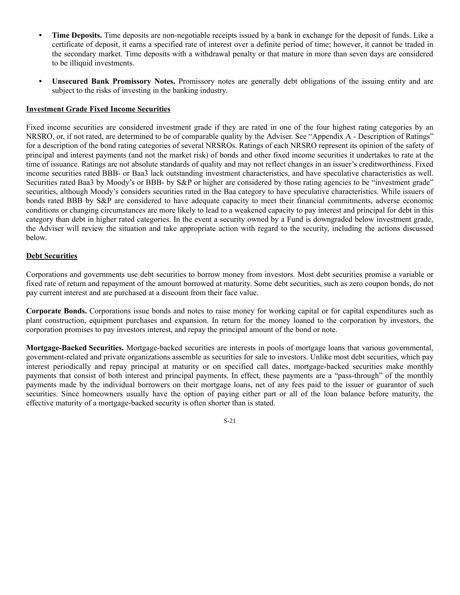- **• Time Deposits.** Time deposits are non-negotiable receipts issued by a bank in exchange for the deposit of funds. Like a certificate of deposit, it earns a specified rate of interest over a definite period of time; however, it cannot be traded in the secondary market. Time deposits with a withdrawal penalty or that mature in more than seven days are considered to be illiquid investments.
- **• Unsecured Bank Promissory Notes.** Promissory notes are generally debt obligations of the issuing entity and are subject to the risks of investing in the banking industry.

# **Investment Grade Fixed Income Securities**

Fixed income securities are considered investment grade if they are rated in one of the four highest rating categories by an NRSRO, or, if not rated, are determined to be of comparable quality by the Adviser. See "Appendix A - Description of Ratings" for a description of the bond rating categories of several NRSROs. Ratings of each NRSRO represent its opinion of the safety of principal and interest payments (and not the market risk) of bonds and other fixed income securities it undertakes to rate at the time of issuance. Ratings are not absolute standards of quality and may not reflect changes in an issuer's creditworthiness. Fixed income securities rated BBB- or Baa3 lack outstanding investment characteristics, and have speculative characteristics as well. Securities rated Baa3 by Moody's or BBB- by S&P or higher are considered by those rating agencies to be "investment grade" securities, although Moody's considers securities rated in the Baa category to have speculative characteristics. While issuers of bonds rated BBB by S&P are considered to have adequate capacity to meet their financial commitments, adverse economic conditions or changing circumstances are more likely to lead to a weakened capacity to pay interest and principal for debt in this category than debt in higher rated categories. In the event a security owned by a Fund is downgraded below investment grade, the Adviser will review the situation and take appropriate action with regard to the security, including the actions discussed below.

# **Debt Securities**

Corporations and governments use debt securities to borrow money from investors. Most debt securities promise a variable or fixed rate of return and repayment of the amount borrowed at maturity. Some debt securities, such as zero coupon bonds, do not pay current interest and are purchased at a discount from their face value.

**Corporate Bonds.** Corporations issue bonds and notes to raise money for working capital or for capital expenditures such as plant construction, equipment purchases and expansion. In return for the money loaned to the corporation by investors, the corporation promises to pay investors interest, and repay the principal amount of the bond or note.

**Mortgage-Backed Securities.** Mortgage-backed securities are interests in pools of mortgage loans that various governmental, government-related and private organizations assemble as securities for sale to investors. Unlike most debt securities, which pay interest periodically and repay principal at maturity or on specified call dates, mortgage-backed securities make monthly payments that consist of both interest and principal payments. In effect, these payments are a "pass-through" of the monthly payments made by the individual borrowers on their mortgage loans, net of any fees paid to the issuer or guarantor of such securities. Since homeowners usually have the option of paying either part or all of the loan balance before maturity, the effective maturity of a mortgage-backed security is often shorter than is stated.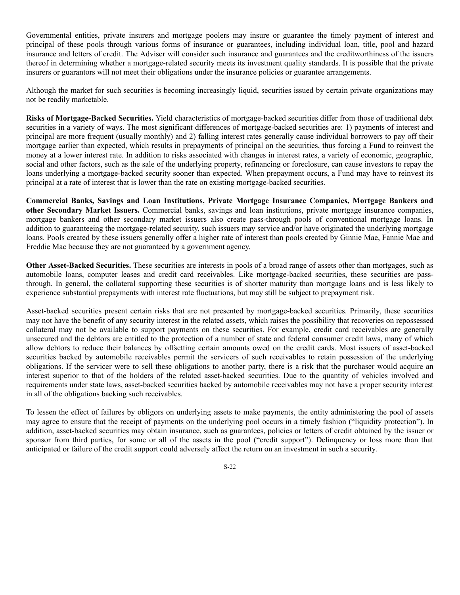Governmental entities, private insurers and mortgage poolers may insure or guarantee the timely payment of interest and principal of these pools through various forms of insurance or guarantees, including individual loan, title, pool and hazard insurance and letters of credit. The Adviser will consider such insurance and guarantees and the creditworthiness of the issuers thereof in determining whether a mortgage-related security meets its investment quality standards. It is possible that the private insurers or guarantors will not meet their obligations under the insurance policies or guarantee arrangements.

Although the market for such securities is becoming increasingly liquid, securities issued by certain private organizations may not be readily marketable.

**Risks of Mortgage-Backed Securities.** Yield characteristics of mortgage-backed securities differ from those of traditional debt securities in a variety of ways. The most significant differences of mortgage-backed securities are: 1) payments of interest and principal are more frequent (usually monthly) and 2) falling interest rates generally cause individual borrowers to pay off their mortgage earlier than expected, which results in prepayments of principal on the securities, thus forcing a Fund to reinvest the money at a lower interest rate. In addition to risks associated with changes in interest rates, a variety of economic, geographic, social and other factors, such as the sale of the underlying property, refinancing or foreclosure, can cause investors to repay the loans underlying a mortgage-backed security sooner than expected. When prepayment occurs, a Fund may have to reinvest its principal at a rate of interest that is lower than the rate on existing mortgage-backed securities.

**Commercial Banks, Savings and Loan Institutions, Private Mortgage Insurance Companies, Mortgage Bankers and other Secondary Market Issuers.** Commercial banks, savings and loan institutions, private mortgage insurance companies, mortgage bankers and other secondary market issuers also create pass-through pools of conventional mortgage loans. In addition to guaranteeing the mortgage-related security, such issuers may service and/or have originated the underlying mortgage loans. Pools created by these issuers generally offer a higher rate of interest than pools created by Ginnie Mae, Fannie Mae and Freddie Mac because they are not guaranteed by a government agency.

**Other Asset-Backed Securities.** These securities are interests in pools of a broad range of assets other than mortgages, such as automobile loans, computer leases and credit card receivables. Like mortgage-backed securities, these securities are passthrough. In general, the collateral supporting these securities is of shorter maturity than mortgage loans and is less likely to experience substantial prepayments with interest rate fluctuations, but may still be subject to prepayment risk.

Asset-backed securities present certain risks that are not presented by mortgage-backed securities. Primarily, these securities may not have the benefit of any security interest in the related assets, which raises the possibility that recoveries on repossessed collateral may not be available to support payments on these securities. For example, credit card receivables are generally unsecured and the debtors are entitled to the protection of a number of state and federal consumer credit laws, many of which allow debtors to reduce their balances by offsetting certain amounts owed on the credit cards. Most issuers of asset-backed securities backed by automobile receivables permit the servicers of such receivables to retain possession of the underlying obligations. If the servicer were to sell these obligations to another party, there is a risk that the purchaser would acquire an interest superior to that of the holders of the related asset-backed securities. Due to the quantity of vehicles involved and requirements under state laws, asset-backed securities backed by automobile receivables may not have a proper security interest in all of the obligations backing such receivables.

To lessen the effect of failures by obligors on underlying assets to make payments, the entity administering the pool of assets may agree to ensure that the receipt of payments on the underlying pool occurs in a timely fashion ("liquidity protection"). In addition, asset-backed securities may obtain insurance, such as guarantees, policies or letters of credit obtained by the issuer or sponsor from third parties, for some or all of the assets in the pool ("credit support"). Delinquency or loss more than that anticipated or failure of the credit support could adversely affect the return on an investment in such a security.

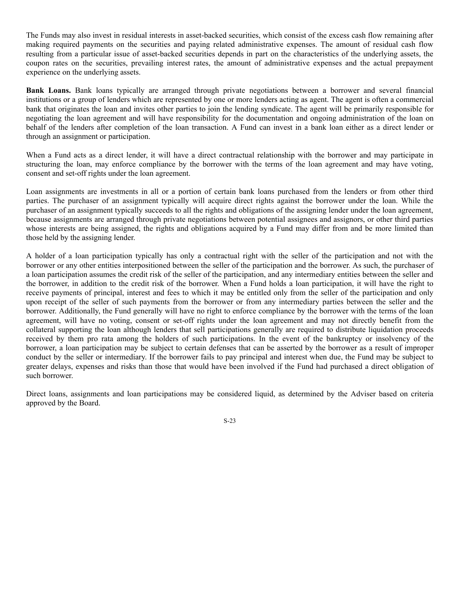The Funds may also invest in residual interests in asset-backed securities, which consist of the excess cash flow remaining after making required payments on the securities and paying related administrative expenses. The amount of residual cash flow resulting from a particular issue of asset-backed securities depends in part on the characteristics of the underlying assets, the coupon rates on the securities, prevailing interest rates, the amount of administrative expenses and the actual prepayment experience on the underlying assets.

**Bank Loans.** Bank loans typically are arranged through private negotiations between a borrower and several financial institutions or a group of lenders which are represented by one or more lenders acting as agent. The agent is often a commercial bank that originates the loan and invites other parties to join the lending syndicate. The agent will be primarily responsible for negotiating the loan agreement and will have responsibility for the documentation and ongoing administration of the loan on behalf of the lenders after completion of the loan transaction. A Fund can invest in a bank loan either as a direct lender or through an assignment or participation.

When a Fund acts as a direct lender, it will have a direct contractual relationship with the borrower and may participate in structuring the loan, may enforce compliance by the borrower with the terms of the loan agreement and may have voting, consent and set-off rights under the loan agreement.

Loan assignments are investments in all or a portion of certain bank loans purchased from the lenders or from other third parties. The purchaser of an assignment typically will acquire direct rights against the borrower under the loan. While the purchaser of an assignment typically succeeds to all the rights and obligations of the assigning lender under the loan agreement, because assignments are arranged through private negotiations between potential assignees and assignors, or other third parties whose interests are being assigned, the rights and obligations acquired by a Fund may differ from and be more limited than those held by the assigning lender.

A holder of a loan participation typically has only a contractual right with the seller of the participation and not with the borrower or any other entities interpositioned between the seller of the participation and the borrower. As such, the purchaser of a loan participation assumes the credit risk of the seller of the participation, and any intermediary entities between the seller and the borrower, in addition to the credit risk of the borrower. When a Fund holds a loan participation, it will have the right to receive payments of principal, interest and fees to which it may be entitled only from the seller of the participation and only upon receipt of the seller of such payments from the borrower or from any intermediary parties between the seller and the borrower. Additionally, the Fund generally will have no right to enforce compliance by the borrower with the terms of the loan agreement, will have no voting, consent or set-off rights under the loan agreement and may not directly benefit from the collateral supporting the loan although lenders that sell participations generally are required to distribute liquidation proceeds received by them pro rata among the holders of such participations. In the event of the bankruptcy or insolvency of the borrower, a loan participation may be subject to certain defenses that can be asserted by the borrower as a result of improper conduct by the seller or intermediary. If the borrower fails to pay principal and interest when due, the Fund may be subject to greater delays, expenses and risks than those that would have been involved if the Fund had purchased a direct obligation of such borrower.

Direct loans, assignments and loan participations may be considered liquid, as determined by the Adviser based on criteria approved by the Board.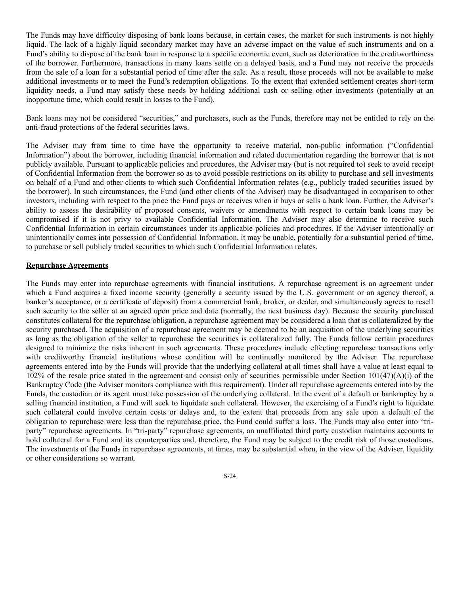The Funds may have difficulty disposing of bank loans because, in certain cases, the market for such instruments is not highly liquid. The lack of a highly liquid secondary market may have an adverse impact on the value of such instruments and on a Fund's ability to dispose of the bank loan in response to a specific economic event, such as deterioration in the creditworthiness of the borrower. Furthermore, transactions in many loans settle on a delayed basis, and a Fund may not receive the proceeds from the sale of a loan for a substantial period of time after the sale. As a result, those proceeds will not be available to make additional investments or to meet the Fund's redemption obligations. To the extent that extended settlement creates short-term liquidity needs, a Fund may satisfy these needs by holding additional cash or selling other investments (potentially at an inopportune time, which could result in losses to the Fund).

Bank loans may not be considered "securities," and purchasers, such as the Funds, therefore may not be entitled to rely on the anti-fraud protections of the federal securities laws.

The Adviser may from time to time have the opportunity to receive material, non-public information ("Confidential Information") about the borrower, including financial information and related documentation regarding the borrower that is not publicly available. Pursuant to applicable policies and procedures, the Adviser may (but is not required to) seek to avoid receipt of Confidential Information from the borrower so as to avoid possible restrictions on its ability to purchase and sell investments on behalf of a Fund and other clients to which such Confidential Information relates (e.g., publicly traded securities issued by the borrower). In such circumstances, the Fund (and other clients of the Adviser) may be disadvantaged in comparison to other investors, including with respect to the price the Fund pays or receives when it buys or sells a bank loan. Further, the Adviser's ability to assess the desirability of proposed consents, waivers or amendments with respect to certain bank loans may be compromised if it is not privy to available Confidential Information. The Adviser may also determine to receive such Confidential Information in certain circumstances under its applicable policies and procedures. If the Adviser intentionally or unintentionally comes into possession of Confidential Information, it may be unable, potentially for a substantial period of time, to purchase or sell publicly traded securities to which such Confidential Information relates.

#### **Repurchase Agreements**

The Funds may enter into repurchase agreements with financial institutions. A repurchase agreement is an agreement under which a Fund acquires a fixed income security (generally a security issued by the U.S. government or an agency thereof, a banker's acceptance, or a certificate of deposit) from a commercial bank, broker, or dealer, and simultaneously agrees to resell such security to the seller at an agreed upon price and date (normally, the next business day). Because the security purchased constitutes collateral for the repurchase obligation, a repurchase agreement may be considered a loan that is collateralized by the security purchased. The acquisition of a repurchase agreement may be deemed to be an acquisition of the underlying securities as long as the obligation of the seller to repurchase the securities is collateralized fully. The Funds follow certain procedures designed to minimize the risks inherent in such agreements. These procedures include effecting repurchase transactions only with creditworthy financial institutions whose condition will be continually monitored by the Adviser. The repurchase agreements entered into by the Funds will provide that the underlying collateral at all times shall have a value at least equal to 102% of the resale price stated in the agreement and consist only of securities permissible under Section  $101(47)(A)(i)$  of the Bankruptcy Code (the Adviser monitors compliance with this requirement). Under all repurchase agreements entered into by the Funds, the custodian or its agent must take possession of the underlying collateral. In the event of a default or bankruptcy by a selling financial institution, a Fund will seek to liquidate such collateral. However, the exercising of a Fund's right to liquidate such collateral could involve certain costs or delays and, to the extent that proceeds from any sale upon a default of the obligation to repurchase were less than the repurchase price, the Fund could suffer a loss. The Funds may also enter into "triparty" repurchase agreements. In "tri-party" repurchase agreements, an unaffiliated third party custodian maintains accounts to hold collateral for a Fund and its counterparties and, therefore, the Fund may be subject to the credit risk of those custodians. The investments of the Funds in repurchase agreements, at times, may be substantial when, in the view of the Adviser, liquidity or other considerations so warrant.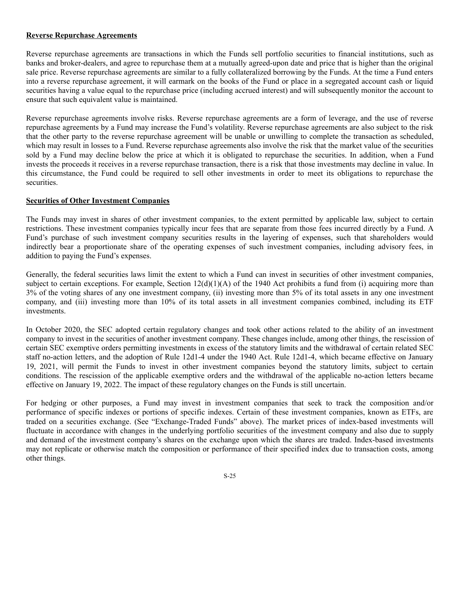## **Reverse Repurchase Agreements**

Reverse repurchase agreements are transactions in which the Funds sell portfolio securities to financial institutions, such as banks and broker-dealers, and agree to repurchase them at a mutually agreed-upon date and price that is higher than the original sale price. Reverse repurchase agreements are similar to a fully collateralized borrowing by the Funds. At the time a Fund enters into a reverse repurchase agreement, it will earmark on the books of the Fund or place in a segregated account cash or liquid securities having a value equal to the repurchase price (including accrued interest) and will subsequently monitor the account to ensure that such equivalent value is maintained.

Reverse repurchase agreements involve risks. Reverse repurchase agreements are a form of leverage, and the use of reverse repurchase agreements by a Fund may increase the Fund's volatility. Reverse repurchase agreements are also subject to the risk that the other party to the reverse repurchase agreement will be unable or unwilling to complete the transaction as scheduled, which may result in losses to a Fund. Reverse repurchase agreements also involve the risk that the market value of the securities sold by a Fund may decline below the price at which it is obligated to repurchase the securities. In addition, when a Fund invests the proceeds it receives in a reverse repurchase transaction, there is a risk that those investments may decline in value. In this circumstance, the Fund could be required to sell other investments in order to meet its obligations to repurchase the securities.

# **Securities of Other Investment Companies**

The Funds may invest in shares of other investment companies, to the extent permitted by applicable law, subject to certain restrictions. These investment companies typically incur fees that are separate from those fees incurred directly by a Fund. A Fund's purchase of such investment company securities results in the layering of expenses, such that shareholders would indirectly bear a proportionate share of the operating expenses of such investment companies, including advisory fees, in addition to paying the Fund's expenses.

Generally, the federal securities laws limit the extent to which a Fund can invest in securities of other investment companies, subject to certain exceptions. For example, Section  $12(d)(1)(A)$  of the 1940 Act prohibits a fund from (i) acquiring more than 3% of the voting shares of any one investment company, (ii) investing more than 5% of its total assets in any one investment company, and (iii) investing more than 10% of its total assets in all investment companies combined, including its ETF investments.

In October 2020, the SEC adopted certain regulatory changes and took other actions related to the ability of an investment company to invest in the securities of another investment company. These changes include, among other things, the rescission of certain SEC exemptive orders permitting investments in excess of the statutory limits and the withdrawal of certain related SEC staff no-action letters, and the adoption of Rule 12d1-4 under the 1940 Act. Rule 12d1-4, which became effective on January 19, 2021, will permit the Funds to invest in other investment companies beyond the statutory limits, subject to certain conditions. The rescission of the applicable exemptive orders and the withdrawal of the applicable no-action letters became effective on January 19, 2022. The impact of these regulatory changes on the Funds is still uncertain.

For hedging or other purposes, a Fund may invest in investment companies that seek to track the composition and/or performance of specific indexes or portions of specific indexes. Certain of these investment companies, known as ETFs, are traded on a securities exchange. (See "Exchange-Traded Funds" above). The market prices of index-based investments will fluctuate in accordance with changes in the underlying portfolio securities of the investment company and also due to supply and demand of the investment company's shares on the exchange upon which the shares are traded. Index-based investments may not replicate or otherwise match the composition or performance of their specified index due to transaction costs, among other things.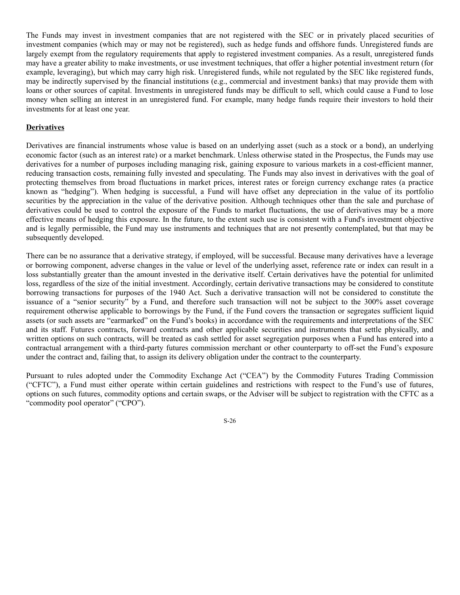The Funds may invest in investment companies that are not registered with the SEC or in privately placed securities of investment companies (which may or may not be registered), such as hedge funds and offshore funds. Unregistered funds are largely exempt from the regulatory requirements that apply to registered investment companies. As a result, unregistered funds may have a greater ability to make investments, or use investment techniques, that offer a higher potential investment return (for example, leveraging), but which may carry high risk. Unregistered funds, while not regulated by the SEC like registered funds, may be indirectly supervised by the financial institutions (e.g., commercial and investment banks) that may provide them with loans or other sources of capital. Investments in unregistered funds may be difficult to sell, which could cause a Fund to lose money when selling an interest in an unregistered fund. For example, many hedge funds require their investors to hold their investments for at least one year.

#### **Derivatives**

Derivatives are financial instruments whose value is based on an underlying asset (such as a stock or a bond), an underlying economic factor (such as an interest rate) or a market benchmark. Unless otherwise stated in the Prospectus, the Funds may use derivatives for a number of purposes including managing risk, gaining exposure to various markets in a cost-efficient manner, reducing transaction costs, remaining fully invested and speculating. The Funds may also invest in derivatives with the goal of protecting themselves from broad fluctuations in market prices, interest rates or foreign currency exchange rates (a practice known as "hedging"). When hedging is successful, a Fund will have offset any depreciation in the value of its portfolio securities by the appreciation in the value of the derivative position. Although techniques other than the sale and purchase of derivatives could be used to control the exposure of the Funds to market fluctuations, the use of derivatives may be a more effective means of hedging this exposure. In the future, to the extent such use is consistent with a Fund's investment objective and is legally permissible, the Fund may use instruments and techniques that are not presently contemplated, but that may be subsequently developed.

There can be no assurance that a derivative strategy, if employed, will be successful. Because many derivatives have a leverage or borrowing component, adverse changes in the value or level of the underlying asset, reference rate or index can result in a loss substantially greater than the amount invested in the derivative itself. Certain derivatives have the potential for unlimited loss, regardless of the size of the initial investment. Accordingly, certain derivative transactions may be considered to constitute borrowing transactions for purposes of the 1940 Act. Such a derivative transaction will not be considered to constitute the issuance of a "senior security" by a Fund, and therefore such transaction will not be subject to the 300% asset coverage requirement otherwise applicable to borrowings by the Fund, if the Fund covers the transaction or segregates sufficient liquid assets (or such assets are "earmarked" on the Fund's books) in accordance with the requirements and interpretations of the SEC and its staff. Futures contracts, forward contracts and other applicable securities and instruments that settle physically, and written options on such contracts, will be treated as cash settled for asset segregation purposes when a Fund has entered into a contractual arrangement with a third-party futures commission merchant or other counterparty to off-set the Fund's exposure under the contract and, failing that, to assign its delivery obligation under the contract to the counterparty.

Pursuant to rules adopted under the Commodity Exchange Act ("CEA") by the Commodity Futures Trading Commission ("CFTC"), a Fund must either operate within certain guidelines and restrictions with respect to the Fund's use of futures, options on such futures, commodity options and certain swaps, or the Adviser will be subject to registration with the CFTC as a "commodity pool operator" ("CPO").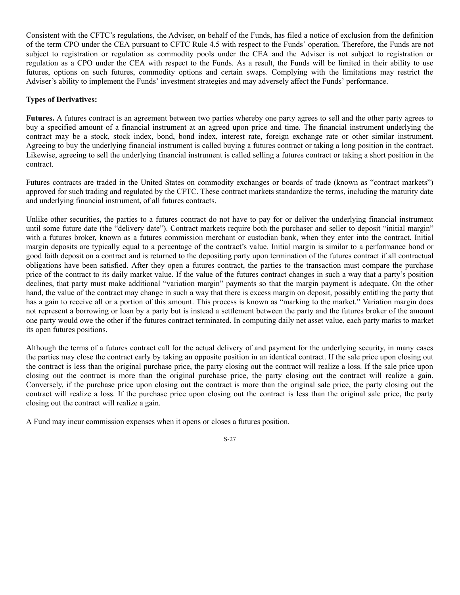Consistent with the CFTC's regulations, the Adviser, on behalf of the Funds, has filed a notice of exclusion from the definition of the term CPO under the CEA pursuant to CFTC Rule 4.5 with respect to the Funds' operation. Therefore, the Funds are not subject to registration or regulation as commodity pools under the CEA and the Adviser is not subject to registration or regulation as a CPO under the CEA with respect to the Funds. As a result, the Funds will be limited in their ability to use futures, options on such futures, commodity options and certain swaps. Complying with the limitations may restrict the Adviser's ability to implement the Funds' investment strategies and may adversely affect the Funds' performance.

## **Types of Derivatives:**

**Futures.** A futures contract is an agreement between two parties whereby one party agrees to sell and the other party agrees to buy a specified amount of a financial instrument at an agreed upon price and time. The financial instrument underlying the contract may be a stock, stock index, bond, bond index, interest rate, foreign exchange rate or other similar instrument. Agreeing to buy the underlying financial instrument is called buying a futures contract or taking a long position in the contract. Likewise, agreeing to sell the underlying financial instrument is called selling a futures contract or taking a short position in the contract.

Futures contracts are traded in the United States on commodity exchanges or boards of trade (known as "contract markets") approved for such trading and regulated by the CFTC. These contract markets standardize the terms, including the maturity date and underlying financial instrument, of all futures contracts.

Unlike other securities, the parties to a futures contract do not have to pay for or deliver the underlying financial instrument until some future date (the "delivery date"). Contract markets require both the purchaser and seller to deposit "initial margin" with a futures broker, known as a futures commission merchant or custodian bank, when they enter into the contract. Initial margin deposits are typically equal to a percentage of the contract's value. Initial margin is similar to a performance bond or good faith deposit on a contract and is returned to the depositing party upon termination of the futures contract if all contractual obligations have been satisfied. After they open a futures contract, the parties to the transaction must compare the purchase price of the contract to its daily market value. If the value of the futures contract changes in such a way that a party's position declines, that party must make additional "variation margin" payments so that the margin payment is adequate. On the other hand, the value of the contract may change in such a way that there is excess margin on deposit, possibly entitling the party that has a gain to receive all or a portion of this amount. This process is known as "marking to the market." Variation margin does not represent a borrowing or loan by a party but is instead a settlement between the party and the futures broker of the amount one party would owe the other if the futures contract terminated. In computing daily net asset value, each party marks to market its open futures positions.

Although the terms of a futures contract call for the actual delivery of and payment for the underlying security, in many cases the parties may close the contract early by taking an opposite position in an identical contract. If the sale price upon closing out the contract is less than the original purchase price, the party closing out the contract will realize a loss. If the sale price upon closing out the contract is more than the original purchase price, the party closing out the contract will realize a gain. Conversely, if the purchase price upon closing out the contract is more than the original sale price, the party closing out the contract will realize a loss. If the purchase price upon closing out the contract is less than the original sale price, the party closing out the contract will realize a gain.

A Fund may incur commission expenses when it opens or closes a futures position.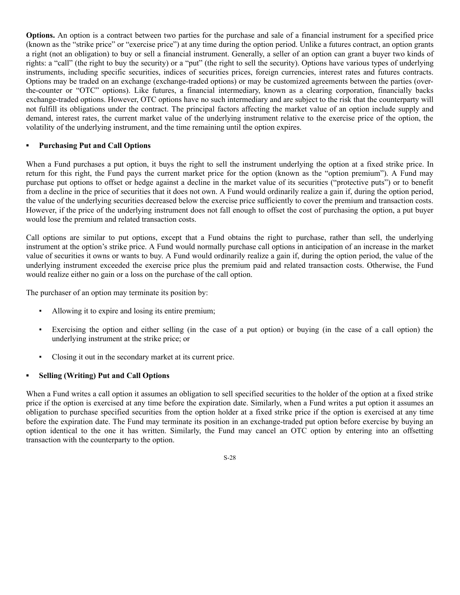**Options.** An option is a contract between two parties for the purchase and sale of a financial instrument for a specified price (known as the "strike price" or "exercise price") at any time during the option period. Unlike a futures contract, an option grants a right (not an obligation) to buy or sell a financial instrument. Generally, a seller of an option can grant a buyer two kinds of rights: a "call" (the right to buy the security) or a "put" (the right to sell the security). Options have various types of underlying instruments, including specific securities, indices of securities prices, foreign currencies, interest rates and futures contracts. Options may be traded on an exchange (exchange-traded options) or may be customized agreements between the parties (overthe-counter or "OTC" options). Like futures, a financial intermediary, known as a clearing corporation, financially backs exchange-traded options. However, OTC options have no such intermediary and are subject to the risk that the counterparty will not fulfill its obligations under the contract. The principal factors affecting the market value of an option include supply and demand, interest rates, the current market value of the underlying instrument relative to the exercise price of the option, the volatility of the underlying instrument, and the time remaining until the option expires.

# **▪ Purchasing Put and Call Options**

When a Fund purchases a put option, it buys the right to sell the instrument underlying the option at a fixed strike price. In return for this right, the Fund pays the current market price for the option (known as the "option premium"). A Fund may purchase put options to offset or hedge against a decline in the market value of its securities ("protective puts") or to benefit from a decline in the price of securities that it does not own. A Fund would ordinarily realize a gain if, during the option period, the value of the underlying securities decreased below the exercise price sufficiently to cover the premium and transaction costs. However, if the price of the underlying instrument does not fall enough to offset the cost of purchasing the option, a put buyer would lose the premium and related transaction costs.

Call options are similar to put options, except that a Fund obtains the right to purchase, rather than sell, the underlying instrument at the option's strike price. A Fund would normally purchase call options in anticipation of an increase in the market value of securities it owns or wants to buy. A Fund would ordinarily realize a gain if, during the option period, the value of the underlying instrument exceeded the exercise price plus the premium paid and related transaction costs. Otherwise, the Fund would realize either no gain or a loss on the purchase of the call option.

The purchaser of an option may terminate its position by:

- Allowing it to expire and losing its entire premium;
- Exercising the option and either selling (in the case of a put option) or buying (in the case of a call option) the underlying instrument at the strike price; or
- Closing it out in the secondary market at its current price.

#### **▪ Selling (Writing) Put and Call Options**

When a Fund writes a call option it assumes an obligation to sell specified securities to the holder of the option at a fixed strike price if the option is exercised at any time before the expiration date. Similarly, when a Fund writes a put option it assumes an obligation to purchase specified securities from the option holder at a fixed strike price if the option is exercised at any time before the expiration date. The Fund may terminate its position in an exchange-traded put option before exercise by buying an option identical to the one it has written. Similarly, the Fund may cancel an OTC option by entering into an offsetting transaction with the counterparty to the option.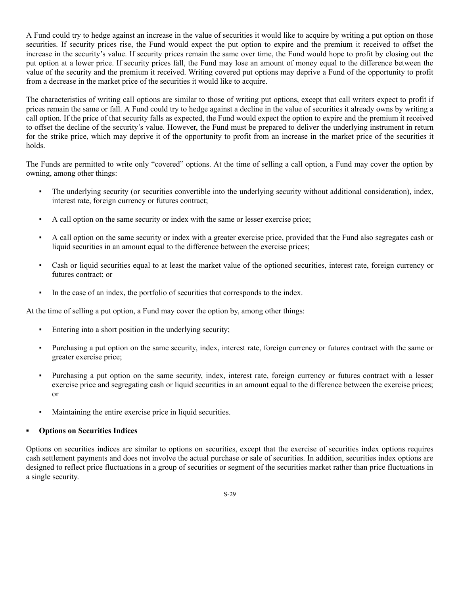A Fund could try to hedge against an increase in the value of securities it would like to acquire by writing a put option on those securities. If security prices rise, the Fund would expect the put option to expire and the premium it received to offset the increase in the security's value. If security prices remain the same over time, the Fund would hope to profit by closing out the put option at a lower price. If security prices fall, the Fund may lose an amount of money equal to the difference between the value of the security and the premium it received. Writing covered put options may deprive a Fund of the opportunity to profit from a decrease in the market price of the securities it would like to acquire.

The characteristics of writing call options are similar to those of writing put options, except that call writers expect to profit if prices remain the same or fall. A Fund could try to hedge against a decline in the value of securities it already owns by writing a call option. If the price of that security falls as expected, the Fund would expect the option to expire and the premium it received to offset the decline of the security's value. However, the Fund must be prepared to deliver the underlying instrument in return for the strike price, which may deprive it of the opportunity to profit from an increase in the market price of the securities it holds.

The Funds are permitted to write only "covered" options. At the time of selling a call option, a Fund may cover the option by owning, among other things:

- The underlying security (or securities convertible into the underlying security without additional consideration), index, interest rate, foreign currency or futures contract;
- A call option on the same security or index with the same or lesser exercise price;
- A call option on the same security or index with a greater exercise price, provided that the Fund also segregates cash or liquid securities in an amount equal to the difference between the exercise prices;
- Cash or liquid securities equal to at least the market value of the optioned securities, interest rate, foreign currency or futures contract; or
- In the case of an index, the portfolio of securities that corresponds to the index.

At the time of selling a put option, a Fund may cover the option by, among other things:

- Entering into a short position in the underlying security;
- Purchasing a put option on the same security, index, interest rate, foreign currency or futures contract with the same or greater exercise price;
- Purchasing a put option on the same security, index, interest rate, foreign currency or futures contract with a lesser exercise price and segregating cash or liquid securities in an amount equal to the difference between the exercise prices; or
- Maintaining the entire exercise price in liquid securities.

#### **▪ Options on Securities Indices**

Options on securities indices are similar to options on securities, except that the exercise of securities index options requires cash settlement payments and does not involve the actual purchase or sale of securities. In addition, securities index options are designed to reflect price fluctuations in a group of securities or segment of the securities market rather than price fluctuations in a single security.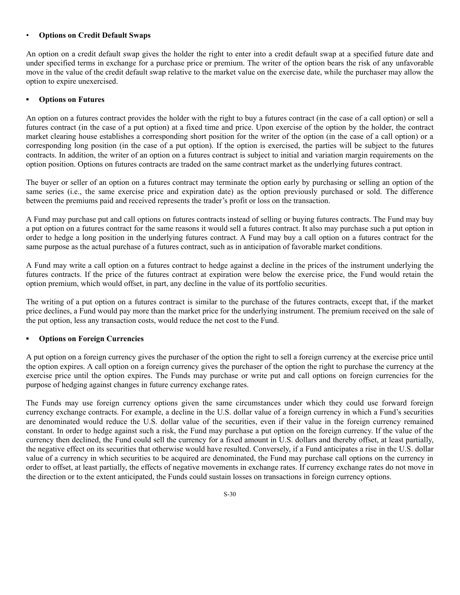## • **Options on Credit Default Swaps**

An option on a credit default swap gives the holder the right to enter into a credit default swap at a specified future date and under specified terms in exchange for a purchase price or premium. The writer of the option bears the risk of any unfavorable move in the value of the credit default swap relative to the market value on the exercise date, while the purchaser may allow the option to expire unexercised.

# **▪ Options on Futures**

An option on a futures contract provides the holder with the right to buy a futures contract (in the case of a call option) or sell a futures contract (in the case of a put option) at a fixed time and price. Upon exercise of the option by the holder, the contract market clearing house establishes a corresponding short position for the writer of the option (in the case of a call option) or a corresponding long position (in the case of a put option). If the option is exercised, the parties will be subject to the futures contracts. In addition, the writer of an option on a futures contract is subject to initial and variation margin requirements on the option position. Options on futures contracts are traded on the same contract market as the underlying futures contract.

The buyer or seller of an option on a futures contract may terminate the option early by purchasing or selling an option of the same series (i.e., the same exercise price and expiration date) as the option previously purchased or sold. The difference between the premiums paid and received represents the trader's profit or loss on the transaction.

A Fund may purchase put and call options on futures contracts instead of selling or buying futures contracts. The Fund may buy a put option on a futures contract for the same reasons it would sell a futures contract. It also may purchase such a put option in order to hedge a long position in the underlying futures contract. A Fund may buy a call option on a futures contract for the same purpose as the actual purchase of a futures contract, such as in anticipation of favorable market conditions.

A Fund may write a call option on a futures contract to hedge against a decline in the prices of the instrument underlying the futures contracts. If the price of the futures contract at expiration were below the exercise price, the Fund would retain the option premium, which would offset, in part, any decline in the value of its portfolio securities.

The writing of a put option on a futures contract is similar to the purchase of the futures contracts, except that, if the market price declines, a Fund would pay more than the market price for the underlying instrument. The premium received on the sale of the put option, less any transaction costs, would reduce the net cost to the Fund.

# **▪ Options on Foreign Currencies**

A put option on a foreign currency gives the purchaser of the option the right to sell a foreign currency at the exercise price until the option expires. A call option on a foreign currency gives the purchaser of the option the right to purchase the currency at the exercise price until the option expires. The Funds may purchase or write put and call options on foreign currencies for the purpose of hedging against changes in future currency exchange rates.

The Funds may use foreign currency options given the same circumstances under which they could use forward foreign currency exchange contracts. For example, a decline in the U.S. dollar value of a foreign currency in which a Fund's securities are denominated would reduce the U.S. dollar value of the securities, even if their value in the foreign currency remained constant. In order to hedge against such a risk, the Fund may purchase a put option on the foreign currency. If the value of the currency then declined, the Fund could sell the currency for a fixed amount in U.S. dollars and thereby offset, at least partially, the negative effect on its securities that otherwise would have resulted. Conversely, if a Fund anticipates a rise in the U.S. dollar value of a currency in which securities to be acquired are denominated, the Fund may purchase call options on the currency in order to offset, at least partially, the effects of negative movements in exchange rates. If currency exchange rates do not move in the direction or to the extent anticipated, the Funds could sustain losses on transactions in foreign currency options.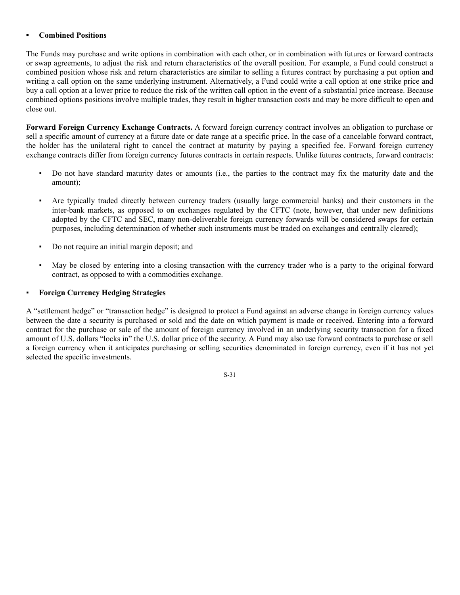# **▪ Combined Positions**

The Funds may purchase and write options in combination with each other, or in combination with futures or forward contracts or swap agreements, to adjust the risk and return characteristics of the overall position. For example, a Fund could construct a combined position whose risk and return characteristics are similar to selling a futures contract by purchasing a put option and writing a call option on the same underlying instrument. Alternatively, a Fund could write a call option at one strike price and buy a call option at a lower price to reduce the risk of the written call option in the event of a substantial price increase. Because combined options positions involve multiple trades, they result in higher transaction costs and may be more difficult to open and close out.

**Forward Foreign Currency Exchange Contracts.** A forward foreign currency contract involves an obligation to purchase or sell a specific amount of currency at a future date or date range at a specific price. In the case of a cancelable forward contract, the holder has the unilateral right to cancel the contract at maturity by paying a specified fee. Forward foreign currency exchange contracts differ from foreign currency futures contracts in certain respects. Unlike futures contracts, forward contracts:

- Do not have standard maturity dates or amounts (i.e., the parties to the contract may fix the maturity date and the amount);
- Are typically traded directly between currency traders (usually large commercial banks) and their customers in the inter-bank markets, as opposed to on exchanges regulated by the CFTC (note, however, that under new definitions adopted by the CFTC and SEC, many non-deliverable foreign currency forwards will be considered swaps for certain purposes, including determination of whether such instruments must be traded on exchanges and centrally cleared);
- Do not require an initial margin deposit; and
- May be closed by entering into a closing transaction with the currency trader who is a party to the original forward contract, as opposed to with a commodities exchange.

# ▪ **Foreign Currency Hedging Strategies**

A "settlement hedge" or "transaction hedge" is designed to protect a Fund against an adverse change in foreign currency values between the date a security is purchased or sold and the date on which payment is made or received. Entering into a forward contract for the purchase or sale of the amount of foreign currency involved in an underlying security transaction for a fixed amount of U.S. dollars "locks in" the U.S. dollar price of the security. A Fund may also use forward contracts to purchase or sell a foreign currency when it anticipates purchasing or selling securities denominated in foreign currency, even if it has not yet selected the specific investments.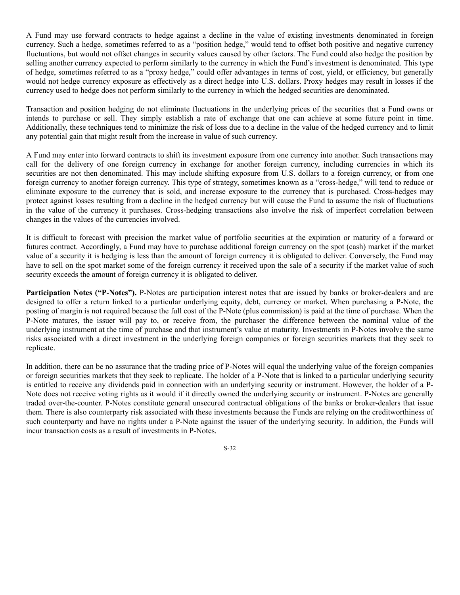A Fund may use forward contracts to hedge against a decline in the value of existing investments denominated in foreign currency. Such a hedge, sometimes referred to as a "position hedge," would tend to offset both positive and negative currency fluctuations, but would not offset changes in security values caused by other factors. The Fund could also hedge the position by selling another currency expected to perform similarly to the currency in which the Fund's investment is denominated. This type of hedge, sometimes referred to as a "proxy hedge," could offer advantages in terms of cost, yield, or efficiency, but generally would not hedge currency exposure as effectively as a direct hedge into U.S. dollars. Proxy hedges may result in losses if the currency used to hedge does not perform similarly to the currency in which the hedged securities are denominated.

Transaction and position hedging do not eliminate fluctuations in the underlying prices of the securities that a Fund owns or intends to purchase or sell. They simply establish a rate of exchange that one can achieve at some future point in time. Additionally, these techniques tend to minimize the risk of loss due to a decline in the value of the hedged currency and to limit any potential gain that might result from the increase in value of such currency.

A Fund may enter into forward contracts to shift its investment exposure from one currency into another. Such transactions may call for the delivery of one foreign currency in exchange for another foreign currency, including currencies in which its securities are not then denominated. This may include shifting exposure from U.S. dollars to a foreign currency, or from one foreign currency to another foreign currency. This type of strategy, sometimes known as a "cross-hedge," will tend to reduce or eliminate exposure to the currency that is sold, and increase exposure to the currency that is purchased. Cross-hedges may protect against losses resulting from a decline in the hedged currency but will cause the Fund to assume the risk of fluctuations in the value of the currency it purchases. Cross-hedging transactions also involve the risk of imperfect correlation between changes in the values of the currencies involved.

It is difficult to forecast with precision the market value of portfolio securities at the expiration or maturity of a forward or futures contract. Accordingly, a Fund may have to purchase additional foreign currency on the spot (cash) market if the market value of a security it is hedging is less than the amount of foreign currency it is obligated to deliver. Conversely, the Fund may have to sell on the spot market some of the foreign currency it received upon the sale of a security if the market value of such security exceeds the amount of foreign currency it is obligated to deliver.

**Participation Notes ("P-Notes").** P-Notes are participation interest notes that are issued by banks or broker-dealers and are designed to offer a return linked to a particular underlying equity, debt, currency or market. When purchasing a P-Note, the posting of margin is not required because the full cost of the P-Note (plus commission) is paid at the time of purchase. When the P-Note matures, the issuer will pay to, or receive from, the purchaser the difference between the nominal value of the underlying instrument at the time of purchase and that instrument's value at maturity. Investments in P-Notes involve the same risks associated with a direct investment in the underlying foreign companies or foreign securities markets that they seek to replicate.

In addition, there can be no assurance that the trading price of P-Notes will equal the underlying value of the foreign companies or foreign securities markets that they seek to replicate. The holder of a P-Note that is linked to a particular underlying security is entitled to receive any dividends paid in connection with an underlying security or instrument. However, the holder of a P-Note does not receive voting rights as it would if it directly owned the underlying security or instrument. P-Notes are generally traded over-the-counter. P-Notes constitute general unsecured contractual obligations of the banks or broker-dealers that issue them. There is also counterparty risk associated with these investments because the Funds are relying on the creditworthiness of such counterparty and have no rights under a P-Note against the issuer of the underlying security. In addition, the Funds will incur transaction costs as a result of investments in P-Notes.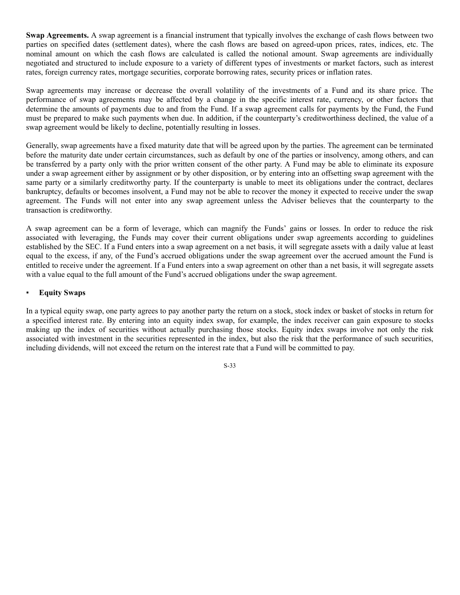**Swap Agreements.** A swap agreement is a financial instrument that typically involves the exchange of cash flows between two parties on specified dates (settlement dates), where the cash flows are based on agreed-upon prices, rates, indices, etc. The nominal amount on which the cash flows are calculated is called the notional amount. Swap agreements are individually negotiated and structured to include exposure to a variety of different types of investments or market factors, such as interest rates, foreign currency rates, mortgage securities, corporate borrowing rates, security prices or inflation rates.

Swap agreements may increase or decrease the overall volatility of the investments of a Fund and its share price. The performance of swap agreements may be affected by a change in the specific interest rate, currency, or other factors that determine the amounts of payments due to and from the Fund. If a swap agreement calls for payments by the Fund, the Fund must be prepared to make such payments when due. In addition, if the counterparty's creditworthiness declined, the value of a swap agreement would be likely to decline, potentially resulting in losses.

Generally, swap agreements have a fixed maturity date that will be agreed upon by the parties. The agreement can be terminated before the maturity date under certain circumstances, such as default by one of the parties or insolvency, among others, and can be transferred by a party only with the prior written consent of the other party. A Fund may be able to eliminate its exposure under a swap agreement either by assignment or by other disposition, or by entering into an offsetting swap agreement with the same party or a similarly creditworthy party. If the counterparty is unable to meet its obligations under the contract, declares bankruptcy, defaults or becomes insolvent, a Fund may not be able to recover the money it expected to receive under the swap agreement. The Funds will not enter into any swap agreement unless the Adviser believes that the counterparty to the transaction is creditworthy.

A swap agreement can be a form of leverage, which can magnify the Funds' gains or losses. In order to reduce the risk associated with leveraging, the Funds may cover their current obligations under swap agreements according to guidelines established by the SEC. If a Fund enters into a swap agreement on a net basis, it will segregate assets with a daily value at least equal to the excess, if any, of the Fund's accrued obligations under the swap agreement over the accrued amount the Fund is entitled to receive under the agreement. If a Fund enters into a swap agreement on other than a net basis, it will segregate assets with a value equal to the full amount of the Fund's accrued obligations under the swap agreement.

# ▪ **Equity Swaps**

In a typical equity swap, one party agrees to pay another party the return on a stock, stock index or basket of stocks in return for a specified interest rate. By entering into an equity index swap, for example, the index receiver can gain exposure to stocks making up the index of securities without actually purchasing those stocks. Equity index swaps involve not only the risk associated with investment in the securities represented in the index, but also the risk that the performance of such securities, including dividends, will not exceed the return on the interest rate that a Fund will be committed to pay.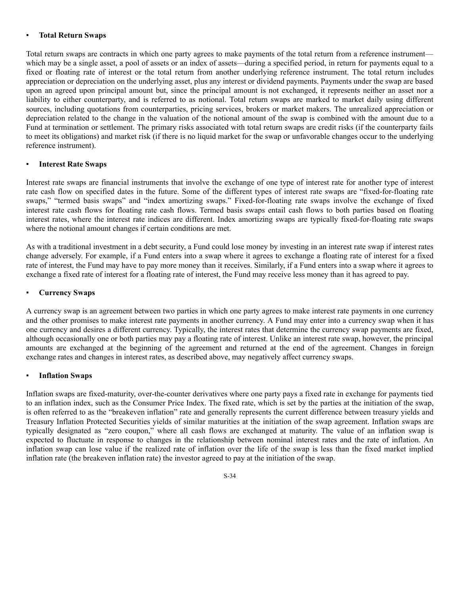## ▪ **Total Return Swaps**

Total return swaps are contracts in which one party agrees to make payments of the total return from a reference instrument which may be a single asset, a pool of assets or an index of assets—during a specified period, in return for payments equal to a fixed or floating rate of interest or the total return from another underlying reference instrument. The total return includes appreciation or depreciation on the underlying asset, plus any interest or dividend payments. Payments under the swap are based upon an agreed upon principal amount but, since the principal amount is not exchanged, it represents neither an asset nor a liability to either counterparty, and is referred to as notional. Total return swaps are marked to market daily using different sources, including quotations from counterparties, pricing services, brokers or market makers. The unrealized appreciation or depreciation related to the change in the valuation of the notional amount of the swap is combined with the amount due to a Fund at termination or settlement. The primary risks associated with total return swaps are credit risks (if the counterparty fails to meet its obligations) and market risk (if there is no liquid market for the swap or unfavorable changes occur to the underlying reference instrument).

# ▪ **Interest Rate Swaps**

Interest rate swaps are financial instruments that involve the exchange of one type of interest rate for another type of interest rate cash flow on specified dates in the future. Some of the different types of interest rate swaps are "fixed-for-floating rate swaps," "termed basis swaps" and "index amortizing swaps." Fixed-for-floating rate swaps involve the exchange of fixed interest rate cash flows for floating rate cash flows. Termed basis swaps entail cash flows to both parties based on floating interest rates, where the interest rate indices are different. Index amortizing swaps are typically fixed-for-floating rate swaps where the notional amount changes if certain conditions are met.

As with a traditional investment in a debt security, a Fund could lose money by investing in an interest rate swap if interest rates change adversely. For example, if a Fund enters into a swap where it agrees to exchange a floating rate of interest for a fixed rate of interest, the Fund may have to pay more money than it receives. Similarly, if a Fund enters into a swap where it agrees to exchange a fixed rate of interest for a floating rate of interest, the Fund may receive less money than it has agreed to pay.

# ▪ **Currency Swaps**

A currency swap is an agreement between two parties in which one party agrees to make interest rate payments in one currency and the other promises to make interest rate payments in another currency. A Fund may enter into a currency swap when it has one currency and desires a different currency. Typically, the interest rates that determine the currency swap payments are fixed, although occasionally one or both parties may pay a floating rate of interest. Unlike an interest rate swap, however, the principal amounts are exchanged at the beginning of the agreement and returned at the end of the agreement. Changes in foreign exchange rates and changes in interest rates, as described above, may negatively affect currency swaps.

#### ▪ **Inflation Swaps**

Inflation swaps are fixed-maturity, over-the-counter derivatives where one party pays a fixed rate in exchange for payments tied to an inflation index, such as the Consumer Price Index. The fixed rate, which is set by the parties at the initiation of the swap, is often referred to as the "breakeven inflation" rate and generally represents the current difference between treasury yields and Treasury Inflation Protected Securities yields of similar maturities at the initiation of the swap agreement. Inflation swaps are typically designated as "zero coupon," where all cash flows are exchanged at maturity. The value of an inflation swap is expected to fluctuate in response to changes in the relationship between nominal interest rates and the rate of inflation. An inflation swap can lose value if the realized rate of inflation over the life of the swap is less than the fixed market implied inflation rate (the breakeven inflation rate) the investor agreed to pay at the initiation of the swap.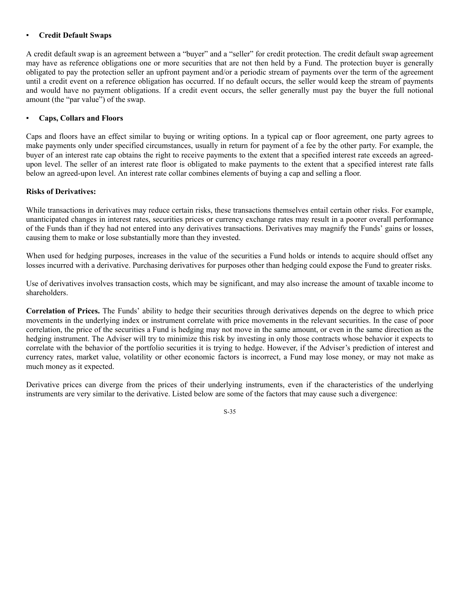### ▪ **Credit Default Swaps**

A credit default swap is an agreement between a "buyer" and a "seller" for credit protection. The credit default swap agreement may have as reference obligations one or more securities that are not then held by a Fund. The protection buyer is generally obligated to pay the protection seller an upfront payment and/or a periodic stream of payments over the term of the agreement until a credit event on a reference obligation has occurred. If no default occurs, the seller would keep the stream of payments and would have no payment obligations. If a credit event occurs, the seller generally must pay the buyer the full notional amount (the "par value") of the swap.

## ▪ **Caps, Collars and Floors**

Caps and floors have an effect similar to buying or writing options. In a typical cap or floor agreement, one party agrees to make payments only under specified circumstances, usually in return for payment of a fee by the other party. For example, the buyer of an interest rate cap obtains the right to receive payments to the extent that a specified interest rate exceeds an agreedupon level. The seller of an interest rate floor is obligated to make payments to the extent that a specified interest rate falls below an agreed-upon level. An interest rate collar combines elements of buying a cap and selling a floor.

## **Risks of Derivatives:**

While transactions in derivatives may reduce certain risks, these transactions themselves entail certain other risks. For example, unanticipated changes in interest rates, securities prices or currency exchange rates may result in a poorer overall performance of the Funds than if they had not entered into any derivatives transactions. Derivatives may magnify the Funds' gains or losses, causing them to make or lose substantially more than they invested.

When used for hedging purposes, increases in the value of the securities a Fund holds or intends to acquire should offset any losses incurred with a derivative. Purchasing derivatives for purposes other than hedging could expose the Fund to greater risks.

Use of derivatives involves transaction costs, which may be significant, and may also increase the amount of taxable income to shareholders.

**Correlation of Prices.** The Funds' ability to hedge their securities through derivatives depends on the degree to which price movements in the underlying index or instrument correlate with price movements in the relevant securities. In the case of poor correlation, the price of the securities a Fund is hedging may not move in the same amount, or even in the same direction as the hedging instrument. The Adviser will try to minimize this risk by investing in only those contracts whose behavior it expects to correlate with the behavior of the portfolio securities it is trying to hedge. However, if the Adviser's prediction of interest and currency rates, market value, volatility or other economic factors is incorrect, a Fund may lose money, or may not make as much money as it expected.

Derivative prices can diverge from the prices of their underlying instruments, even if the characteristics of the underlying instruments are very similar to the derivative. Listed below are some of the factors that may cause such a divergence: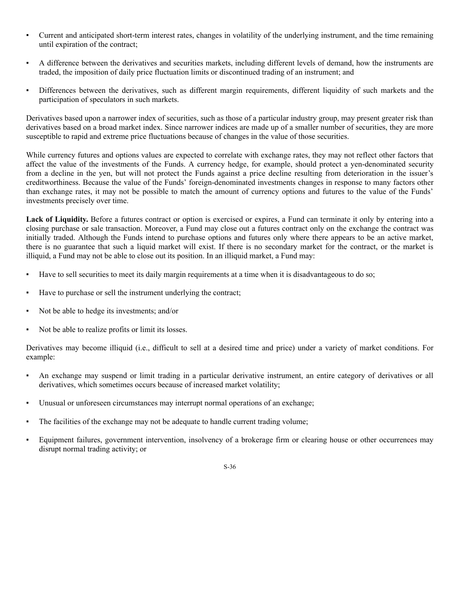- Current and anticipated short-term interest rates, changes in volatility of the underlying instrument, and the time remaining until expiration of the contract;
- A difference between the derivatives and securities markets, including different levels of demand, how the instruments are traded, the imposition of daily price fluctuation limits or discontinued trading of an instrument; and
- Differences between the derivatives, such as different margin requirements, different liquidity of such markets and the participation of speculators in such markets.

Derivatives based upon a narrower index of securities, such as those of a particular industry group, may present greater risk than derivatives based on a broad market index. Since narrower indices are made up of a smaller number of securities, they are more susceptible to rapid and extreme price fluctuations because of changes in the value of those securities.

While currency futures and options values are expected to correlate with exchange rates, they may not reflect other factors that affect the value of the investments of the Funds. A currency hedge, for example, should protect a yen-denominated security from a decline in the yen, but will not protect the Funds against a price decline resulting from deterioration in the issuer's creditworthiness. Because the value of the Funds' foreign-denominated investments changes in response to many factors other than exchange rates, it may not be possible to match the amount of currency options and futures to the value of the Funds' investments precisely over time.

**Lack of Liquidity.** Before a futures contract or option is exercised or expires, a Fund can terminate it only by entering into a closing purchase or sale transaction. Moreover, a Fund may close out a futures contract only on the exchange the contract was initially traded. Although the Funds intend to purchase options and futures only where there appears to be an active market, there is no guarantee that such a liquid market will exist. If there is no secondary market for the contract, or the market is illiquid, a Fund may not be able to close out its position. In an illiquid market, a Fund may:

- Have to sell securities to meet its daily margin requirements at a time when it is disadvantageous to do so;
- Have to purchase or sell the instrument underlying the contract;
- Not be able to hedge its investments; and/or
- Not be able to realize profits or limit its losses.

Derivatives may become illiquid (i.e., difficult to sell at a desired time and price) under a variety of market conditions. For example:

- An exchange may suspend or limit trading in a particular derivative instrument, an entire category of derivatives or all derivatives, which sometimes occurs because of increased market volatility;
- Unusual or unforeseen circumstances may interrupt normal operations of an exchange;
- The facilities of the exchange may not be adequate to handle current trading volume;
- Equipment failures, government intervention, insolvency of a brokerage firm or clearing house or other occurrences may disrupt normal trading activity; or

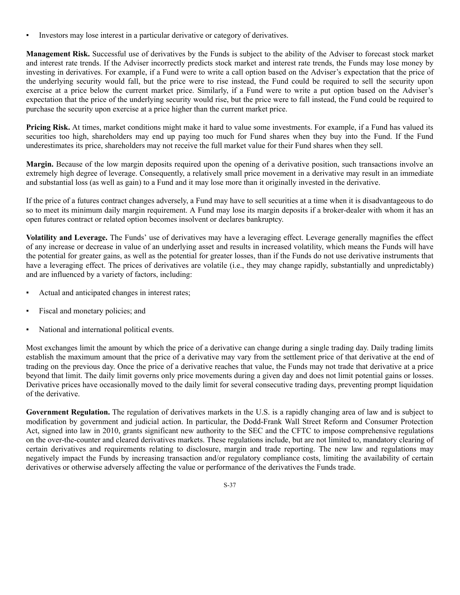▪ Investors may lose interest in a particular derivative or category of derivatives.

**Management Risk.** Successful use of derivatives by the Funds is subject to the ability of the Adviser to forecast stock market and interest rate trends. If the Adviser incorrectly predicts stock market and interest rate trends, the Funds may lose money by investing in derivatives. For example, if a Fund were to write a call option based on the Adviser's expectation that the price of the underlying security would fall, but the price were to rise instead, the Fund could be required to sell the security upon exercise at a price below the current market price. Similarly, if a Fund were to write a put option based on the Adviser's expectation that the price of the underlying security would rise, but the price were to fall instead, the Fund could be required to purchase the security upon exercise at a price higher than the current market price.

**Pricing Risk.** At times, market conditions might make it hard to value some investments. For example, if a Fund has valued its securities too high, shareholders may end up paying too much for Fund shares when they buy into the Fund. If the Fund underestimates its price, shareholders may not receive the full market value for their Fund shares when they sell.

**Margin.** Because of the low margin deposits required upon the opening of a derivative position, such transactions involve an extremely high degree of leverage. Consequently, a relatively small price movement in a derivative may result in an immediate and substantial loss (as well as gain) to a Fund and it may lose more than it originally invested in the derivative.

If the price of a futures contract changes adversely, a Fund may have to sell securities at a time when it is disadvantageous to do so to meet its minimum daily margin requirement. A Fund may lose its margin deposits if a broker-dealer with whom it has an open futures contract or related option becomes insolvent or declares bankruptcy.

**Volatility and Leverage.** The Funds' use of derivatives may have a leveraging effect. Leverage generally magnifies the effect of any increase or decrease in value of an underlying asset and results in increased volatility, which means the Funds will have the potential for greater gains, as well as the potential for greater losses, than if the Funds do not use derivative instruments that have a leveraging effect. The prices of derivatives are volatile (i.e., they may change rapidly, substantially and unpredictably) and are influenced by a variety of factors, including:

- Actual and anticipated changes in interest rates;
- Fiscal and monetary policies; and
- National and international political events.

Most exchanges limit the amount by which the price of a derivative can change during a single trading day. Daily trading limits establish the maximum amount that the price of a derivative may vary from the settlement price of that derivative at the end of trading on the previous day. Once the price of a derivative reaches that value, the Funds may not trade that derivative at a price beyond that limit. The daily limit governs only price movements during a given day and does not limit potential gains or losses. Derivative prices have occasionally moved to the daily limit for several consecutive trading days, preventing prompt liquidation of the derivative.

**Government Regulation.** The regulation of derivatives markets in the U.S. is a rapidly changing area of law and is subject to modification by government and judicial action. In particular, the Dodd-Frank Wall Street Reform and Consumer Protection Act, signed into law in 2010, grants significant new authority to the SEC and the CFTC to impose comprehensive regulations on the over-the-counter and cleared derivatives markets. These regulations include, but are not limited to, mandatory clearing of certain derivatives and requirements relating to disclosure, margin and trade reporting. The new law and regulations may negatively impact the Funds by increasing transaction and/or regulatory compliance costs, limiting the availability of certain derivatives or otherwise adversely affecting the value or performance of the derivatives the Funds trade.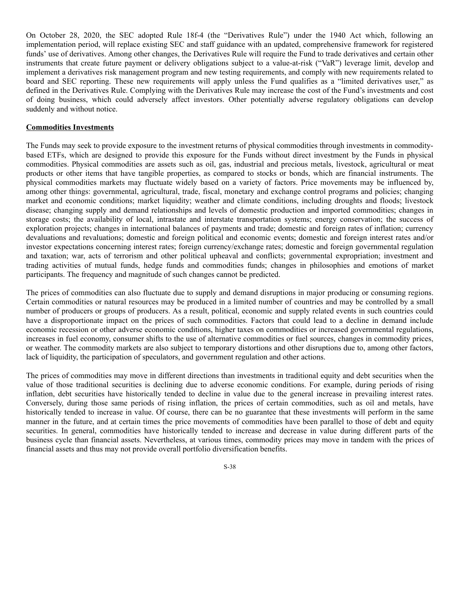On October 28, 2020, the SEC adopted Rule 18f-4 (the "Derivatives Rule") under the 1940 Act which, following an implementation period, will replace existing SEC and staff guidance with an updated, comprehensive framework for registered funds' use of derivatives. Among other changes, the Derivatives Rule will require the Fund to trade derivatives and certain other instruments that create future payment or delivery obligations subject to a value-at-risk ("VaR") leverage limit, develop and implement a derivatives risk management program and new testing requirements, and comply with new requirements related to board and SEC reporting. These new requirements will apply unless the Fund qualifies as a "limited derivatives user," as defined in the Derivatives Rule. Complying with the Derivatives Rule may increase the cost of the Fund's investments and cost of doing business, which could adversely affect investors. Other potentially adverse regulatory obligations can develop suddenly and without notice.

#### **Commodities Investments**

The Funds may seek to provide exposure to the investment returns of physical commodities through investments in commoditybased ETFs, which are designed to provide this exposure for the Funds without direct investment by the Funds in physical commodities. Physical commodities are assets such as oil, gas, industrial and precious metals, livestock, agricultural or meat products or other items that have tangible properties, as compared to stocks or bonds, which are financial instruments. The physical commodities markets may fluctuate widely based on a variety of factors. Price movements may be influenced by, among other things: governmental, agricultural, trade, fiscal, monetary and exchange control programs and policies; changing market and economic conditions; market liquidity; weather and climate conditions, including droughts and floods; livestock disease; changing supply and demand relationships and levels of domestic production and imported commodities; changes in storage costs; the availability of local, intrastate and interstate transportation systems; energy conservation; the success of exploration projects; changes in international balances of payments and trade; domestic and foreign rates of inflation; currency devaluations and revaluations; domestic and foreign political and economic events; domestic and foreign interest rates and/or investor expectations concerning interest rates; foreign currency/exchange rates; domestic and foreign governmental regulation and taxation; war, acts of terrorism and other political upheaval and conflicts; governmental expropriation; investment and trading activities of mutual funds, hedge funds and commodities funds; changes in philosophies and emotions of market participants. The frequency and magnitude of such changes cannot be predicted.

The prices of commodities can also fluctuate due to supply and demand disruptions in major producing or consuming regions. Certain commodities or natural resources may be produced in a limited number of countries and may be controlled by a small number of producers or groups of producers. As a result, political, economic and supply related events in such countries could have a disproportionate impact on the prices of such commodities. Factors that could lead to a decline in demand include economic recession or other adverse economic conditions, higher taxes on commodities or increased governmental regulations, increases in fuel economy, consumer shifts to the use of alternative commodities or fuel sources, changes in commodity prices, or weather. The commodity markets are also subject to temporary distortions and other disruptions due to, among other factors, lack of liquidity, the participation of speculators, and government regulation and other actions.

The prices of commodities may move in different directions than investments in traditional equity and debt securities when the value of those traditional securities is declining due to adverse economic conditions. For example, during periods of rising inflation, debt securities have historically tended to decline in value due to the general increase in prevailing interest rates. Conversely, during those same periods of rising inflation, the prices of certain commodities, such as oil and metals, have historically tended to increase in value. Of course, there can be no guarantee that these investments will perform in the same manner in the future, and at certain times the price movements of commodities have been parallel to those of debt and equity securities. In general, commodities have historically tended to increase and decrease in value during different parts of the business cycle than financial assets. Nevertheless, at various times, commodity prices may move in tandem with the prices of financial assets and thus may not provide overall portfolio diversification benefits.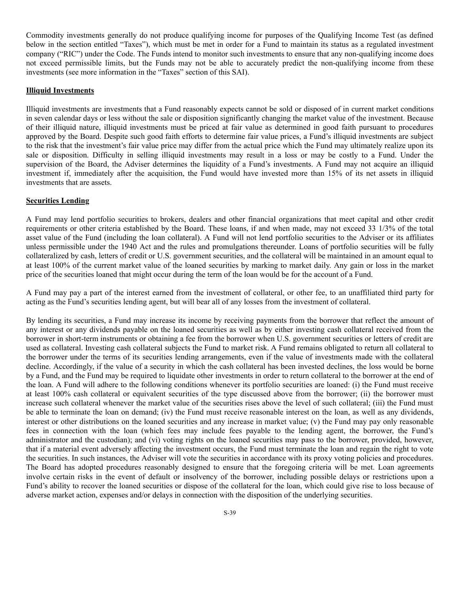Commodity investments generally do not produce qualifying income for purposes of the Qualifying Income Test (as defined below in the section entitled "Taxes"), which must be met in order for a Fund to maintain its status as a regulated investment company ("RIC") under the Code. The Funds intend to monitor such investments to ensure that any non-qualifying income does not exceed permissible limits, but the Funds may not be able to accurately predict the non-qualifying income from these investments (see more information in the "Taxes" section of this SAI).

#### **Illiquid Investments**

Illiquid investments are investments that a Fund reasonably expects cannot be sold or disposed of in current market conditions in seven calendar days or less without the sale or disposition significantly changing the market value of the investment. Because of their illiquid nature, illiquid investments must be priced at fair value as determined in good faith pursuant to procedures approved by the Board. Despite such good faith efforts to determine fair value prices, a Fund's illiquid investments are subject to the risk that the investment's fair value price may differ from the actual price which the Fund may ultimately realize upon its sale or disposition. Difficulty in selling illiquid investments may result in a loss or may be costly to a Fund. Under the supervision of the Board, the Adviser determines the liquidity of a Fund's investments. A Fund may not acquire an illiquid investment if, immediately after the acquisition, the Fund would have invested more than 15% of its net assets in illiquid investments that are assets.

#### **Securities Lending**

A Fund may lend portfolio securities to brokers, dealers and other financial organizations that meet capital and other credit requirements or other criteria established by the Board. These loans, if and when made, may not exceed 33 1/3% of the total asset value of the Fund (including the loan collateral). A Fund will not lend portfolio securities to the Adviser or its affiliates unless permissible under the 1940 Act and the rules and promulgations thereunder. Loans of portfolio securities will be fully collateralized by cash, letters of credit or U.S. government securities, and the collateral will be maintained in an amount equal to at least 100% of the current market value of the loaned securities by marking to market daily. Any gain or loss in the market price of the securities loaned that might occur during the term of the loan would be for the account of a Fund.

A Fund may pay a part of the interest earned from the investment of collateral, or other fee, to an unaffiliated third party for acting as the Fund's securities lending agent, but will bear all of any losses from the investment of collateral.

By lending its securities, a Fund may increase its income by receiving payments from the borrower that reflect the amount of any interest or any dividends payable on the loaned securities as well as by either investing cash collateral received from the borrower in short-term instruments or obtaining a fee from the borrower when U.S. government securities or letters of credit are used as collateral. Investing cash collateral subjects the Fund to market risk. A Fund remains obligated to return all collateral to the borrower under the terms of its securities lending arrangements, even if the value of investments made with the collateral decline. Accordingly, if the value of a security in which the cash collateral has been invested declines, the loss would be borne by a Fund, and the Fund may be required to liquidate other investments in order to return collateral to the borrower at the end of the loan. A Fund will adhere to the following conditions whenever its portfolio securities are loaned: (i) the Fund must receive at least 100% cash collateral or equivalent securities of the type discussed above from the borrower; (ii) the borrower must increase such collateral whenever the market value of the securities rises above the level of such collateral; (iii) the Fund must be able to terminate the loan on demand; (iv) the Fund must receive reasonable interest on the loan, as well as any dividends, interest or other distributions on the loaned securities and any increase in market value; (v) the Fund may pay only reasonable fees in connection with the loan (which fees may include fees payable to the lending agent, the borrower, the Fund's administrator and the custodian); and (vi) voting rights on the loaned securities may pass to the borrower, provided, however, that if a material event adversely affecting the investment occurs, the Fund must terminate the loan and regain the right to vote the securities. In such instances, the Adviser will vote the securities in accordance with its proxy voting policies and procedures. The Board has adopted procedures reasonably designed to ensure that the foregoing criteria will be met. Loan agreements involve certain risks in the event of default or insolvency of the borrower, including possible delays or restrictions upon a Fund's ability to recover the loaned securities or dispose of the collateral for the loan, which could give rise to loss because of adverse market action, expenses and/or delays in connection with the disposition of the underlying securities.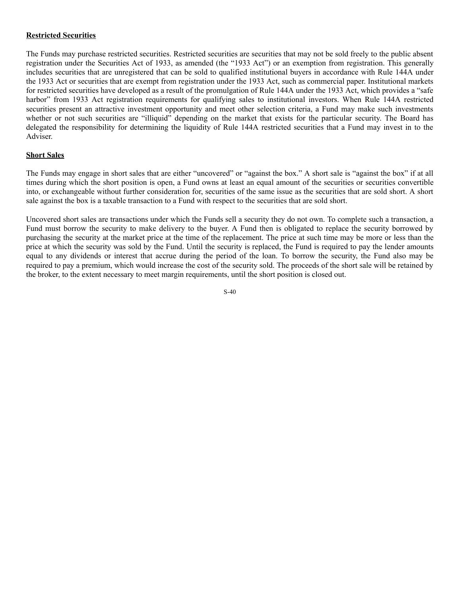### **Restricted Securities**

The Funds may purchase restricted securities. Restricted securities are securities that may not be sold freely to the public absent registration under the Securities Act of 1933, as amended (the "1933 Act") or an exemption from registration. This generally includes securities that are unregistered that can be sold to qualified institutional buyers in accordance with Rule 144A under the 1933 Act or securities that are exempt from registration under the 1933 Act, such as commercial paper. Institutional markets for restricted securities have developed as a result of the promulgation of Rule 144A under the 1933 Act, which provides a "safe harbor" from 1933 Act registration requirements for qualifying sales to institutional investors. When Rule 144A restricted securities present an attractive investment opportunity and meet other selection criteria, a Fund may make such investments whether or not such securities are "illiquid" depending on the market that exists for the particular security. The Board has delegated the responsibility for determining the liquidity of Rule 144A restricted securities that a Fund may invest in to the Adviser.

## **Short Sales**

The Funds may engage in short sales that are either "uncovered" or "against the box." A short sale is "against the box" if at all times during which the short position is open, a Fund owns at least an equal amount of the securities or securities convertible into, or exchangeable without further consideration for, securities of the same issue as the securities that are sold short. A short sale against the box is a taxable transaction to a Fund with respect to the securities that are sold short.

Uncovered short sales are transactions under which the Funds sell a security they do not own. To complete such a transaction, a Fund must borrow the security to make delivery to the buyer. A Fund then is obligated to replace the security borrowed by purchasing the security at the market price at the time of the replacement. The price at such time may be more or less than the price at which the security was sold by the Fund. Until the security is replaced, the Fund is required to pay the lender amounts equal to any dividends or interest that accrue during the period of the loan. To borrow the security, the Fund also may be required to pay a premium, which would increase the cost of the security sold. The proceeds of the short sale will be retained by the broker, to the extent necessary to meet margin requirements, until the short position is closed out.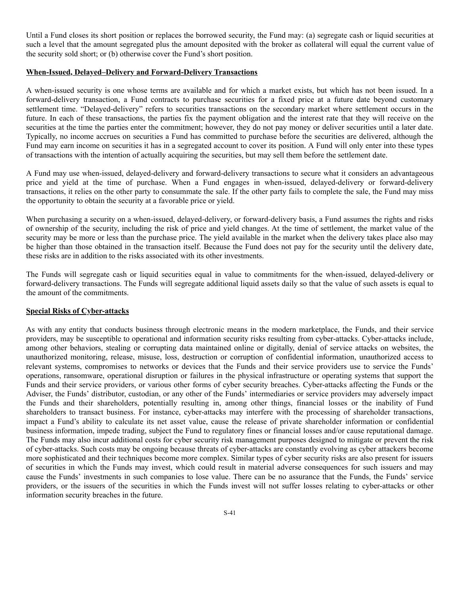Until a Fund closes its short position or replaces the borrowed security, the Fund may: (a) segregate cash or liquid securities at such a level that the amount segregated plus the amount deposited with the broker as collateral will equal the current value of the security sold short; or (b) otherwise cover the Fund's short position.

### **When-Issued, Delayed–Delivery and Forward-Delivery Transactions**

A when-issued security is one whose terms are available and for which a market exists, but which has not been issued. In a forward-delivery transaction, a Fund contracts to purchase securities for a fixed price at a future date beyond customary settlement time. "Delayed-delivery" refers to securities transactions on the secondary market where settlement occurs in the future. In each of these transactions, the parties fix the payment obligation and the interest rate that they will receive on the securities at the time the parties enter the commitment; however, they do not pay money or deliver securities until a later date. Typically, no income accrues on securities a Fund has committed to purchase before the securities are delivered, although the Fund may earn income on securities it has in a segregated account to cover its position. A Fund will only enter into these types of transactions with the intention of actually acquiring the securities, but may sell them before the settlement date.

A Fund may use when-issued, delayed-delivery and forward-delivery transactions to secure what it considers an advantageous price and yield at the time of purchase. When a Fund engages in when-issued, delayed-delivery or forward-delivery transactions, it relies on the other party to consummate the sale. If the other party fails to complete the sale, the Fund may miss the opportunity to obtain the security at a favorable price or yield.

When purchasing a security on a when-issued, delayed-delivery, or forward-delivery basis, a Fund assumes the rights and risks of ownership of the security, including the risk of price and yield changes. At the time of settlement, the market value of the security may be more or less than the purchase price. The yield available in the market when the delivery takes place also may be higher than those obtained in the transaction itself. Because the Fund does not pay for the security until the delivery date, these risks are in addition to the risks associated with its other investments.

The Funds will segregate cash or liquid securities equal in value to commitments for the when-issued, delayed-delivery or forward-delivery transactions. The Funds will segregate additional liquid assets daily so that the value of such assets is equal to the amount of the commitments.

### **Special Risks of Cyber-attacks**

As with any entity that conducts business through electronic means in the modern marketplace, the Funds, and their service providers, may be susceptible to operational and information security risks resulting from cyber-attacks. Cyber-attacks include, among other behaviors, stealing or corrupting data maintained online or digitally, denial of service attacks on websites, the unauthorized monitoring, release, misuse, loss, destruction or corruption of confidential information, unauthorized access to relevant systems, compromises to networks or devices that the Funds and their service providers use to service the Funds' operations, ransomware, operational disruption or failures in the physical infrastructure or operating systems that support the Funds and their service providers, or various other forms of cyber security breaches. Cyber-attacks affecting the Funds or the Adviser, the Funds' distributor, custodian, or any other of the Funds' intermediaries or service providers may adversely impact the Funds and their shareholders, potentially resulting in, among other things, financial losses or the inability of Fund shareholders to transact business. For instance, cyber-attacks may interfere with the processing of shareholder transactions, impact a Fund's ability to calculate its net asset value, cause the release of private shareholder information or confidential business information, impede trading, subject the Fund to regulatory fines or financial losses and/or cause reputational damage. The Funds may also incur additional costs for cyber security risk management purposes designed to mitigate or prevent the risk of cyber-attacks. Such costs may be ongoing because threats of cyber-attacks are constantly evolving as cyber attackers become more sophisticated and their techniques become more complex. Similar types of cyber security risks are also present for issuers of securities in which the Funds may invest, which could result in material adverse consequences for such issuers and may cause the Funds' investments in such companies to lose value. There can be no assurance that the Funds, the Funds' service providers, or the issuers of the securities in which the Funds invest will not suffer losses relating to cyber-attacks or other information security breaches in the future.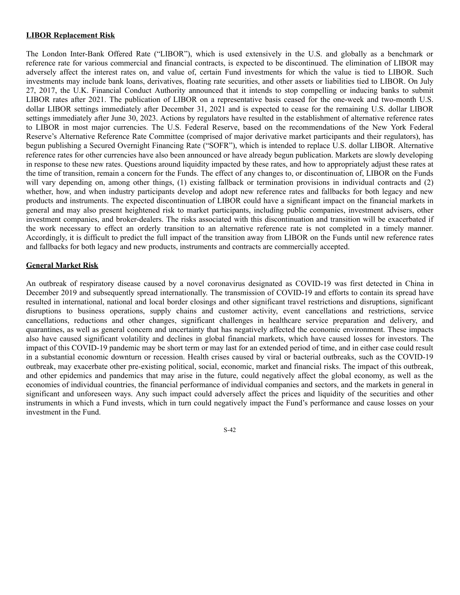#### **LIBOR Replacement Risk**

The London Inter-Bank Offered Rate ("LIBOR"), which is used extensively in the U.S. and globally as a benchmark or reference rate for various commercial and financial contracts, is expected to be discontinued. The elimination of LIBOR may adversely affect the interest rates on, and value of, certain Fund investments for which the value is tied to LIBOR. Such investments may include bank loans, derivatives, floating rate securities, and other assets or liabilities tied to LIBOR. On July 27, 2017, the U.K. Financial Conduct Authority announced that it intends to stop compelling or inducing banks to submit LIBOR rates after 2021. The publication of LIBOR on a representative basis ceased for the one-week and two-month U.S. dollar LIBOR settings immediately after December 31, 2021 and is expected to cease for the remaining U.S. dollar LIBOR settings immediately after June 30, 2023. Actions by regulators have resulted in the establishment of alternative reference rates to LIBOR in most major currencies. The U.S. Federal Reserve, based on the recommendations of the New York Federal Reserve's Alternative Reference Rate Committee (comprised of major derivative market participants and their regulators), has begun publishing a Secured Overnight Financing Rate ("SOFR"), which is intended to replace U.S. dollar LIBOR. Alternative reference rates for other currencies have also been announced or have already begun publication. Markets are slowly developing in response to these new rates. Questions around liquidity impacted by these rates, and how to appropriately adjust these rates at the time of transition, remain a concern for the Funds. The effect of any changes to, or discontinuation of, LIBOR on the Funds will vary depending on, among other things, (1) existing fallback or termination provisions in individual contracts and (2) whether, how, and when industry participants develop and adopt new reference rates and fallbacks for both legacy and new products and instruments. The expected discontinuation of LIBOR could have a significant impact on the financial markets in general and may also present heightened risk to market participants, including public companies, investment advisers, other investment companies, and broker-dealers. The risks associated with this discontinuation and transition will be exacerbated if the work necessary to effect an orderly transition to an alternative reference rate is not completed in a timely manner. Accordingly, it is difficult to predict the full impact of the transition away from LIBOR on the Funds until new reference rates and fallbacks for both legacy and new products, instruments and contracts are commercially accepted.

#### **General Market Risk**

An outbreak of respiratory disease caused by a novel coronavirus designated as COVID-19 was first detected in China in December 2019 and subsequently spread internationally. The transmission of COVID-19 and efforts to contain its spread have resulted in international, national and local border closings and other significant travel restrictions and disruptions, significant disruptions to business operations, supply chains and customer activity, event cancellations and restrictions, service cancellations, reductions and other changes, significant challenges in healthcare service preparation and delivery, and quarantines, as well as general concern and uncertainty that has negatively affected the economic environment. These impacts also have caused significant volatility and declines in global financial markets, which have caused losses for investors. The impact of this COVID-19 pandemic may be short term or may last for an extended period of time, and in either case could result in a substantial economic downturn or recession. Health crises caused by viral or bacterial outbreaks, such as the COVID-19 outbreak, may exacerbate other pre-existing political, social, economic, market and financial risks. The impact of this outbreak, and other epidemics and pandemics that may arise in the future, could negatively affect the global economy, as well as the economies of individual countries, the financial performance of individual companies and sectors, and the markets in general in significant and unforeseen ways. Any such impact could adversely affect the prices and liquidity of the securities and other instruments in which a Fund invests, which in turn could negatively impact the Fund's performance and cause losses on your investment in the Fund.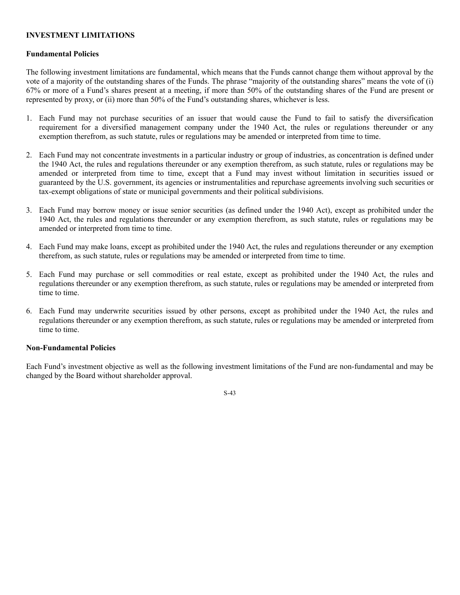## **INVESTMENT LIMITATIONS**

### **Fundamental Policies**

The following investment limitations are fundamental, which means that the Funds cannot change them without approval by the vote of a majority of the outstanding shares of the Funds. The phrase "majority of the outstanding shares" means the vote of (i) 67% or more of a Fund's shares present at a meeting, if more than 50% of the outstanding shares of the Fund are present or represented by proxy, or (ii) more than 50% of the Fund's outstanding shares, whichever is less.

- 1. Each Fund may not purchase securities of an issuer that would cause the Fund to fail to satisfy the diversification requirement for a diversified management company under the 1940 Act, the rules or regulations thereunder or any exemption therefrom, as such statute, rules or regulations may be amended or interpreted from time to time.
- 2. Each Fund may not concentrate investments in a particular industry or group of industries, as concentration is defined under the 1940 Act, the rules and regulations thereunder or any exemption therefrom, as such statute, rules or regulations may be amended or interpreted from time to time, except that a Fund may invest without limitation in securities issued or guaranteed by the U.S. government, its agencies or instrumentalities and repurchase agreements involving such securities or tax-exempt obligations of state or municipal governments and their political subdivisions.
- 3. Each Fund may borrow money or issue senior securities (as defined under the 1940 Act), except as prohibited under the 1940 Act, the rules and regulations thereunder or any exemption therefrom, as such statute, rules or regulations may be amended or interpreted from time to time.
- 4. Each Fund may make loans, except as prohibited under the 1940 Act, the rules and regulations thereunder or any exemption therefrom, as such statute, rules or regulations may be amended or interpreted from time to time.
- 5. Each Fund may purchase or sell commodities or real estate, except as prohibited under the 1940 Act, the rules and regulations thereunder or any exemption therefrom, as such statute, rules or regulations may be amended or interpreted from time to time.
- 6. Each Fund may underwrite securities issued by other persons, except as prohibited under the 1940 Act, the rules and regulations thereunder or any exemption therefrom, as such statute, rules or regulations may be amended or interpreted from time to time.

### **Non-Fundamental Policies**

Each Fund's investment objective as well as the following investment limitations of the Fund are non-fundamental and may be changed by the Board without shareholder approval.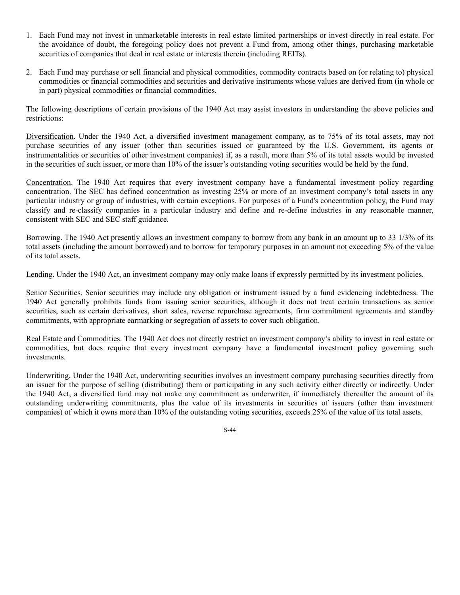- 1. Each Fund may not invest in unmarketable interests in real estate limited partnerships or invest directly in real estate. For the avoidance of doubt, the foregoing policy does not prevent a Fund from, among other things, purchasing marketable securities of companies that deal in real estate or interests therein (including REITs).
- 2. Each Fund may purchase or sell financial and physical commodities, commodity contracts based on (or relating to) physical commodities or financial commodities and securities and derivative instruments whose values are derived from (in whole or in part) physical commodities or financial commodities.

The following descriptions of certain provisions of the 1940 Act may assist investors in understanding the above policies and restrictions:

Diversification. Under the 1940 Act, a diversified investment management company, as to 75% of its total assets, may not purchase securities of any issuer (other than securities issued or guaranteed by the U.S. Government, its agents or instrumentalities or securities of other investment companies) if, as a result, more than 5% of its total assets would be invested in the securities of such issuer, or more than 10% of the issuer's outstanding voting securities would be held by the fund.

Concentration. The 1940 Act requires that every investment company have a fundamental investment policy regarding concentration. The SEC has defined concentration as investing 25% or more of an investment company's total assets in any particular industry or group of industries, with certain exceptions. For purposes of a Fund's concentration policy, the Fund may classify and re-classify companies in a particular industry and define and re-define industries in any reasonable manner, consistent with SEC and SEC staff guidance.

Borrowing. The 1940 Act presently allows an investment company to borrow from any bank in an amount up to 33 1/3% of its total assets (including the amount borrowed) and to borrow for temporary purposes in an amount not exceeding 5% of the value of its total assets.

Lending. Under the 1940 Act, an investment company may only make loans if expressly permitted by its investment policies.

Senior Securities. Senior securities may include any obligation or instrument issued by a fund evidencing indebtedness. The 1940 Act generally prohibits funds from issuing senior securities, although it does not treat certain transactions as senior securities, such as certain derivatives, short sales, reverse repurchase agreements, firm commitment agreements and standby commitments, with appropriate earmarking or segregation of assets to cover such obligation.

Real Estate and Commodities. The 1940 Act does not directly restrict an investment company's ability to invest in real estate or commodities, but does require that every investment company have a fundamental investment policy governing such investments.

Underwriting. Under the 1940 Act, underwriting securities involves an investment company purchasing securities directly from an issuer for the purpose of selling (distributing) them or participating in any such activity either directly or indirectly. Under the 1940 Act, a diversified fund may not make any commitment as underwriter, if immediately thereafter the amount of its outstanding underwriting commitments, plus the value of its investments in securities of issuers (other than investment companies) of which it owns more than 10% of the outstanding voting securities, exceeds 25% of the value of its total assets.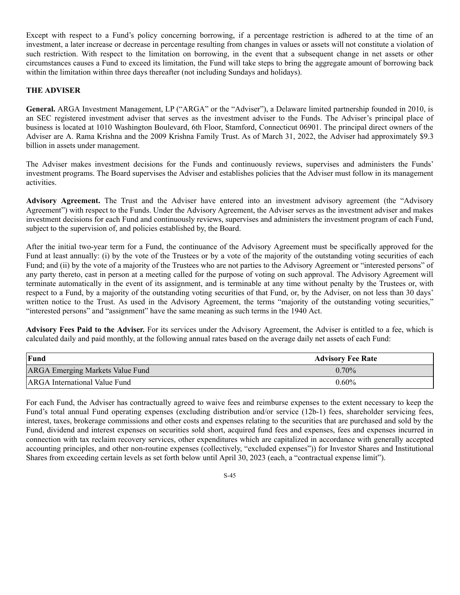Except with respect to a Fund's policy concerning borrowing, if a percentage restriction is adhered to at the time of an investment, a later increase or decrease in percentage resulting from changes in values or assets will not constitute a violation of such restriction. With respect to the limitation on borrowing, in the event that a subsequent change in net assets or other circumstances causes a Fund to exceed its limitation, the Fund will take steps to bring the aggregate amount of borrowing back within the limitation within three days thereafter (not including Sundays and holidays).

## **THE ADVISER**

**General.** ARGA Investment Management, LP ("ARGA" or the "Adviser"), a Delaware limited partnership founded in 2010, is an SEC registered investment adviser that serves as the investment adviser to the Funds. The Adviser's principal place of business is located at 1010 Washington Boulevard, 6th Floor, Stamford, Connecticut 06901. The principal direct owners of the Adviser are A. Rama Krishna and the 2009 Krishna Family Trust. As of March 31, 2022, the Adviser had approximately \$9.3 billion in assets under management.

The Adviser makes investment decisions for the Funds and continuously reviews, supervises and administers the Funds' investment programs. The Board supervises the Adviser and establishes policies that the Adviser must follow in its management activities.

**Advisory Agreement.** The Trust and the Adviser have entered into an investment advisory agreement (the "Advisory Agreement") with respect to the Funds. Under the Advisory Agreement, the Adviser serves as the investment adviser and makes investment decisions for each Fund and continuously reviews, supervises and administers the investment program of each Fund, subject to the supervision of, and policies established by, the Board.

After the initial two-year term for a Fund, the continuance of the Advisory Agreement must be specifically approved for the Fund at least annually: (i) by the vote of the Trustees or by a vote of the majority of the outstanding voting securities of each Fund; and (ii) by the vote of a majority of the Trustees who are not parties to the Advisory Agreement or "interested persons" of any party thereto, cast in person at a meeting called for the purpose of voting on such approval. The Advisory Agreement will terminate automatically in the event of its assignment, and is terminable at any time without penalty by the Trustees or, with respect to a Fund, by a majority of the outstanding voting securities of that Fund, or, by the Adviser, on not less than 30 days' written notice to the Trust. As used in the Advisory Agreement, the terms "majority of the outstanding voting securities," "interested persons" and "assignment" have the same meaning as such terms in the 1940 Act.

**Advisory Fees Paid to the Adviser.** For its services under the Advisory Agreement, the Adviser is entitled to a fee, which is calculated daily and paid monthly, at the following annual rates based on the average daily net assets of each Fund:

| Fund                                    | <b>Advisory Fee Rate</b> |  |  |
|-----------------------------------------|--------------------------|--|--|
| <b>ARGA Emerging Markets Value Fund</b> | 0.70%                    |  |  |
| <b>ARGA</b> International Value Fund    | $0.60\%$                 |  |  |

For each Fund, the Adviser has contractually agreed to waive fees and reimburse expenses to the extent necessary to keep the Fund's total annual Fund operating expenses (excluding distribution and/or service (12b-1) fees, shareholder servicing fees, interest, taxes, brokerage commissions and other costs and expenses relating to the securities that are purchased and sold by the Fund, dividend and interest expenses on securities sold short, acquired fund fees and expenses, fees and expenses incurred in connection with tax reclaim recovery services, other expenditures which are capitalized in accordance with generally accepted accounting principles, and other non-routine expenses (collectively, "excluded expenses")) for Investor Shares and Institutional Shares from exceeding certain levels as set forth below until April 30, 2023 (each, a "contractual expense limit").

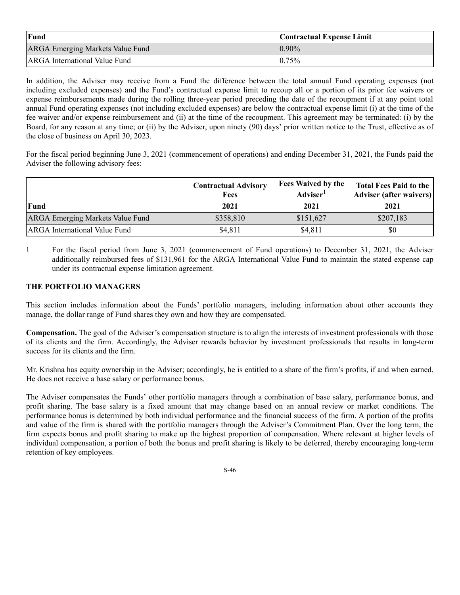| Fund                                    | <b>Contractual Expense Limit</b> |
|-----------------------------------------|----------------------------------|
| <b>ARGA Emerging Markets Value Fund</b> | $0.90\%$                         |
| <b>ARGA</b> International Value Fund    | $0.75\%$                         |

In addition, the Adviser may receive from a Fund the difference between the total annual Fund operating expenses (not including excluded expenses) and the Fund's contractual expense limit to recoup all or a portion of its prior fee waivers or expense reimbursements made during the rolling three-year period preceding the date of the recoupment if at any point total annual Fund operating expenses (not including excluded expenses) are below the contractual expense limit (i) at the time of the fee waiver and/or expense reimbursement and (ii) at the time of the recoupment. This agreement may be terminated: (i) by the Board, for any reason at any time; or (ii) by the Adviser, upon ninety (90) days' prior written notice to the Trust, effective as of the close of business on April 30, 2023.

For the fiscal period beginning June 3, 2021 (commencement of operations) and ending December 31, 2021, the Funds paid the Adviser the following advisory fees:

| Fund                                    | <b>Contractual Advisory</b><br>Fees<br>2021 | <b>Fees Waived by the</b><br>Adviser <sup>1</sup><br>2021 | <b>Total Fees Paid to the</b><br>Adviser (after waivers)<br>2021 |
|-----------------------------------------|---------------------------------------------|-----------------------------------------------------------|------------------------------------------------------------------|
| <b>ARGA Emerging Markets Value Fund</b> | \$358,810                                   | \$151,627                                                 | \$207,183                                                        |
| <b>ARGA</b> International Value Fund    | \$4,811                                     | \$4,811                                                   | \$0                                                              |

1 For the fiscal period from June 3, 2021 (commencement of Fund operations) to December 31, 2021, the Adviser additionally reimbursed fees of \$131,961 for the ARGA International Value Fund to maintain the stated expense cap under its contractual expense limitation agreement.

## **THE PORTFOLIO MANAGERS**

This section includes information about the Funds' portfolio managers, including information about other accounts they manage, the dollar range of Fund shares they own and how they are compensated.

**Compensation.** The goal of the Adviser's compensation structure is to align the interests of investment professionals with those of its clients and the firm. Accordingly, the Adviser rewards behavior by investment professionals that results in long-term success for its clients and the firm.

Mr. Krishna has equity ownership in the Adviser; accordingly, he is entitled to a share of the firm's profits, if and when earned. He does not receive a base salary or performance bonus.

The Adviser compensates the Funds' other portfolio managers through a combination of base salary, performance bonus, and profit sharing. The base salary is a fixed amount that may change based on an annual review or market conditions. The performance bonus is determined by both individual performance and the financial success of the firm. A portion of the profits and value of the firm is shared with the portfolio managers through the Adviser's Commitment Plan. Over the long term, the firm expects bonus and profit sharing to make up the highest proportion of compensation. Where relevant at higher levels of individual compensation, a portion of both the bonus and profit sharing is likely to be deferred, thereby encouraging long-term retention of key employees.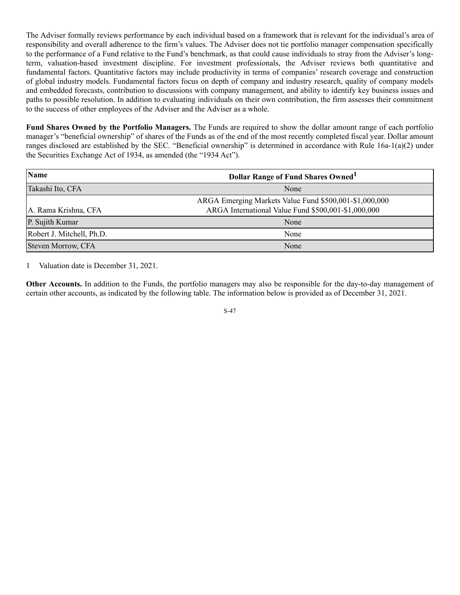The Adviser formally reviews performance by each individual based on a framework that is relevant for the individual's area of responsibility and overall adherence to the firm's values. The Adviser does not tie portfolio manager compensation specifically to the performance of a Fund relative to the Fund's benchmark, as that could cause individuals to stray from the Adviser's longterm, valuation-based investment discipline. For investment professionals, the Adviser reviews both quantitative and fundamental factors. Quantitative factors may include productivity in terms of companies' research coverage and construction of global industry models. Fundamental factors focus on depth of company and industry research, quality of company models and embedded forecasts, contribution to discussions with company management, and ability to identify key business issues and paths to possible resolution. In addition to evaluating individuals on their own contribution, the firm assesses their commitment to the success of other employees of the Adviser and the Adviser as a whole.

**Fund Shares Owned by the Portfolio Managers.** The Funds are required to show the dollar amount range of each portfolio manager's "beneficial ownership" of shares of the Funds as of the end of the most recently completed fiscal year. Dollar amount ranges disclosed are established by the SEC. "Beneficial ownership" is determined in accordance with Rule 16a-1(a)(2) under the Securities Exchange Act of 1934, as amended (the "1934 Act").

| <b>Name</b>               | Dollar Range of Fund Shares Owned <sup>1</sup>                                                                |
|---------------------------|---------------------------------------------------------------------------------------------------------------|
| Takashi Ito, CFA          | None                                                                                                          |
| A. Rama Krishna, CFA      | ARGA Emerging Markets Value Fund \$500,001-\$1,000,000<br>ARGA International Value Fund \$500,001-\$1,000,000 |
| P. Sujith Kumar           | None                                                                                                          |
| Robert J. Mitchell, Ph.D. | None                                                                                                          |
| Steven Morrow, CFA        | None                                                                                                          |

1 Valuation date is December 31, 2021.

**Other Accounts.** In addition to the Funds, the portfolio managers may also be responsible for the day-to-day management of certain other accounts, as indicated by the following table. The information below is provided as of December 31, 2021.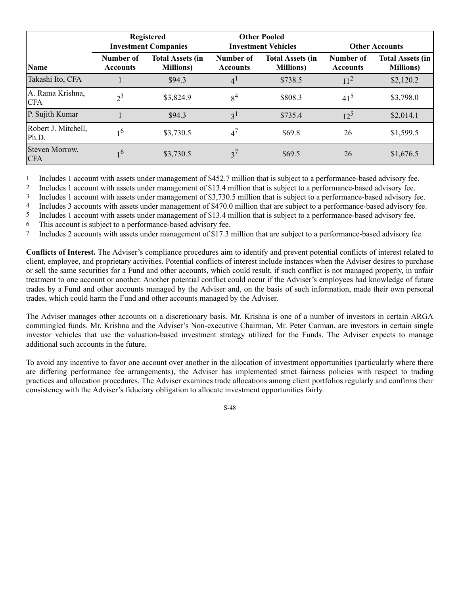|                                |                              | <b>Registered</b><br><b>Investment Companies</b> |                              | <b>Other Pooled</b><br><b>Investment Vehicles</b> |                              | <b>Other Accounts</b>                        |
|--------------------------------|------------------------------|--------------------------------------------------|------------------------------|---------------------------------------------------|------------------------------|----------------------------------------------|
| <b>Name</b>                    | Number of<br><b>Accounts</b> | <b>Total Assets (in</b><br><b>Millions</b> )     | Number of<br><b>Accounts</b> | <b>Total Assets (in</b><br><b>Millions</b> )      | Number of<br><b>Accounts</b> | <b>Total Assets (in</b><br><b>Millions</b> ) |
| Takashi Ito, CFA               |                              | \$94.3                                           | 4 <sup>1</sup>               | \$738.5                                           | 11 <sup>2</sup>              | \$2,120.2                                    |
| A. Rama Krishna,<br><b>CFA</b> | $2^3$                        | \$3,824.9                                        | $8^4$                        | \$808.3                                           | $41^5$                       | \$3,798.0                                    |
| P. Sujith Kumar                |                              | \$94.3                                           | 3 <sup>1</sup>               | \$735.4                                           | $12^{5}$                     | \$2,014.1                                    |
| Robert J. Mitchell,<br>Ph.D.   | 1 <sup>6</sup>               | \$3,730.5                                        | 4 <sup>7</sup>               | \$69.8                                            | 26                           | \$1,599.5                                    |
| Steven Morrow,<br><b>CFA</b>   | 1 <sup>6</sup>               | \$3,730.5                                        | $3^7$                        | \$69.5                                            | 26                           | \$1,676.5                                    |

1 Includes 1 account with assets under management of \$452.7 million that is subject to a performance-based advisory fee.

2 Includes 1 account with assets under management of \$13.4 million that is subject to a performance-based advisory fee.

3 Includes 1 account with assets under management of \$3,730.5 million that is subject to a performance-based advisory fee.

4 Includes 3 accounts with assets under management of \$470.0 million that are subject to a performance-based advisory fee.

5 Includes 1 account with assets under management of \$13.4 million that is subject to a performance-based advisory fee.

6 This account is subject to a performance-based advisory fee.

7 Includes 2 accounts with assets under management of \$17.3 million that are subject to a performance-based advisory fee.

**Conflicts of Interest.** The Adviser's compliance procedures aim to identify and prevent potential conflicts of interest related to client, employee, and proprietary activities. Potential conflicts of interest include instances when the Adviser desires to purchase or sell the same securities for a Fund and other accounts, which could result, if such conflict is not managed properly, in unfair treatment to one account or another. Another potential conflict could occur if the Adviser's employees had knowledge of future trades by a Fund and other accounts managed by the Adviser and, on the basis of such information, made their own personal trades, which could harm the Fund and other accounts managed by the Adviser.

The Adviser manages other accounts on a discretionary basis. Mr. Krishna is one of a number of investors in certain ARGA commingled funds. Mr. Krishna and the Adviser's Non-executive Chairman, Mr. Peter Carman, are investors in certain single investor vehicles that use the valuation-based investment strategy utilized for the Funds. The Adviser expects to manage additional such accounts in the future.

To avoid any incentive to favor one account over another in the allocation of investment opportunities (particularly where there are differing performance fee arrangements), the Adviser has implemented strict fairness policies with respect to trading practices and allocation procedures. The Adviser examines trade allocations among client portfolios regularly and confirms their consistency with the Adviser's fiduciary obligation to allocate investment opportunities fairly.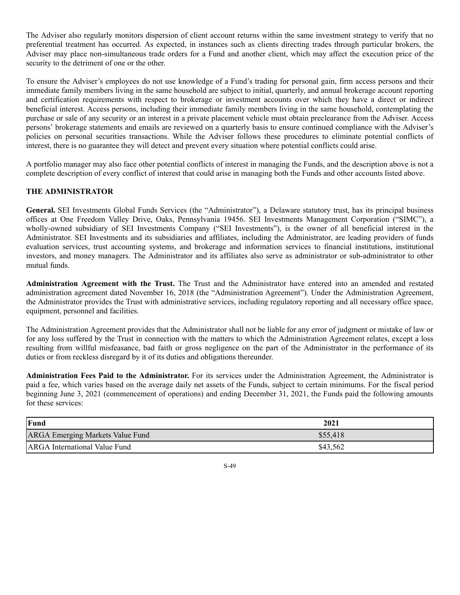The Adviser also regularly monitors dispersion of client account returns within the same investment strategy to verify that no preferential treatment has occurred. As expected, in instances such as clients directing trades through particular brokers, the Adviser may place non-simultaneous trade orders for a Fund and another client, which may affect the execution price of the security to the detriment of one or the other.

To ensure the Adviser's employees do not use knowledge of a Fund's trading for personal gain, firm access persons and their immediate family members living in the same household are subject to initial, quarterly, and annual brokerage account reporting and certification requirements with respect to brokerage or investment accounts over which they have a direct or indirect beneficial interest. Access persons, including their immediate family members living in the same household, contemplating the purchase or sale of any security or an interest in a private placement vehicle must obtain preclearance from the Adviser. Access persons' brokerage statements and emails are reviewed on a quarterly basis to ensure continued compliance with the Adviser's policies on personal securities transactions. While the Adviser follows these procedures to eliminate potential conflicts of interest, there is no guarantee they will detect and prevent every situation where potential conflicts could arise.

A portfolio manager may also face other potential conflicts of interest in managing the Funds, and the description above is not a complete description of every conflict of interest that could arise in managing both the Funds and other accounts listed above.

# **THE ADMINISTRATOR**

**General.** SEI Investments Global Funds Services (the "Administrator"), a Delaware statutory trust, has its principal business offices at One Freedom Valley Drive, Oaks, Pennsylvania 19456. SEI Investments Management Corporation ("SIMC"), a wholly-owned subsidiary of SEI Investments Company ("SEI Investments"), is the owner of all beneficial interest in the Administrator. SEI Investments and its subsidiaries and affiliates, including the Administrator, are leading providers of funds evaluation services, trust accounting systems, and brokerage and information services to financial institutions, institutional investors, and money managers. The Administrator and its affiliates also serve as administrator or sub-administrator to other mutual funds.

**Administration Agreement with the Trust.** The Trust and the Administrator have entered into an amended and restated administration agreement dated November 16, 2018 (the "Administration Agreement"). Under the Administration Agreement, the Administrator provides the Trust with administrative services, including regulatory reporting and all necessary office space, equipment, personnel and facilities.

The Administration Agreement provides that the Administrator shall not be liable for any error of judgment or mistake of law or for any loss suffered by the Trust in connection with the matters to which the Administration Agreement relates, except a loss resulting from willful misfeasance, bad faith or gross negligence on the part of the Administrator in the performance of its duties or from reckless disregard by it of its duties and obligations thereunder.

**Administration Fees Paid to the Administrator.** For its services under the Administration Agreement, the Administrator is paid a fee, which varies based on the average daily net assets of the Funds, subject to certain minimums. For the fiscal period beginning June 3, 2021 (commencement of operations) and ending December 31, 2021, the Funds paid the following amounts for these services:

| Fund                                 | 2021     |
|--------------------------------------|----------|
| ARGA Emerging Markets Value Fund     | \$55,418 |
| <b>ARGA</b> International Value Fund | \$43,562 |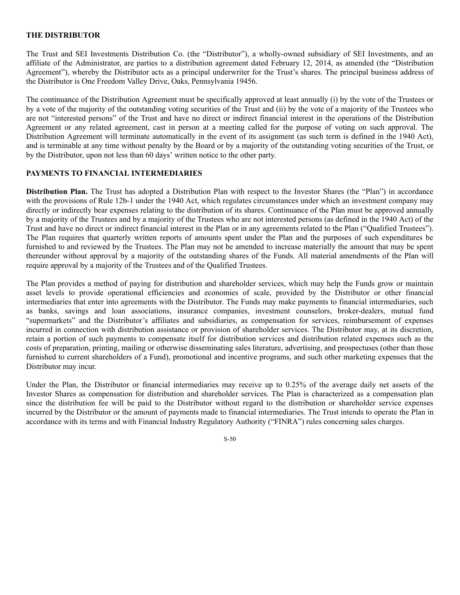#### **THE DISTRIBUTOR**

The Trust and SEI Investments Distribution Co. (the "Distributor"), a wholly-owned subsidiary of SEI Investments, and an affiliate of the Administrator, are parties to a distribution agreement dated February 12, 2014, as amended (the "Distribution Agreement"), whereby the Distributor acts as a principal underwriter for the Trust's shares. The principal business address of the Distributor is One Freedom Valley Drive, Oaks, Pennsylvania 19456.

The continuance of the Distribution Agreement must be specifically approved at least annually (i) by the vote of the Trustees or by a vote of the majority of the outstanding voting securities of the Trust and (ii) by the vote of a majority of the Trustees who are not "interested persons" of the Trust and have no direct or indirect financial interest in the operations of the Distribution Agreement or any related agreement, cast in person at a meeting called for the purpose of voting on such approval. The Distribution Agreement will terminate automatically in the event of its assignment (as such term is defined in the 1940 Act), and is terminable at any time without penalty by the Board or by a majority of the outstanding voting securities of the Trust, or by the Distributor, upon not less than 60 days' written notice to the other party.

## **PAYMENTS TO FINANCIAL INTERMEDIARIES**

**Distribution Plan.** The Trust has adopted a Distribution Plan with respect to the Investor Shares (the "Plan") in accordance with the provisions of Rule 12b-1 under the 1940 Act, which regulates circumstances under which an investment company may directly or indirectly bear expenses relating to the distribution of its shares. Continuance of the Plan must be approved annually by a majority of the Trustees and by a majority of the Trustees who are not interested persons (as defined in the 1940 Act) of the Trust and have no direct or indirect financial interest in the Plan or in any agreements related to the Plan ("Qualified Trustees"). The Plan requires that quarterly written reports of amounts spent under the Plan and the purposes of such expenditures be furnished to and reviewed by the Trustees. The Plan may not be amended to increase materially the amount that may be spent thereunder without approval by a majority of the outstanding shares of the Funds. All material amendments of the Plan will require approval by a majority of the Trustees and of the Qualified Trustees.

The Plan provides a method of paying for distribution and shareholder services, which may help the Funds grow or maintain asset levels to provide operational efficiencies and economies of scale, provided by the Distributor or other financial intermediaries that enter into agreements with the Distributor. The Funds may make payments to financial intermediaries, such as banks, savings and loan associations, insurance companies, investment counselors, broker-dealers, mutual fund "supermarkets" and the Distributor's affiliates and subsidiaries, as compensation for services, reimbursement of expenses incurred in connection with distribution assistance or provision of shareholder services. The Distributor may, at its discretion, retain a portion of such payments to compensate itself for distribution services and distribution related expenses such as the costs of preparation, printing, mailing or otherwise disseminating sales literature, advertising, and prospectuses (other than those furnished to current shareholders of a Fund), promotional and incentive programs, and such other marketing expenses that the Distributor may incur.

Under the Plan, the Distributor or financial intermediaries may receive up to 0.25% of the average daily net assets of the Investor Shares as compensation for distribution and shareholder services. The Plan is characterized as a compensation plan since the distribution fee will be paid to the Distributor without regard to the distribution or shareholder service expenses incurred by the Distributor or the amount of payments made to financial intermediaries. The Trust intends to operate the Plan in accordance with its terms and with Financial Industry Regulatory Authority ("FINRA") rules concerning sales charges.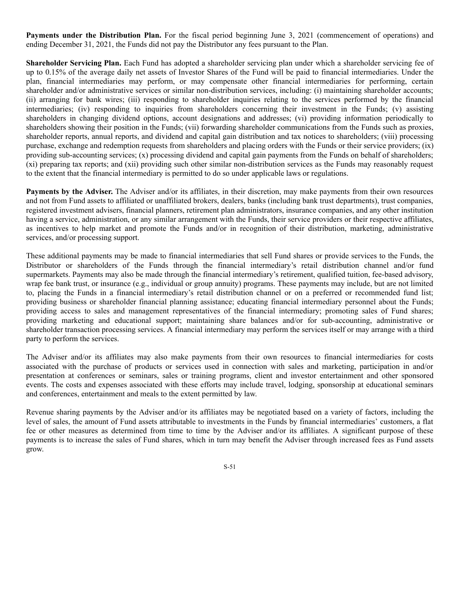**Payments under the Distribution Plan.** For the fiscal period beginning June 3, 2021 (commencement of operations) and ending December 31, 2021, the Funds did not pay the Distributor any fees pursuant to the Plan.

**Shareholder Servicing Plan.** Each Fund has adopted a shareholder servicing plan under which a shareholder servicing fee of up to 0.15% of the average daily net assets of Investor Shares of the Fund will be paid to financial intermediaries. Under the plan, financial intermediaries may perform, or may compensate other financial intermediaries for performing, certain shareholder and/or administrative services or similar non-distribution services, including: (i) maintaining shareholder accounts; (ii) arranging for bank wires; (iii) responding to shareholder inquiries relating to the services performed by the financial intermediaries; (iv) responding to inquiries from shareholders concerning their investment in the Funds; (v) assisting shareholders in changing dividend options, account designations and addresses; (vi) providing information periodically to shareholders showing their position in the Funds; (vii) forwarding shareholder communications from the Funds such as proxies, shareholder reports, annual reports, and dividend and capital gain distribution and tax notices to shareholders; (viii) processing purchase, exchange and redemption requests from shareholders and placing orders with the Funds or their service providers; (ix) providing sub-accounting services; (x) processing dividend and capital gain payments from the Funds on behalf of shareholders; (xi) preparing tax reports; and (xii) providing such other similar non-distribution services as the Funds may reasonably request to the extent that the financial intermediary is permitted to do so under applicable laws or regulations.

**Payments by the Adviser.** The Adviser and/or its affiliates, in their discretion, may make payments from their own resources and not from Fund assets to affiliated or unaffiliated brokers, dealers, banks (including bank trust departments), trust companies, registered investment advisers, financial planners, retirement plan administrators, insurance companies, and any other institution having a service, administration, or any similar arrangement with the Funds, their service providers or their respective affiliates, as incentives to help market and promote the Funds and/or in recognition of their distribution, marketing, administrative services, and/or processing support.

These additional payments may be made to financial intermediaries that sell Fund shares or provide services to the Funds, the Distributor or shareholders of the Funds through the financial intermediary's retail distribution channel and/or fund supermarkets. Payments may also be made through the financial intermediary's retirement, qualified tuition, fee-based advisory, wrap fee bank trust, or insurance (e.g., individual or group annuity) programs. These payments may include, but are not limited to, placing the Funds in a financial intermediary's retail distribution channel or on a preferred or recommended fund list; providing business or shareholder financial planning assistance; educating financial intermediary personnel about the Funds; providing access to sales and management representatives of the financial intermediary; promoting sales of Fund shares; providing marketing and educational support; maintaining share balances and/or for sub-accounting, administrative or shareholder transaction processing services. A financial intermediary may perform the services itself or may arrange with a third party to perform the services.

The Adviser and/or its affiliates may also make payments from their own resources to financial intermediaries for costs associated with the purchase of products or services used in connection with sales and marketing, participation in and/or presentation at conferences or seminars, sales or training programs, client and investor entertainment and other sponsored events. The costs and expenses associated with these efforts may include travel, lodging, sponsorship at educational seminars and conferences, entertainment and meals to the extent permitted by law.

Revenue sharing payments by the Adviser and/or its affiliates may be negotiated based on a variety of factors, including the level of sales, the amount of Fund assets attributable to investments in the Funds by financial intermediaries' customers, a flat fee or other measures as determined from time to time by the Adviser and/or its affiliates. A significant purpose of these payments is to increase the sales of Fund shares, which in turn may benefit the Adviser through increased fees as Fund assets grow.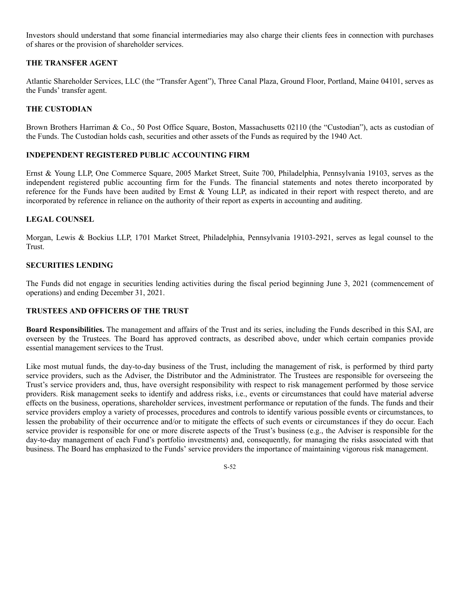Investors should understand that some financial intermediaries may also charge their clients fees in connection with purchases of shares or the provision of shareholder services.

## **THE TRANSFER AGENT**

Atlantic Shareholder Services, LLC (the "Transfer Agent"), Three Canal Plaza, Ground Floor, Portland, Maine 04101, serves as the Funds' transfer agent.

## **THE CUSTODIAN**

Brown Brothers Harriman & Co., 50 Post Office Square, Boston, Massachusetts 02110 (the "Custodian"), acts as custodian of the Funds. The Custodian holds cash, securities and other assets of the Funds as required by the 1940 Act.

## **INDEPENDENT REGISTERED PUBLIC ACCOUNTING FIRM**

Ernst & Young LLP, One Commerce Square, 2005 Market Street, Suite 700, Philadelphia, Pennsylvania 19103, serves as the independent registered public accounting firm for the Funds. The financial statements and notes thereto incorporated by reference for the Funds have been audited by Ernst & Young LLP, as indicated in their report with respect thereto, and are incorporated by reference in reliance on the authority of their report as experts in accounting and auditing.

## **LEGAL COUNSEL**

Morgan, Lewis & Bockius LLP, 1701 Market Street, Philadelphia, Pennsylvania 19103-2921, serves as legal counsel to the Trust.

## **SECURITIES LENDING**

The Funds did not engage in securities lending activities during the fiscal period beginning June 3, 2021 (commencement of operations) and ending December 31, 2021.

### **TRUSTEES AND OFFICERS OF THE TRUST**

**Board Responsibilities.** The management and affairs of the Trust and its series, including the Funds described in this SAI, are overseen by the Trustees. The Board has approved contracts, as described above, under which certain companies provide essential management services to the Trust.

Like most mutual funds, the day-to-day business of the Trust, including the management of risk, is performed by third party service providers, such as the Adviser, the Distributor and the Administrator. The Trustees are responsible for overseeing the Trust's service providers and, thus, have oversight responsibility with respect to risk management performed by those service providers. Risk management seeks to identify and address risks, i.e., events or circumstances that could have material adverse effects on the business, operations, shareholder services, investment performance or reputation of the funds. The funds and their service providers employ a variety of processes, procedures and controls to identify various possible events or circumstances, to lessen the probability of their occurrence and/or to mitigate the effects of such events or circumstances if they do occur. Each service provider is responsible for one or more discrete aspects of the Trust's business (e.g., the Adviser is responsible for the day-to-day management of each Fund's portfolio investments) and, consequently, for managing the risks associated with that business. The Board has emphasized to the Funds' service providers the importance of maintaining vigorous risk management.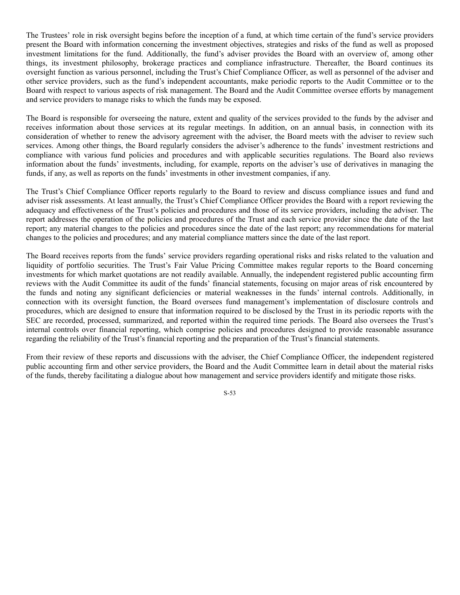The Trustees' role in risk oversight begins before the inception of a fund, at which time certain of the fund's service providers present the Board with information concerning the investment objectives, strategies and risks of the fund as well as proposed investment limitations for the fund. Additionally, the fund's adviser provides the Board with an overview of, among other things, its investment philosophy, brokerage practices and compliance infrastructure. Thereafter, the Board continues its oversight function as various personnel, including the Trust's Chief Compliance Officer, as well as personnel of the adviser and other service providers, such as the fund's independent accountants, make periodic reports to the Audit Committee or to the Board with respect to various aspects of risk management. The Board and the Audit Committee oversee efforts by management and service providers to manage risks to which the funds may be exposed.

The Board is responsible for overseeing the nature, extent and quality of the services provided to the funds by the adviser and receives information about those services at its regular meetings. In addition, on an annual basis, in connection with its consideration of whether to renew the advisory agreement with the adviser, the Board meets with the adviser to review such services. Among other things, the Board regularly considers the adviser's adherence to the funds' investment restrictions and compliance with various fund policies and procedures and with applicable securities regulations. The Board also reviews information about the funds' investments, including, for example, reports on the adviser's use of derivatives in managing the funds, if any, as well as reports on the funds' investments in other investment companies, if any.

The Trust's Chief Compliance Officer reports regularly to the Board to review and discuss compliance issues and fund and adviser risk assessments. At least annually, the Trust's Chief Compliance Officer provides the Board with a report reviewing the adequacy and effectiveness of the Trust's policies and procedures and those of its service providers, including the adviser. The report addresses the operation of the policies and procedures of the Trust and each service provider since the date of the last report; any material changes to the policies and procedures since the date of the last report; any recommendations for material changes to the policies and procedures; and any material compliance matters since the date of the last report.

The Board receives reports from the funds' service providers regarding operational risks and risks related to the valuation and liquidity of portfolio securities. The Trust's Fair Value Pricing Committee makes regular reports to the Board concerning investments for which market quotations are not readily available. Annually, the independent registered public accounting firm reviews with the Audit Committee its audit of the funds' financial statements, focusing on major areas of risk encountered by the funds and noting any significant deficiencies or material weaknesses in the funds' internal controls. Additionally, in connection with its oversight function, the Board oversees fund management's implementation of disclosure controls and procedures, which are designed to ensure that information required to be disclosed by the Trust in its periodic reports with the SEC are recorded, processed, summarized, and reported within the required time periods. The Board also oversees the Trust's internal controls over financial reporting, which comprise policies and procedures designed to provide reasonable assurance regarding the reliability of the Trust's financial reporting and the preparation of the Trust's financial statements.

From their review of these reports and discussions with the adviser, the Chief Compliance Officer, the independent registered public accounting firm and other service providers, the Board and the Audit Committee learn in detail about the material risks of the funds, thereby facilitating a dialogue about how management and service providers identify and mitigate those risks.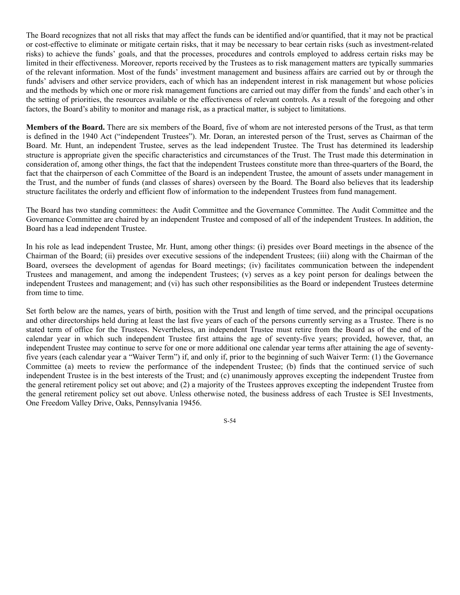The Board recognizes that not all risks that may affect the funds can be identified and/or quantified, that it may not be practical or cost-effective to eliminate or mitigate certain risks, that it may be necessary to bear certain risks (such as investment-related risks) to achieve the funds' goals, and that the processes, procedures and controls employed to address certain risks may be limited in their effectiveness. Moreover, reports received by the Trustees as to risk management matters are typically summaries of the relevant information. Most of the funds' investment management and business affairs are carried out by or through the funds' advisers and other service providers, each of which has an independent interest in risk management but whose policies and the methods by which one or more risk management functions are carried out may differ from the funds' and each other's in the setting of priorities, the resources available or the effectiveness of relevant controls. As a result of the foregoing and other factors, the Board's ability to monitor and manage risk, as a practical matter, is subject to limitations.

**Members of the Board.** There are six members of the Board, five of whom are not interested persons of the Trust, as that term is defined in the 1940 Act ("independent Trustees"). Mr. Doran, an interested person of the Trust, serves as Chairman of the Board. Mr. Hunt, an independent Trustee, serves as the lead independent Trustee. The Trust has determined its leadership structure is appropriate given the specific characteristics and circumstances of the Trust. The Trust made this determination in consideration of, among other things, the fact that the independent Trustees constitute more than three-quarters of the Board, the fact that the chairperson of each Committee of the Board is an independent Trustee, the amount of assets under management in the Trust, and the number of funds (and classes of shares) overseen by the Board. The Board also believes that its leadership structure facilitates the orderly and efficient flow of information to the independent Trustees from fund management.

The Board has two standing committees: the Audit Committee and the Governance Committee. The Audit Committee and the Governance Committee are chaired by an independent Trustee and composed of all of the independent Trustees. In addition, the Board has a lead independent Trustee.

In his role as lead independent Trustee, Mr. Hunt, among other things: (i) presides over Board meetings in the absence of the Chairman of the Board; (ii) presides over executive sessions of the independent Trustees; (iii) along with the Chairman of the Board, oversees the development of agendas for Board meetings; (iv) facilitates communication between the independent Trustees and management, and among the independent Trustees; (v) serves as a key point person for dealings between the independent Trustees and management; and (vi) has such other responsibilities as the Board or independent Trustees determine from time to time.

Set forth below are the names, years of birth, position with the Trust and length of time served, and the principal occupations and other directorships held during at least the last five years of each of the persons currently serving as a Trustee. There is no stated term of office for the Trustees. Nevertheless, an independent Trustee must retire from the Board as of the end of the calendar year in which such independent Trustee first attains the age of seventy-five years; provided, however, that, an independent Trustee may continue to serve for one or more additional one calendar year terms after attaining the age of seventyfive years (each calendar year a "Waiver Term") if, and only if, prior to the beginning of such Waiver Term: (1) the Governance Committee (a) meets to review the performance of the independent Trustee; (b) finds that the continued service of such independent Trustee is in the best interests of the Trust; and (c) unanimously approves excepting the independent Trustee from the general retirement policy set out above; and (2) a majority of the Trustees approves excepting the independent Trustee from the general retirement policy set out above. Unless otherwise noted, the business address of each Trustee is SEI Investments, One Freedom Valley Drive, Oaks, Pennsylvania 19456.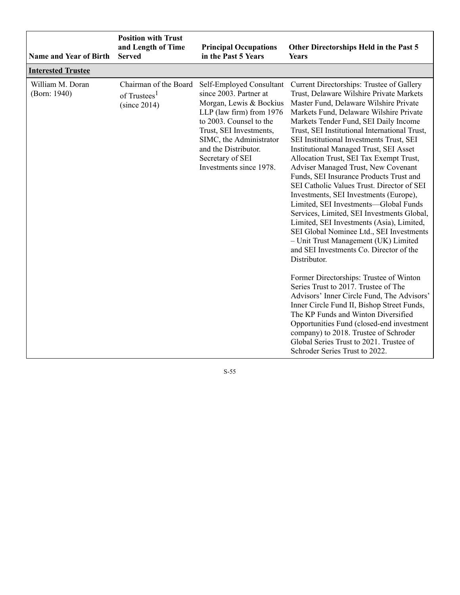| <b>Name and Year of Birth</b>    | <b>Position with Trust</b><br>and Length of Time<br><b>Served</b> | <b>Principal Occupations</b><br>in the Past 5 Years                                                                                                                                                                                                                 | Other Directorships Held in the Past 5<br><b>Years</b>                                                                                                                                                                                                                                                                                                                                                                                                                                                                                                                                                                                                                                                                                                                                                                                                                    |
|----------------------------------|-------------------------------------------------------------------|---------------------------------------------------------------------------------------------------------------------------------------------------------------------------------------------------------------------------------------------------------------------|---------------------------------------------------------------------------------------------------------------------------------------------------------------------------------------------------------------------------------------------------------------------------------------------------------------------------------------------------------------------------------------------------------------------------------------------------------------------------------------------------------------------------------------------------------------------------------------------------------------------------------------------------------------------------------------------------------------------------------------------------------------------------------------------------------------------------------------------------------------------------|
| <b>Interested Trustee</b>        |                                                                   |                                                                                                                                                                                                                                                                     |                                                                                                                                                                                                                                                                                                                                                                                                                                                                                                                                                                                                                                                                                                                                                                                                                                                                           |
| William M. Doran<br>(Born: 1940) | Chairman of the Board<br>of Trustees <sup>1</sup><br>(since 2014) | Self-Employed Consultant<br>since 2003. Partner at<br>Morgan, Lewis & Bockius<br>LLP (law firm) from $1976$<br>to 2003. Counsel to the<br>Trust, SEI Investments,<br>SIMC, the Administrator<br>and the Distributor.<br>Secretary of SEI<br>Investments since 1978. | Current Directorships: Trustee of Gallery<br>Trust, Delaware Wilshire Private Markets<br>Master Fund, Delaware Wilshire Private<br>Markets Fund, Delaware Wilshire Private<br>Markets Tender Fund, SEI Daily Income<br>Trust, SEI Institutional International Trust,<br>SEI Institutional Investments Trust, SEI<br><b>Institutional Managed Trust, SEI Asset</b><br>Allocation Trust, SEI Tax Exempt Trust,<br>Adviser Managed Trust, New Covenant<br>Funds, SEI Insurance Products Trust and<br>SEI Catholic Values Trust. Director of SEI<br>Investments, SEI Investments (Europe),<br>Limited, SEI Investments-Global Funds<br>Services, Limited, SEI Investments Global,<br>Limited, SEI Investments (Asia), Limited,<br>SEI Global Nominee Ltd., SEI Investments<br>- Unit Trust Management (UK) Limited<br>and SEI Investments Co. Director of the<br>Distributor. |
|                                  |                                                                   |                                                                                                                                                                                                                                                                     | Former Directorships: Trustee of Winton<br>Series Trust to 2017. Trustee of The<br>Advisors' Inner Circle Fund, The Advisors'<br>Inner Circle Fund II, Bishop Street Funds,<br>The KP Funds and Winton Diversified<br>Opportunities Fund (closed-end investment<br>company) to 2018. Trustee of Schroder<br>Global Series Trust to 2021. Trustee of<br>Schroder Series Trust to 2022.                                                                                                                                                                                                                                                                                                                                                                                                                                                                                     |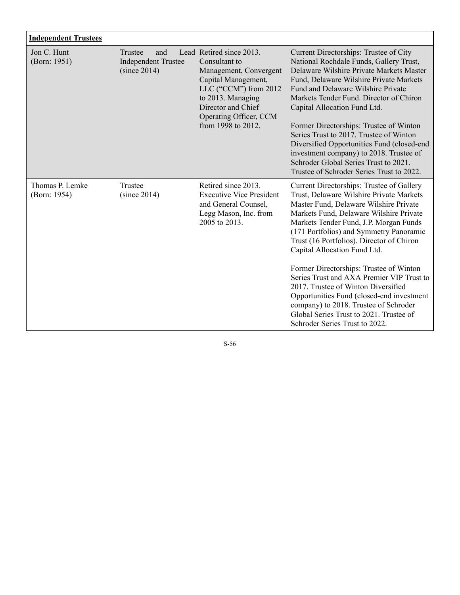| <b>Independent Trustees</b>     |                                                              |                                                                                                                                                                                                                |                                                                                                                                                                                                                                                                                                                                                                                                                                                                                                                                                                                                                                                |
|---------------------------------|--------------------------------------------------------------|----------------------------------------------------------------------------------------------------------------------------------------------------------------------------------------------------------------|------------------------------------------------------------------------------------------------------------------------------------------------------------------------------------------------------------------------------------------------------------------------------------------------------------------------------------------------------------------------------------------------------------------------------------------------------------------------------------------------------------------------------------------------------------------------------------------------------------------------------------------------|
| Jon C. Hunt<br>(Born: 1951)     | Trustee<br>and<br><b>Independent Trustee</b><br>(since 2014) | Lead Retired since 2013.<br>Consultant to<br>Management, Convergent<br>Capital Management,<br>LLC ("CCM") from 2012<br>to 2013. Managing<br>Director and Chief<br>Operating Officer, CCM<br>from 1998 to 2012. | Current Directorships: Trustee of City<br>National Rochdale Funds, Gallery Trust,<br>Delaware Wilshire Private Markets Master<br>Fund, Delaware Wilshire Private Markets<br>Fund and Delaware Wilshire Private<br>Markets Tender Fund. Director of Chiron<br>Capital Allocation Fund Ltd.<br>Former Directorships: Trustee of Winton<br>Series Trust to 2017. Trustee of Winton<br>Diversified Opportunities Fund (closed-end<br>investment company) to 2018. Trustee of<br>Schroder Global Series Trust to 2021.<br>Trustee of Schroder Series Trust to 2022.                                                                                 |
| Thomas P. Lemke<br>(Born: 1954) | Trustee<br>(since 2014)                                      | Retired since 2013.<br><b>Executive Vice President</b><br>and General Counsel,<br>Legg Mason, Inc. from<br>2005 to 2013.                                                                                       | Current Directorships: Trustee of Gallery<br>Trust, Delaware Wilshire Private Markets<br>Master Fund, Delaware Wilshire Private<br>Markets Fund, Delaware Wilshire Private<br>Markets Tender Fund, J.P. Morgan Funds<br>(171 Portfolios) and Symmetry Panoramic<br>Trust (16 Portfolios). Director of Chiron<br>Capital Allocation Fund Ltd.<br>Former Directorships: Trustee of Winton<br>Series Trust and AXA Premier VIP Trust to<br>2017. Trustee of Winton Diversified<br>Opportunities Fund (closed-end investment<br>company) to 2018. Trustee of Schroder<br>Global Series Trust to 2021. Trustee of<br>Schroder Series Trust to 2022. |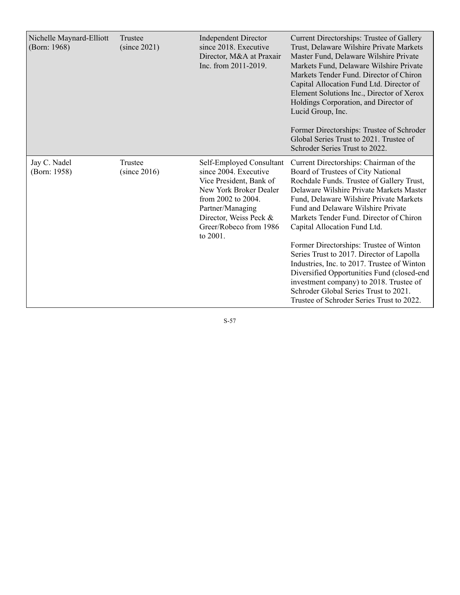| Nichelle Maynard-Elliott<br>(Born: 1968) | Trustee<br>(since 2021) | <b>Independent Director</b><br>since 2018. Executive<br>Director, M&A at Praxair<br>Inc. from 2011-2019.                                                                                                         | Current Directorships: Trustee of Gallery<br>Trust, Delaware Wilshire Private Markets<br>Master Fund, Delaware Wilshire Private<br>Markets Fund, Delaware Wilshire Private<br>Markets Tender Fund. Director of Chiron<br>Capital Allocation Fund Ltd. Director of<br>Element Solutions Inc., Director of Xerox<br>Holdings Corporation, and Director of<br>Lucid Group, Inc.<br>Former Directorships: Trustee of Schroder<br>Global Series Trust to 2021. Trustee of<br>Schroder Series Trust to 2022.                                                                                                                                                  |
|------------------------------------------|-------------------------|------------------------------------------------------------------------------------------------------------------------------------------------------------------------------------------------------------------|---------------------------------------------------------------------------------------------------------------------------------------------------------------------------------------------------------------------------------------------------------------------------------------------------------------------------------------------------------------------------------------------------------------------------------------------------------------------------------------------------------------------------------------------------------------------------------------------------------------------------------------------------------|
| Jay C. Nadel<br>(Born: 1958)             | Trustee<br>(since 2016) | Self-Employed Consultant<br>since 2004. Executive<br>Vice President, Bank of<br>New York Broker Dealer<br>from 2002 to 2004.<br>Partner/Managing<br>Director, Weiss Peck &<br>Greer/Robeco from 1986<br>to 2001. | Current Directorships: Chairman of the<br>Board of Trustees of City National<br>Rochdale Funds. Trustee of Gallery Trust,<br>Delaware Wilshire Private Markets Master<br>Fund, Delaware Wilshire Private Markets<br>Fund and Delaware Wilshire Private<br>Markets Tender Fund. Director of Chiron<br>Capital Allocation Fund Ltd.<br>Former Directorships: Trustee of Winton<br>Series Trust to 2017. Director of Lapolla<br>Industries, Inc. to 2017. Trustee of Winton<br>Diversified Opportunities Fund (closed-end<br>investment company) to 2018. Trustee of<br>Schroder Global Series Trust to 2021.<br>Trustee of Schroder Series Trust to 2022. |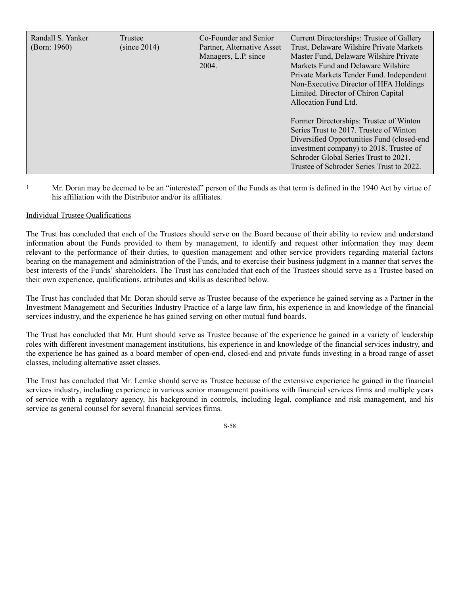| Randall S. Yanker<br>(Born: $1960$ ) | Co-Founder and Senior<br>Trustee<br>(since 2014)<br>Partner, Alternative Asset<br>Managers, L.P. since<br>2004. |  | Current Directorships: Trustee of Gallery<br>Trust, Delaware Wilshire Private Markets<br>Master Fund, Delaware Wilshire Private<br>Markets Fund and Delaware Wilshire<br>Private Markets Tender Fund. Independent<br>Non-Executive Director of HFA Holdings<br>Limited. Director of Chiron Capital<br>Allocation Fund Ltd. |
|--------------------------------------|-----------------------------------------------------------------------------------------------------------------|--|----------------------------------------------------------------------------------------------------------------------------------------------------------------------------------------------------------------------------------------------------------------------------------------------------------------------------|
|                                      |                                                                                                                 |  | Former Directorships: Trustee of Winton<br>Series Trust to 2017. Trustee of Winton<br>Diversified Opportunities Fund (closed-end)<br>investment company) to 2018. Trustee of<br>Schroder Global Series Trust to 2021.<br>Trustee of Schroder Series Trust to 2022.                                                         |

1 Mr. Doran may be deemed to be an "interested" person of the Funds as that term is defined in the 1940 Act by virtue of his affiliation with the Distributor and/or its affiliates.

## Individual Trustee Qualifications

The Trust has concluded that each of the Trustees should serve on the Board because of their ability to review and understand information about the Funds provided to them by management, to identify and request other information they may deem relevant to the performance of their duties, to question management and other service providers regarding material factors bearing on the management and administration of the Funds, and to exercise their business judgment in a manner that serves the best interests of the Funds' shareholders. The Trust has concluded that each of the Trustees should serve as a Trustee based on their own experience, qualifications, attributes and skills as described below.

The Trust has concluded that Mr. Doran should serve as Trustee because of the experience he gained serving as a Partner in the Investment Management and Securities Industry Practice of a large law firm, his experience in and knowledge of the financial services industry, and the experience he has gained serving on other mutual fund boards.

The Trust has concluded that Mr. Hunt should serve as Trustee because of the experience he gained in a variety of leadership roles with different investment management institutions, his experience in and knowledge of the financial services industry, and the experience he has gained as a board member of open-end, closed-end and private funds investing in a broad range of asset classes, including alternative asset classes.

The Trust has concluded that Mr. Lemke should serve as Trustee because of the extensive experience he gained in the financial services industry, including experience in various senior management positions with financial services firms and multiple years of service with a regulatory agency, his background in controls, including legal, compliance and risk management, and his service as general counsel for several financial services firms.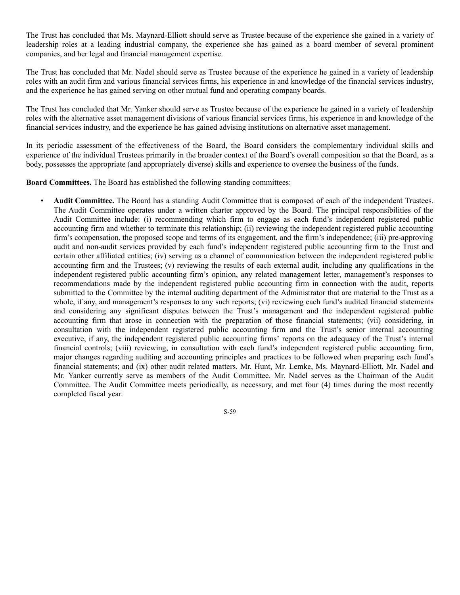The Trust has concluded that Ms. Maynard-Elliott should serve as Trustee because of the experience she gained in a variety of leadership roles at a leading industrial company, the experience she has gained as a board member of several prominent companies, and her legal and financial management expertise.

The Trust has concluded that Mr. Nadel should serve as Trustee because of the experience he gained in a variety of leadership roles with an audit firm and various financial services firms, his experience in and knowledge of the financial services industry, and the experience he has gained serving on other mutual fund and operating company boards.

The Trust has concluded that Mr. Yanker should serve as Trustee because of the experience he gained in a variety of leadership roles with the alternative asset management divisions of various financial services firms, his experience in and knowledge of the financial services industry, and the experience he has gained advising institutions on alternative asset management.

In its periodic assessment of the effectiveness of the Board, the Board considers the complementary individual skills and experience of the individual Trustees primarily in the broader context of the Board's overall composition so that the Board, as a body, possesses the appropriate (and appropriately diverse) skills and experience to oversee the business of the funds.

**Board Committees.** The Board has established the following standing committees:

• **Audit Committee.** The Board has a standing Audit Committee that is composed of each of the independent Trustees. The Audit Committee operates under a written charter approved by the Board. The principal responsibilities of the Audit Committee include: (i) recommending which firm to engage as each fund's independent registered public accounting firm and whether to terminate this relationship; (ii) reviewing the independent registered public accounting firm's compensation, the proposed scope and terms of its engagement, and the firm's independence; (iii) pre-approving audit and non-audit services provided by each fund's independent registered public accounting firm to the Trust and certain other affiliated entities; (iv) serving as a channel of communication between the independent registered public accounting firm and the Trustees; (v) reviewing the results of each external audit, including any qualifications in the independent registered public accounting firm's opinion, any related management letter, management's responses to recommendations made by the independent registered public accounting firm in connection with the audit, reports submitted to the Committee by the internal auditing department of the Administrator that are material to the Trust as a whole, if any, and management's responses to any such reports; (vi) reviewing each fund's audited financial statements and considering any significant disputes between the Trust's management and the independent registered public accounting firm that arose in connection with the preparation of those financial statements; (vii) considering, in consultation with the independent registered public accounting firm and the Trust's senior internal accounting executive, if any, the independent registered public accounting firms' reports on the adequacy of the Trust's internal financial controls; (viii) reviewing, in consultation with each fund's independent registered public accounting firm, major changes regarding auditing and accounting principles and practices to be followed when preparing each fund's financial statements; and (ix) other audit related matters. Mr. Hunt, Mr. Lemke, Ms. Maynard-Elliott, Mr. Nadel and Mr. Yanker currently serve as members of the Audit Committee. Mr. Nadel serves as the Chairman of the Audit Committee. The Audit Committee meets periodically, as necessary, and met four (4) times during the most recently completed fiscal year.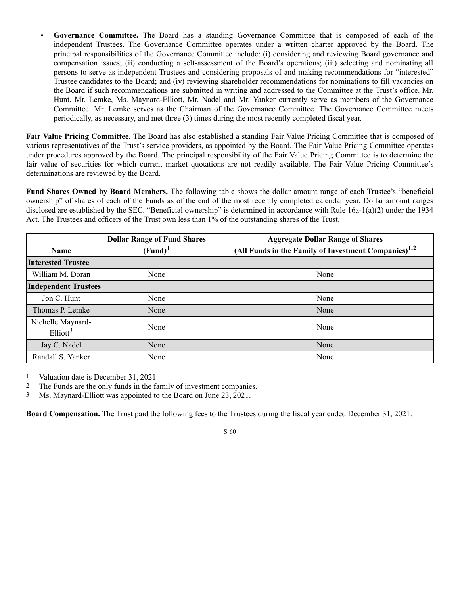• **Governance Committee.** The Board has a standing Governance Committee that is composed of each of the independent Trustees. The Governance Committee operates under a written charter approved by the Board. The principal responsibilities of the Governance Committee include: (i) considering and reviewing Board governance and compensation issues; (ii) conducting a self-assessment of the Board's operations; (iii) selecting and nominating all persons to serve as independent Trustees and considering proposals of and making recommendations for "interested" Trustee candidates to the Board; and (iv) reviewing shareholder recommendations for nominations to fill vacancies on the Board if such recommendations are submitted in writing and addressed to the Committee at the Trust's office. Mr. Hunt, Mr. Lemke, Ms. Maynard-Elliott, Mr. Nadel and Mr. Yanker currently serve as members of the Governance Committee. Mr. Lemke serves as the Chairman of the Governance Committee. The Governance Committee meets periodically, as necessary, and met three (3) times during the most recently completed fiscal year.

**Fair Value Pricing Committee.** The Board has also established a standing Fair Value Pricing Committee that is composed of various representatives of the Trust's service providers, as appointed by the Board. The Fair Value Pricing Committee operates under procedures approved by the Board. The principal responsibility of the Fair Value Pricing Committee is to determine the fair value of securities for which current market quotations are not readily available. The Fair Value Pricing Committee's determinations are reviewed by the Board.

**Fund Shares Owned by Board Members.** The following table shows the dollar amount range of each Trustee's "beneficial ownership" of shares of each of the Funds as of the end of the most recently completed calendar year. Dollar amount ranges disclosed are established by the SEC. "Beneficial ownership" is determined in accordance with Rule 16a-1(a)(2) under the 1934 Act. The Trustees and officers of the Trust own less than 1% of the outstanding shares of the Trust.

|                                  | <b>Dollar Range of Fund Shares</b> | <b>Aggregate Dollar Range of Shares</b>                          |
|----------------------------------|------------------------------------|------------------------------------------------------------------|
| <b>Name</b>                      | (Fund) <sup>1</sup>                | (All Funds in the Family of Investment Companies) <sup>1,2</sup> |
| <b>Interested Trustee</b>        |                                    |                                                                  |
| William M. Doran                 | None                               | None                                                             |
| <b>Independent Trustees</b>      |                                    |                                                                  |
| Jon C. Hunt                      | None                               | None                                                             |
| Thomas P. Lemke                  | None                               | None                                                             |
| Nichelle Maynard-<br>$Elliott^3$ | None                               | None                                                             |
| Jay C. Nadel                     | None                               | None                                                             |
| Randall S. Yanker                | None                               | None                                                             |

1 Valuation date is December 31, 2021.

2 The Funds are the only funds in the family of investment companies.

3 Ms. Maynard-Elliott was appointed to the Board on June 23, 2021.

**Board Compensation.** The Trust paid the following fees to the Trustees during the fiscal year ended December 31, 2021.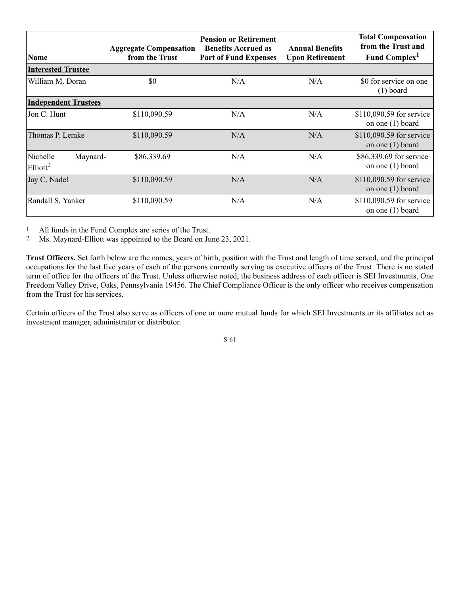| <b>Name</b>                                  | <b>Aggregate Compensation</b><br>from the Trust | <b>Pension or Retirement</b><br><b>Benefits Accrued as</b><br><b>Part of Fund Expenses</b> | <b>Annual Benefits</b><br><b>Upon Retirement</b> | <b>Total Compensation</b><br>from the Trust and<br>Fund Complex <sup>1</sup> |
|----------------------------------------------|-------------------------------------------------|--------------------------------------------------------------------------------------------|--------------------------------------------------|------------------------------------------------------------------------------|
| <b>Interested Trustee</b>                    |                                                 |                                                                                            |                                                  |                                                                              |
| William M. Doran                             | \$0                                             | N/A                                                                                        | N/A                                              | \$0 for service on one<br>$(1)$ board                                        |
| <b>Independent Trustees</b>                  |                                                 |                                                                                            |                                                  |                                                                              |
| Jon C. Hunt                                  | \$110,090.59                                    | N/A                                                                                        | N/A                                              | \$110,090.59 for service<br>on one $(1)$ board                               |
| Thomas P. Lemke                              | \$110,090.59                                    | N/A                                                                                        | N/A                                              | \$110,090.59 for service<br>on one $(1)$ board                               |
| Nichelle<br>Maynard-<br>Elliott <sup>2</sup> | \$86,339.69                                     | N/A                                                                                        | N/A                                              | \$86,339.69 for service<br>on one $(1)$ board                                |
| Jay C. Nadel                                 | \$110,090.59                                    | N/A                                                                                        | N/A                                              | \$110,090.59 for service<br>on one $(1)$ board                               |
| Randall S. Yanker                            | \$110,090.59                                    | N/A                                                                                        | N/A                                              | \$110,090.59 for service<br>on one $(1)$ board                               |

1 All funds in the Fund Complex are series of the Trust.

2 Ms. Maynard-Elliott was appointed to the Board on June 23, 2021.

**Trust Officers.** Set forth below are the names, years of birth, position with the Trust and length of time served, and the principal occupations for the last five years of each of the persons currently serving as executive officers of the Trust. There is no stated term of office for the officers of the Trust. Unless otherwise noted, the business address of each officer is SEI Investments, One Freedom Valley Drive, Oaks, Pennsylvania 19456. The Chief Compliance Officer is the only officer who receives compensation from the Trust for his services.

Certain officers of the Trust also serve as officers of one or more mutual funds for which SEI Investments or its affiliates act as investment manager, administrator or distributor.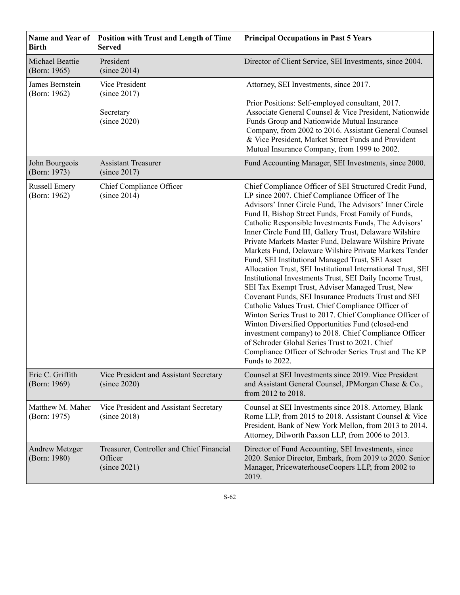| <b>Name and Year of</b><br><b>Birth</b> | <b>Position with Trust and Length of Time</b><br><b>Served</b>       | <b>Principal Occupations in Past 5 Years</b>                                                                                                                                                                                                                                                                                                                                                                                                                                                                                                                                                                                                                                                                                                                                                                                                                                                                                                                                                                                                                                                                                   |
|-----------------------------------------|----------------------------------------------------------------------|--------------------------------------------------------------------------------------------------------------------------------------------------------------------------------------------------------------------------------------------------------------------------------------------------------------------------------------------------------------------------------------------------------------------------------------------------------------------------------------------------------------------------------------------------------------------------------------------------------------------------------------------------------------------------------------------------------------------------------------------------------------------------------------------------------------------------------------------------------------------------------------------------------------------------------------------------------------------------------------------------------------------------------------------------------------------------------------------------------------------------------|
| Michael Beattie<br>(Born: 1965)         | President<br>(since 2014)                                            | Director of Client Service, SEI Investments, since 2004.                                                                                                                                                                                                                                                                                                                                                                                                                                                                                                                                                                                                                                                                                                                                                                                                                                                                                                                                                                                                                                                                       |
| James Bernstein<br>(Born: 1962)         | Vice President<br>(since 2017)                                       | Attorney, SEI Investments, since 2017.                                                                                                                                                                                                                                                                                                                                                                                                                                                                                                                                                                                                                                                                                                                                                                                                                                                                                                                                                                                                                                                                                         |
|                                         | Secretary<br>(since 2020)                                            | Prior Positions: Self-employed consultant, 2017.<br>Associate General Counsel & Vice President, Nationwide<br>Funds Group and Nationwide Mutual Insurance<br>Company, from 2002 to 2016. Assistant General Counsel<br>& Vice President, Market Street Funds and Provident<br>Mutual Insurance Company, from 1999 to 2002.                                                                                                                                                                                                                                                                                                                                                                                                                                                                                                                                                                                                                                                                                                                                                                                                      |
| John Bourgeois<br>(Born: 1973)          | <b>Assistant Treasurer</b><br>(since 2017)                           | Fund Accounting Manager, SEI Investments, since 2000.                                                                                                                                                                                                                                                                                                                                                                                                                                                                                                                                                                                                                                                                                                                                                                                                                                                                                                                                                                                                                                                                          |
| <b>Russell Emery</b><br>(Born: 1962)    | Chief Compliance Officer<br>(since 2014)                             | Chief Compliance Officer of SEI Structured Credit Fund,<br>LP since 2007. Chief Compliance Officer of The<br>Advisors' Inner Circle Fund, The Advisors' Inner Circle<br>Fund II, Bishop Street Funds, Frost Family of Funds,<br>Catholic Responsible Investments Funds, The Advisors'<br>Inner Circle Fund III, Gallery Trust, Delaware Wilshire<br>Private Markets Master Fund, Delaware Wilshire Private<br>Markets Fund, Delaware Wilshire Private Markets Tender<br>Fund, SEI Institutional Managed Trust, SEI Asset<br>Allocation Trust, SEI Institutional International Trust, SEI<br>Institutional Investments Trust, SEI Daily Income Trust,<br>SEI Tax Exempt Trust, Adviser Managed Trust, New<br>Covenant Funds, SEI Insurance Products Trust and SEI<br>Catholic Values Trust. Chief Compliance Officer of<br>Winton Series Trust to 2017. Chief Compliance Officer of<br>Winton Diversified Opportunities Fund (closed-end<br>investment company) to 2018. Chief Compliance Officer<br>of Schroder Global Series Trust to 2021. Chief<br>Compliance Officer of Schroder Series Trust and The KP<br>Funds to 2022. |
| Eric C. Griffith<br>(Born: 1969)        | Vice President and Assistant Secretary<br>(since 2020)               | Counsel at SEI Investments since 2019. Vice President<br>and Assistant General Counsel, JPMorgan Chase & Co.,<br>from 2012 to 2018.                                                                                                                                                                                                                                                                                                                                                                                                                                                                                                                                                                                                                                                                                                                                                                                                                                                                                                                                                                                            |
| Matthew M. Maher<br>(Born: 1975)        | Vice President and Assistant Secretary<br>(since 2018)               | Counsel at SEI Investments since 2018. Attorney, Blank<br>Rome LLP, from 2015 to 2018. Assistant Counsel & Vice<br>President, Bank of New York Mellon, from 2013 to 2014.<br>Attorney, Dilworth Paxson LLP, from 2006 to 2013.                                                                                                                                                                                                                                                                                                                                                                                                                                                                                                                                                                                                                                                                                                                                                                                                                                                                                                 |
| Andrew Metzger<br>(Born: 1980)          | Treasurer, Controller and Chief Financial<br>Officer<br>(since 2021) | Director of Fund Accounting, SEI Investments, since<br>2020. Senior Director, Embark, from 2019 to 2020. Senior<br>Manager, PricewaterhouseCoopers LLP, from 2002 to<br>2019.                                                                                                                                                                                                                                                                                                                                                                                                                                                                                                                                                                                                                                                                                                                                                                                                                                                                                                                                                  |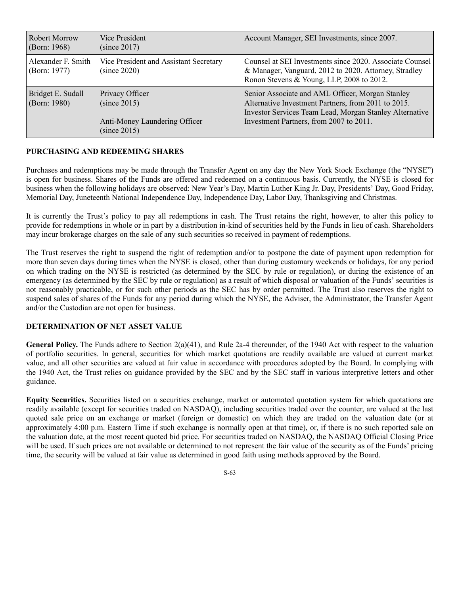| Robert Morrow<br>(Born: 1968)      | Vice President<br>(since 2017)                                                   | Account Manager, SEI Investments, since 2007.                                                                                                                                                                 |
|------------------------------------|----------------------------------------------------------------------------------|---------------------------------------------------------------------------------------------------------------------------------------------------------------------------------------------------------------|
| Alexander F. Smith<br>(Born: 1977) | Vice President and Assistant Secretary<br>(since 2020)                           | Counsel at SEI Investments since 2020. Associate Counsel<br>& Manager, Vanguard, 2012 to 2020. Attorney, Stradley<br>Ronon Stevens & Young, LLP, 2008 to 2012.                                                |
| Bridget E. Sudall<br>(Born: 1980)  | Privacy Officer<br>(since 2015)<br>Anti-Money Laundering Officer<br>(since 2015) | Senior Associate and AML Officer, Morgan Stanley<br>Alternative Investment Partners, from 2011 to 2015.<br>Investor Services Team Lead, Morgan Stanley Alternative<br>Investment Partners, from 2007 to 2011. |

## **PURCHASING AND REDEEMING SHARES**

Purchases and redemptions may be made through the Transfer Agent on any day the New York Stock Exchange (the "NYSE") is open for business. Shares of the Funds are offered and redeemed on a continuous basis. Currently, the NYSE is closed for business when the following holidays are observed: New Year's Day, Martin Luther King Jr. Day, Presidents' Day, Good Friday, Memorial Day, Juneteenth National Independence Day, Independence Day, Labor Day, Thanksgiving and Christmas.

It is currently the Trust's policy to pay all redemptions in cash. The Trust retains the right, however, to alter this policy to provide for redemptions in whole or in part by a distribution in-kind of securities held by the Funds in lieu of cash. Shareholders may incur brokerage charges on the sale of any such securities so received in payment of redemptions.

The Trust reserves the right to suspend the right of redemption and/or to postpone the date of payment upon redemption for more than seven days during times when the NYSE is closed, other than during customary weekends or holidays, for any period on which trading on the NYSE is restricted (as determined by the SEC by rule or regulation), or during the existence of an emergency (as determined by the SEC by rule or regulation) as a result of which disposal or valuation of the Funds' securities is not reasonably practicable, or for such other periods as the SEC has by order permitted. The Trust also reserves the right to suspend sales of shares of the Funds for any period during which the NYSE, the Adviser, the Administrator, the Transfer Agent and/or the Custodian are not open for business.

## **DETERMINATION OF NET ASSET VALUE**

**General Policy.** The Funds adhere to Section 2(a)(41), and Rule 2a-4 thereunder, of the 1940 Act with respect to the valuation of portfolio securities. In general, securities for which market quotations are readily available are valued at current market value, and all other securities are valued at fair value in accordance with procedures adopted by the Board. In complying with the 1940 Act, the Trust relies on guidance provided by the SEC and by the SEC staff in various interpretive letters and other guidance.

**Equity Securities.** Securities listed on a securities exchange, market or automated quotation system for which quotations are readily available (except for securities traded on NASDAQ), including securities traded over the counter, are valued at the last quoted sale price on an exchange or market (foreign or domestic) on which they are traded on the valuation date (or at approximately 4:00 p.m. Eastern Time if such exchange is normally open at that time), or, if there is no such reported sale on the valuation date, at the most recent quoted bid price. For securities traded on NASDAQ, the NASDAQ Official Closing Price will be used. If such prices are not available or determined to not represent the fair value of the security as of the Funds' pricing time, the security will be valued at fair value as determined in good faith using methods approved by the Board.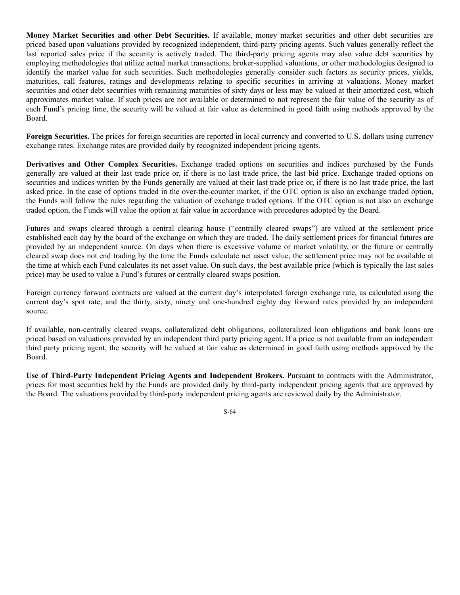**Money Market Securities and other Debt Securities.** If available, money market securities and other debt securities are priced based upon valuations provided by recognized independent, third-party pricing agents. Such values generally reflect the last reported sales price if the security is actively traded. The third-party pricing agents may also value debt securities by employing methodologies that utilize actual market transactions, broker-supplied valuations, or other methodologies designed to identify the market value for such securities. Such methodologies generally consider such factors as security prices, yields, maturities, call features, ratings and developments relating to specific securities in arriving at valuations. Money market securities and other debt securities with remaining maturities of sixty days or less may be valued at their amortized cost, which approximates market value. If such prices are not available or determined to not represent the fair value of the security as of each Fund's pricing time, the security will be valued at fair value as determined in good faith using methods approved by the Board.

**Foreign Securities.** The prices for foreign securities are reported in local currency and converted to U.S. dollars using currency exchange rates. Exchange rates are provided daily by recognized independent pricing agents.

**Derivatives and Other Complex Securities.** Exchange traded options on securities and indices purchased by the Funds generally are valued at their last trade price or, if there is no last trade price, the last bid price. Exchange traded options on securities and indices written by the Funds generally are valued at their last trade price or, if there is no last trade price, the last asked price. In the case of options traded in the over-the-counter market, if the OTC option is also an exchange traded option, the Funds will follow the rules regarding the valuation of exchange traded options. If the OTC option is not also an exchange traded option, the Funds will value the option at fair value in accordance with procedures adopted by the Board.

Futures and swaps cleared through a central clearing house ("centrally cleared swaps") are valued at the settlement price established each day by the board of the exchange on which they are traded. The daily settlement prices for financial futures are provided by an independent source. On days when there is excessive volume or market volatility, or the future or centrally cleared swap does not end trading by the time the Funds calculate net asset value, the settlement price may not be available at the time at which each Fund calculates its net asset value. On such days, the best available price (which is typically the last sales price) may be used to value a Fund's futures or centrally cleared swaps position.

Foreign currency forward contracts are valued at the current day's interpolated foreign exchange rate, as calculated using the current day's spot rate, and the thirty, sixty, ninety and one-hundred eighty day forward rates provided by an independent source.

If available, non-centrally cleared swaps, collateralized debt obligations, collateralized loan obligations and bank loans are priced based on valuations provided by an independent third party pricing agent. If a price is not available from an independent third party pricing agent, the security will be valued at fair value as determined in good faith using methods approved by the Board.

**Use of Third-Party Independent Pricing Agents and Independent Brokers.** Pursuant to contracts with the Administrator, prices for most securities held by the Funds are provided daily by third-party independent pricing agents that are approved by the Board. The valuations provided by third-party independent pricing agents are reviewed daily by the Administrator.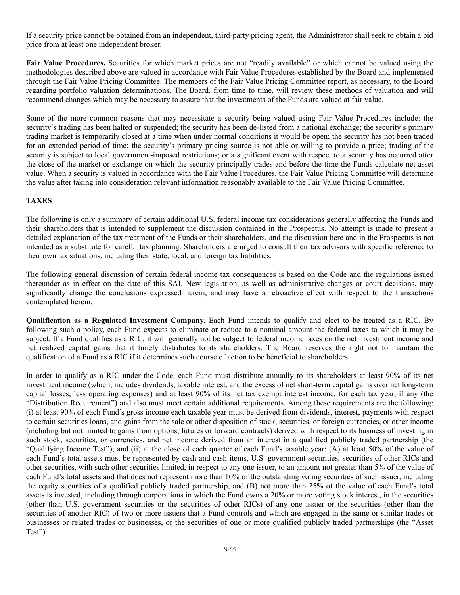If a security price cannot be obtained from an independent, third-party pricing agent, the Administrator shall seek to obtain a bid price from at least one independent broker.

**Fair Value Procedures.** Securities for which market prices are not "readily available" or which cannot be valued using the methodologies described above are valued in accordance with Fair Value Procedures established by the Board and implemented through the Fair Value Pricing Committee. The members of the Fair Value Pricing Committee report, as necessary, to the Board regarding portfolio valuation determinations. The Board, from time to time, will review these methods of valuation and will recommend changes which may be necessary to assure that the investments of the Funds are valued at fair value.

Some of the more common reasons that may necessitate a security being valued using Fair Value Procedures include: the security's trading has been halted or suspended; the security has been de-listed from a national exchange; the security's primary trading market is temporarily closed at a time when under normal conditions it would be open; the security has not been traded for an extended period of time; the security's primary pricing source is not able or willing to provide a price; trading of the security is subject to local government-imposed restrictions; or a significant event with respect to a security has occurred after the close of the market or exchange on which the security principally trades and before the time the Funds calculate net asset value. When a security is valued in accordance with the Fair Value Procedures, the Fair Value Pricing Committee will determine the value after taking into consideration relevant information reasonably available to the Fair Value Pricing Committee.

## **TAXES**

The following is only a summary of certain additional U.S. federal income tax considerations generally affecting the Funds and their shareholders that is intended to supplement the discussion contained in the Prospectus. No attempt is made to present a detailed explanation of the tax treatment of the Funds or their shareholders, and the discussion here and in the Prospectus is not intended as a substitute for careful tax planning. Shareholders are urged to consult their tax advisors with specific reference to their own tax situations, including their state, local, and foreign tax liabilities.

The following general discussion of certain federal income tax consequences is based on the Code and the regulations issued thereunder as in effect on the date of this SAI. New legislation, as well as administrative changes or court decisions, may significantly change the conclusions expressed herein, and may have a retroactive effect with respect to the transactions contemplated herein.

**Qualification as a Regulated Investment Company.** Each Fund intends to qualify and elect to be treated as a RIC. By following such a policy, each Fund expects to eliminate or reduce to a nominal amount the federal taxes to which it may be subject. If a Fund qualifies as a RIC, it will generally not be subject to federal income taxes on the net investment income and net realized capital gains that it timely distributes to its shareholders. The Board reserves the right not to maintain the qualification of a Fund as a RIC if it determines such course of action to be beneficial to shareholders.

In order to qualify as a RIC under the Code, each Fund must distribute annually to its shareholders at least 90% of its net investment income (which, includes dividends, taxable interest, and the excess of net short-term capital gains over net long-term capital losses, less operating expenses) and at least 90% of its net tax exempt interest income, for each tax year, if any (the "Distribution Requirement") and also must meet certain additional requirements. Among these requirements are the following: (i) at least 90% of each Fund's gross income each taxable year must be derived from dividends, interest, payments with respect to certain securities loans, and gains from the sale or other disposition of stock, securities, or foreign currencies, or other income (including but not limited to gains from options, futures or forward contracts) derived with respect to its business of investing in such stock, securities, or currencies, and net income derived from an interest in a qualified publicly traded partnership (the "Qualifying Income Test"); and (ii) at the close of each quarter of each Fund's taxable year: (A) at least 50% of the value of each Fund's total assets must be represented by cash and cash items, U.S. government securities, securities of other RICs and other securities, with such other securities limited, in respect to any one issuer, to an amount not greater than 5% of the value of each Fund's total assets and that does not represent more than 10% of the outstanding voting securities of such issuer, including the equity securities of a qualified publicly traded partnership, and (B) not more than 25% of the value of each Fund's total assets is invested, including through corporations in which the Fund owns a 20% or more voting stock interest, in the securities (other than U.S. government securities or the securities of other RICs) of any one issuer or the securities (other than the securities of another RIC) of two or more issuers that a Fund controls and which are engaged in the same or similar trades or businesses or related trades or businesses, or the securities of one or more qualified publicly traded partnerships (the "Asset Test").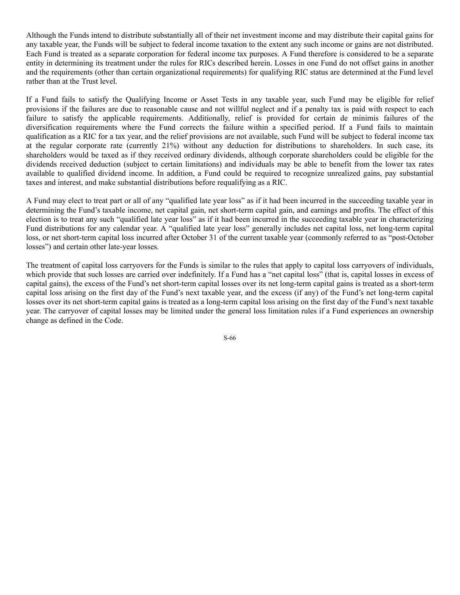Although the Funds intend to distribute substantially all of their net investment income and may distribute their capital gains for any taxable year, the Funds will be subject to federal income taxation to the extent any such income or gains are not distributed. Each Fund is treated as a separate corporation for federal income tax purposes. A Fund therefore is considered to be a separate entity in determining its treatment under the rules for RICs described herein. Losses in one Fund do not offset gains in another and the requirements (other than certain organizational requirements) for qualifying RIC status are determined at the Fund level rather than at the Trust level.

If a Fund fails to satisfy the Qualifying Income or Asset Tests in any taxable year, such Fund may be eligible for relief provisions if the failures are due to reasonable cause and not willful neglect and if a penalty tax is paid with respect to each failure to satisfy the applicable requirements. Additionally, relief is provided for certain de minimis failures of the diversification requirements where the Fund corrects the failure within a specified period. If a Fund fails to maintain qualification as a RIC for a tax year, and the relief provisions are not available, such Fund will be subject to federal income tax at the regular corporate rate (currently 21%) without any deduction for distributions to shareholders. In such case, its shareholders would be taxed as if they received ordinary dividends, although corporate shareholders could be eligible for the dividends received deduction (subject to certain limitations) and individuals may be able to benefit from the lower tax rates available to qualified dividend income. In addition, a Fund could be required to recognize unrealized gains, pay substantial taxes and interest, and make substantial distributions before requalifying as a RIC.

A Fund may elect to treat part or all of any "qualified late year loss" as if it had been incurred in the succeeding taxable year in determining the Fund's taxable income, net capital gain, net short-term capital gain, and earnings and profits. The effect of this election is to treat any such "qualified late year loss" as if it had been incurred in the succeeding taxable year in characterizing Fund distributions for any calendar year. A "qualified late year loss" generally includes net capital loss, net long-term capital loss, or net short-term capital loss incurred after October 31 of the current taxable year (commonly referred to as "post-October losses") and certain other late-year losses.

The treatment of capital loss carryovers for the Funds is similar to the rules that apply to capital loss carryovers of individuals, which provide that such losses are carried over indefinitely. If a Fund has a "net capital loss" (that is, capital losses in excess of capital gains), the excess of the Fund's net short-term capital losses over its net long-term capital gains is treated as a short-term capital loss arising on the first day of the Fund's next taxable year, and the excess (if any) of the Fund's net long-term capital losses over its net short-term capital gains is treated as a long-term capital loss arising on the first day of the Fund's next taxable year. The carryover of capital losses may be limited under the general loss limitation rules if a Fund experiences an ownership change as defined in the Code.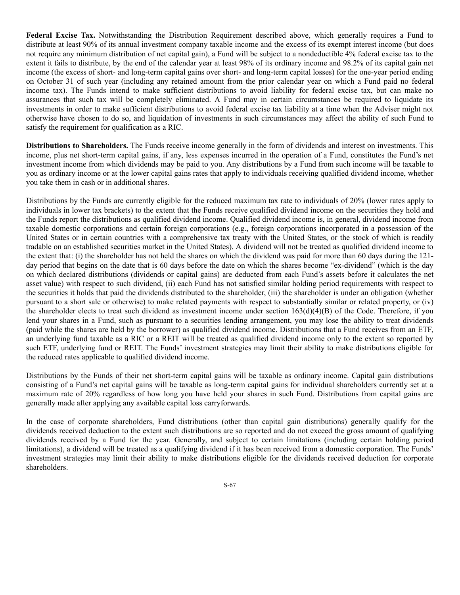**Federal Excise Tax.** Notwithstanding the Distribution Requirement described above, which generally requires a Fund to distribute at least 90% of its annual investment company taxable income and the excess of its exempt interest income (but does not require any minimum distribution of net capital gain), a Fund will be subject to a nondeductible 4% federal excise tax to the extent it fails to distribute, by the end of the calendar year at least 98% of its ordinary income and 98.2% of its capital gain net income (the excess of short- and long-term capital gains over short- and long-term capital losses) for the one-year period ending on October 31 of such year (including any retained amount from the prior calendar year on which a Fund paid no federal income tax). The Funds intend to make sufficient distributions to avoid liability for federal excise tax, but can make no assurances that such tax will be completely eliminated. A Fund may in certain circumstances be required to liquidate its investments in order to make sufficient distributions to avoid federal excise tax liability at a time when the Adviser might not otherwise have chosen to do so, and liquidation of investments in such circumstances may affect the ability of such Fund to satisfy the requirement for qualification as a RIC.

**Distributions to Shareholders.** The Funds receive income generally in the form of dividends and interest on investments. This income, plus net short-term capital gains, if any, less expenses incurred in the operation of a Fund, constitutes the Fund's net investment income from which dividends may be paid to you. Any distributions by a Fund from such income will be taxable to you as ordinary income or at the lower capital gains rates that apply to individuals receiving qualified dividend income, whether you take them in cash or in additional shares.

Distributions by the Funds are currently eligible for the reduced maximum tax rate to individuals of 20% (lower rates apply to individuals in lower tax brackets) to the extent that the Funds receive qualified dividend income on the securities they hold and the Funds report the distributions as qualified dividend income. Qualified dividend income is, in general, dividend income from taxable domestic corporations and certain foreign corporations (e.g., foreign corporations incorporated in a possession of the United States or in certain countries with a comprehensive tax treaty with the United States, or the stock of which is readily tradable on an established securities market in the United States). A dividend will not be treated as qualified dividend income to the extent that: (i) the shareholder has not held the shares on which the dividend was paid for more than 60 days during the 121 day period that begins on the date that is 60 days before the date on which the shares become "ex-dividend" (which is the day on which declared distributions (dividends or capital gains) are deducted from each Fund's assets before it calculates the net asset value) with respect to such dividend, (ii) each Fund has not satisfied similar holding period requirements with respect to the securities it holds that paid the dividends distributed to the shareholder, (iii) the shareholder is under an obligation (whether pursuant to a short sale or otherwise) to make related payments with respect to substantially similar or related property, or (iv) the shareholder elects to treat such dividend as investment income under section 163(d)(4)(B) of the Code. Therefore, if you lend your shares in a Fund, such as pursuant to a securities lending arrangement, you may lose the ability to treat dividends (paid while the shares are held by the borrower) as qualified dividend income. Distributions that a Fund receives from an ETF, an underlying fund taxable as a RIC or a REIT will be treated as qualified dividend income only to the extent so reported by such ETF, underlying fund or REIT. The Funds' investment strategies may limit their ability to make distributions eligible for the reduced rates applicable to qualified dividend income.

Distributions by the Funds of their net short-term capital gains will be taxable as ordinary income. Capital gain distributions consisting of a Fund's net capital gains will be taxable as long-term capital gains for individual shareholders currently set at a maximum rate of 20% regardless of how long you have held your shares in such Fund. Distributions from capital gains are generally made after applying any available capital loss carryforwards.

In the case of corporate shareholders, Fund distributions (other than capital gain distributions) generally qualify for the dividends received deduction to the extent such distributions are so reported and do not exceed the gross amount of qualifying dividends received by a Fund for the year. Generally, and subject to certain limitations (including certain holding period limitations), a dividend will be treated as a qualifying dividend if it has been received from a domestic corporation. The Funds' investment strategies may limit their ability to make distributions eligible for the dividends received deduction for corporate shareholders.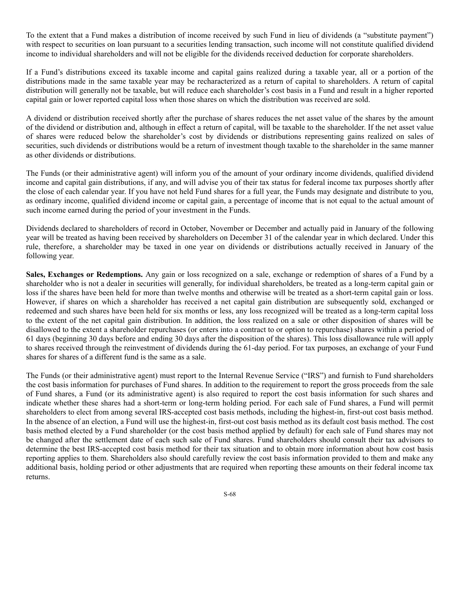To the extent that a Fund makes a distribution of income received by such Fund in lieu of dividends (a "substitute payment") with respect to securities on loan pursuant to a securities lending transaction, such income will not constitute qualified dividend income to individual shareholders and will not be eligible for the dividends received deduction for corporate shareholders.

If a Fund's distributions exceed its taxable income and capital gains realized during a taxable year, all or a portion of the distributions made in the same taxable year may be recharacterized as a return of capital to shareholders. A return of capital distribution will generally not be taxable, but will reduce each shareholder's cost basis in a Fund and result in a higher reported capital gain or lower reported capital loss when those shares on which the distribution was received are sold.

A dividend or distribution received shortly after the purchase of shares reduces the net asset value of the shares by the amount of the dividend or distribution and, although in effect a return of capital, will be taxable to the shareholder. If the net asset value of shares were reduced below the shareholder's cost by dividends or distributions representing gains realized on sales of securities, such dividends or distributions would be a return of investment though taxable to the shareholder in the same manner as other dividends or distributions.

The Funds (or their administrative agent) will inform you of the amount of your ordinary income dividends, qualified dividend income and capital gain distributions, if any, and will advise you of their tax status for federal income tax purposes shortly after the close of each calendar year. If you have not held Fund shares for a full year, the Funds may designate and distribute to you, as ordinary income, qualified dividend income or capital gain, a percentage of income that is not equal to the actual amount of such income earned during the period of your investment in the Funds.

Dividends declared to shareholders of record in October, November or December and actually paid in January of the following year will be treated as having been received by shareholders on December 31 of the calendar year in which declared. Under this rule, therefore, a shareholder may be taxed in one year on dividends or distributions actually received in January of the following year.

**Sales, Exchanges or Redemptions.** Any gain or loss recognized on a sale, exchange or redemption of shares of a Fund by a shareholder who is not a dealer in securities will generally, for individual shareholders, be treated as a long-term capital gain or loss if the shares have been held for more than twelve months and otherwise will be treated as a short-term capital gain or loss. However, if shares on which a shareholder has received a net capital gain distribution are subsequently sold, exchanged or redeemed and such shares have been held for six months or less, any loss recognized will be treated as a long-term capital loss to the extent of the net capital gain distribution. In addition, the loss realized on a sale or other disposition of shares will be disallowed to the extent a shareholder repurchases (or enters into a contract to or option to repurchase) shares within a period of 61 days (beginning 30 days before and ending 30 days after the disposition of the shares). This loss disallowance rule will apply to shares received through the reinvestment of dividends during the 61-day period. For tax purposes, an exchange of your Fund shares for shares of a different fund is the same as a sale.

The Funds (or their administrative agent) must report to the Internal Revenue Service ("IRS") and furnish to Fund shareholders the cost basis information for purchases of Fund shares. In addition to the requirement to report the gross proceeds from the sale of Fund shares, a Fund (or its administrative agent) is also required to report the cost basis information for such shares and indicate whether these shares had a short-term or long-term holding period. For each sale of Fund shares, a Fund will permit shareholders to elect from among several IRS-accepted cost basis methods, including the highest-in, first-out cost basis method. In the absence of an election, a Fund will use the highest-in, first-out cost basis method as its default cost basis method. The cost basis method elected by a Fund shareholder (or the cost basis method applied by default) for each sale of Fund shares may not be changed after the settlement date of each such sale of Fund shares. Fund shareholders should consult their tax advisors to determine the best IRS-accepted cost basis method for their tax situation and to obtain more information about how cost basis reporting applies to them. Shareholders also should carefully review the cost basis information provided to them and make any additional basis, holding period or other adjustments that are required when reporting these amounts on their federal income tax returns.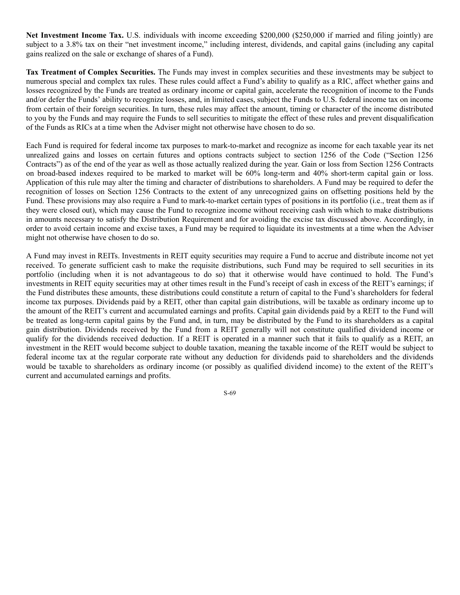**Net Investment Income Tax.** U.S. individuals with income exceeding \$200,000 (\$250,000 if married and filing jointly) are subject to a 3.8% tax on their "net investment income," including interest, dividends, and capital gains (including any capital gains realized on the sale or exchange of shares of a Fund).

**Tax Treatment of Complex Securities.** The Funds may invest in complex securities and these investments may be subject to numerous special and complex tax rules. These rules could affect a Fund's ability to qualify as a RIC, affect whether gains and losses recognized by the Funds are treated as ordinary income or capital gain, accelerate the recognition of income to the Funds and/or defer the Funds' ability to recognize losses, and, in limited cases, subject the Funds to U.S. federal income tax on income from certain of their foreign securities. In turn, these rules may affect the amount, timing or character of the income distributed to you by the Funds and may require the Funds to sell securities to mitigate the effect of these rules and prevent disqualification of the Funds as RICs at a time when the Adviser might not otherwise have chosen to do so.

Each Fund is required for federal income tax purposes to mark-to-market and recognize as income for each taxable year its net unrealized gains and losses on certain futures and options contracts subject to section 1256 of the Code ("Section 1256 Contracts") as of the end of the year as well as those actually realized during the year. Gain or loss from Section 1256 Contracts on broad-based indexes required to be marked to market will be 60% long-term and 40% short-term capital gain or loss. Application of this rule may alter the timing and character of distributions to shareholders. A Fund may be required to defer the recognition of losses on Section 1256 Contracts to the extent of any unrecognized gains on offsetting positions held by the Fund. These provisions may also require a Fund to mark-to-market certain types of positions in its portfolio (i.e., treat them as if they were closed out), which may cause the Fund to recognize income without receiving cash with which to make distributions in amounts necessary to satisfy the Distribution Requirement and for avoiding the excise tax discussed above. Accordingly, in order to avoid certain income and excise taxes, a Fund may be required to liquidate its investments at a time when the Adviser might not otherwise have chosen to do so.

A Fund may invest in REITs. Investments in REIT equity securities may require a Fund to accrue and distribute income not yet received. To generate sufficient cash to make the requisite distributions, such Fund may be required to sell securities in its portfolio (including when it is not advantageous to do so) that it otherwise would have continued to hold. The Fund's investments in REIT equity securities may at other times result in the Fund's receipt of cash in excess of the REIT's earnings; if the Fund distributes these amounts, these distributions could constitute a return of capital to the Fund's shareholders for federal income tax purposes. Dividends paid by a REIT, other than capital gain distributions, will be taxable as ordinary income up to the amount of the REIT's current and accumulated earnings and profits. Capital gain dividends paid by a REIT to the Fund will be treated as long-term capital gains by the Fund and, in turn, may be distributed by the Fund to its shareholders as a capital gain distribution. Dividends received by the Fund from a REIT generally will not constitute qualified dividend income or qualify for the dividends received deduction. If a REIT is operated in a manner such that it fails to qualify as a REIT, an investment in the REIT would become subject to double taxation, meaning the taxable income of the REIT would be subject to federal income tax at the regular corporate rate without any deduction for dividends paid to shareholders and the dividends would be taxable to shareholders as ordinary income (or possibly as qualified dividend income) to the extent of the REIT's current and accumulated earnings and profits.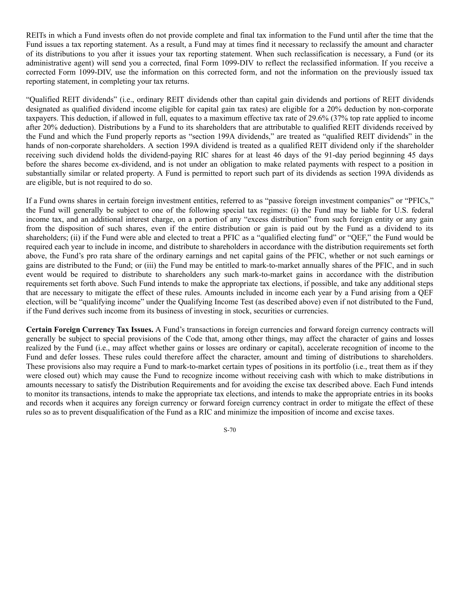REITs in which a Fund invests often do not provide complete and final tax information to the Fund until after the time that the Fund issues a tax reporting statement. As a result, a Fund may at times find it necessary to reclassify the amount and character of its distributions to you after it issues your tax reporting statement. When such reclassification is necessary, a Fund (or its administrative agent) will send you a corrected, final Form 1099-DIV to reflect the reclassified information. If you receive a corrected Form 1099-DIV, use the information on this corrected form, and not the information on the previously issued tax reporting statement, in completing your tax returns.

"Qualified REIT dividends" (i.e., ordinary REIT dividends other than capital gain dividends and portions of REIT dividends designated as qualified dividend income eligible for capital gain tax rates) are eligible for a 20% deduction by non-corporate taxpayers. This deduction, if allowed in full, equates to a maximum effective tax rate of 29.6% (37% top rate applied to income after 20% deduction). Distributions by a Fund to its shareholders that are attributable to qualified REIT dividends received by the Fund and which the Fund properly reports as "section 199A dividends," are treated as "qualified REIT dividends" in the hands of non-corporate shareholders. A section 199A dividend is treated as a qualified REIT dividend only if the shareholder receiving such dividend holds the dividend-paying RIC shares for at least 46 days of the 91-day period beginning 45 days before the shares become ex-dividend, and is not under an obligation to make related payments with respect to a position in substantially similar or related property. A Fund is permitted to report such part of its dividends as section 199A dividends as are eligible, but is not required to do so.

If a Fund owns shares in certain foreign investment entities, referred to as "passive foreign investment companies" or "PFICs," the Fund will generally be subject to one of the following special tax regimes: (i) the Fund may be liable for U.S. federal income tax, and an additional interest charge, on a portion of any "excess distribution" from such foreign entity or any gain from the disposition of such shares, even if the entire distribution or gain is paid out by the Fund as a dividend to its shareholders; (ii) if the Fund were able and elected to treat a PFIC as a "qualified electing fund" or "QEF," the Fund would be required each year to include in income, and distribute to shareholders in accordance with the distribution requirements set forth above, the Fund's pro rata share of the ordinary earnings and net capital gains of the PFIC, whether or not such earnings or gains are distributed to the Fund; or (iii) the Fund may be entitled to mark-to-market annually shares of the PFIC, and in such event would be required to distribute to shareholders any such mark-to-market gains in accordance with the distribution requirements set forth above. Such Fund intends to make the appropriate tax elections, if possible, and take any additional steps that are necessary to mitigate the effect of these rules. Amounts included in income each year by a Fund arising from a QEF election, will be "qualifying income" under the Qualifying Income Test (as described above) even if not distributed to the Fund, if the Fund derives such income from its business of investing in stock, securities or currencies.

**Certain Foreign Currency Tax Issues.** A Fund's transactions in foreign currencies and forward foreign currency contracts will generally be subject to special provisions of the Code that, among other things, may affect the character of gains and losses realized by the Fund (i.e., may affect whether gains or losses are ordinary or capital), accelerate recognition of income to the Fund and defer losses. These rules could therefore affect the character, amount and timing of distributions to shareholders. These provisions also may require a Fund to mark-to-market certain types of positions in its portfolio (i.e., treat them as if they were closed out) which may cause the Fund to recognize income without receiving cash with which to make distributions in amounts necessary to satisfy the Distribution Requirements and for avoiding the excise tax described above. Each Fund intends to monitor its transactions, intends to make the appropriate tax elections, and intends to make the appropriate entries in its books and records when it acquires any foreign currency or forward foreign currency contract in order to mitigate the effect of these rules so as to prevent disqualification of the Fund as a RIC and minimize the imposition of income and excise taxes.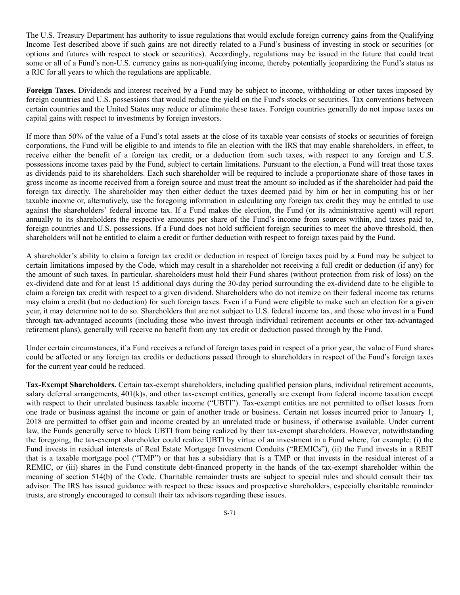The U.S. Treasury Department has authority to issue regulations that would exclude foreign currency gains from the Qualifying Income Test described above if such gains are not directly related to a Fund's business of investing in stock or securities (or options and futures with respect to stock or securities). Accordingly, regulations may be issued in the future that could treat some or all of a Fund's non-U.S. currency gains as non-qualifying income, thereby potentially jeopardizing the Fund's status as a RIC for all years to which the regulations are applicable.

**Foreign Taxes.** Dividends and interest received by a Fund may be subject to income, withholding or other taxes imposed by foreign countries and U.S. possessions that would reduce the yield on the Fund's stocks or securities. Tax conventions between certain countries and the United States may reduce or eliminate these taxes. Foreign countries generally do not impose taxes on capital gains with respect to investments by foreign investors.

If more than 50% of the value of a Fund's total assets at the close of its taxable year consists of stocks or securities of foreign corporations, the Fund will be eligible to and intends to file an election with the IRS that may enable shareholders, in effect, to receive either the benefit of a foreign tax credit, or a deduction from such taxes, with respect to any foreign and U.S. possessions income taxes paid by the Fund, subject to certain limitations. Pursuant to the election, a Fund will treat those taxes as dividends paid to its shareholders. Each such shareholder will be required to include a proportionate share of those taxes in gross income as income received from a foreign source and must treat the amount so included as if the shareholder had paid the foreign tax directly. The shareholder may then either deduct the taxes deemed paid by him or her in computing his or her taxable income or, alternatively, use the foregoing information in calculating any foreign tax credit they may be entitled to use against the shareholders' federal income tax. If a Fund makes the election, the Fund (or its administrative agent) will report annually to its shareholders the respective amounts per share of the Fund's income from sources within, and taxes paid to, foreign countries and U.S. possessions. If a Fund does not hold sufficient foreign securities to meet the above threshold, then shareholders will not be entitled to claim a credit or further deduction with respect to foreign taxes paid by the Fund.

A shareholder's ability to claim a foreign tax credit or deduction in respect of foreign taxes paid by a Fund may be subject to certain limitations imposed by the Code, which may result in a shareholder not receiving a full credit or deduction (if any) for the amount of such taxes. In particular, shareholders must hold their Fund shares (without protection from risk of loss) on the ex-dividend date and for at least 15 additional days during the 30-day period surrounding the ex-dividend date to be eligible to claim a foreign tax credit with respect to a given dividend. Shareholders who do not itemize on their federal income tax returns may claim a credit (but no deduction) for such foreign taxes. Even if a Fund were eligible to make such an election for a given year, it may determine not to do so. Shareholders that are not subject to U.S. federal income tax, and those who invest in a Fund through tax-advantaged accounts (including those who invest through individual retirement accounts or other tax-advantaged retirement plans), generally will receive no benefit from any tax credit or deduction passed through by the Fund.

Under certain circumstances, if a Fund receives a refund of foreign taxes paid in respect of a prior year, the value of Fund shares could be affected or any foreign tax credits or deductions passed through to shareholders in respect of the Fund's foreign taxes for the current year could be reduced.

**Tax-Exempt Shareholders.** Certain tax-exempt shareholders, including qualified pension plans, individual retirement accounts, salary deferral arrangements, 401(k)s, and other tax-exempt entities, generally are exempt from federal income taxation except with respect to their unrelated business taxable income ("UBTI"). Tax-exempt entities are not permitted to offset losses from one trade or business against the income or gain of another trade or business. Certain net losses incurred prior to January 1, 2018 are permitted to offset gain and income created by an unrelated trade or business, if otherwise available. Under current law, the Funds generally serve to block UBTI from being realized by their tax-exempt shareholders. However, notwithstanding the foregoing, the tax-exempt shareholder could realize UBTI by virtue of an investment in a Fund where, for example: (i) the Fund invests in residual interests of Real Estate Mortgage Investment Conduits ("REMICs"), (ii) the Fund invests in a REIT that is a taxable mortgage pool ("TMP") or that has a subsidiary that is a TMP or that invests in the residual interest of a REMIC, or (iii) shares in the Fund constitute debt-financed property in the hands of the tax-exempt shareholder within the meaning of section 514(b) of the Code. Charitable remainder trusts are subject to special rules and should consult their tax advisor. The IRS has issued guidance with respect to these issues and prospective shareholders, especially charitable remainder trusts, are strongly encouraged to consult their tax advisors regarding these issues.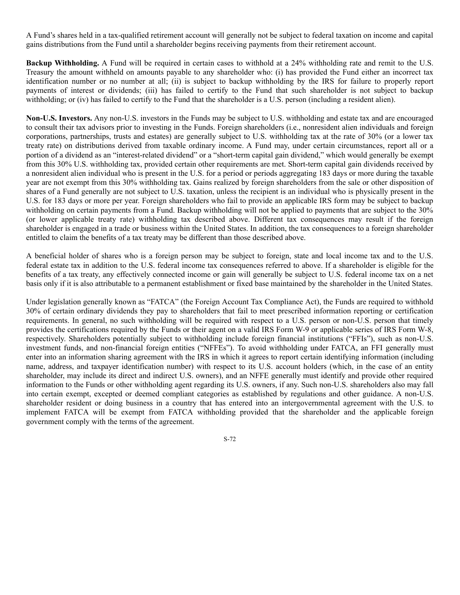A Fund's shares held in a tax-qualified retirement account will generally not be subject to federal taxation on income and capital gains distributions from the Fund until a shareholder begins receiving payments from their retirement account.

**Backup Withholding.** A Fund will be required in certain cases to withhold at a 24% withholding rate and remit to the U.S. Treasury the amount withheld on amounts payable to any shareholder who: (i) has provided the Fund either an incorrect tax identification number or no number at all; (ii) is subject to backup withholding by the IRS for failure to properly report payments of interest or dividends; (iii) has failed to certify to the Fund that such shareholder is not subject to backup withholding; or (iv) has failed to certify to the Fund that the shareholder is a U.S. person (including a resident alien).

**Non-U.S. Investors.** Any non-U.S. investors in the Funds may be subject to U.S. withholding and estate tax and are encouraged to consult their tax advisors prior to investing in the Funds. Foreign shareholders (i.e., nonresident alien individuals and foreign corporations, partnerships, trusts and estates) are generally subject to U.S. withholding tax at the rate of 30% (or a lower tax treaty rate) on distributions derived from taxable ordinary income. A Fund may, under certain circumstances, report all or a portion of a dividend as an "interest-related dividend" or a "short-term capital gain dividend," which would generally be exempt from this 30% U.S. withholding tax, provided certain other requirements are met. Short-term capital gain dividends received by a nonresident alien individual who is present in the U.S. for a period or periods aggregating 183 days or more during the taxable year are not exempt from this 30% withholding tax. Gains realized by foreign shareholders from the sale or other disposition of shares of a Fund generally are not subject to U.S. taxation, unless the recipient is an individual who is physically present in the U.S. for 183 days or more per year. Foreign shareholders who fail to provide an applicable IRS form may be subject to backup withholding on certain payments from a Fund. Backup withholding will not be applied to payments that are subject to the 30% (or lower applicable treaty rate) withholding tax described above. Different tax consequences may result if the foreign shareholder is engaged in a trade or business within the United States. In addition, the tax consequences to a foreign shareholder entitled to claim the benefits of a tax treaty may be different than those described above.

A beneficial holder of shares who is a foreign person may be subject to foreign, state and local income tax and to the U.S. federal estate tax in addition to the U.S. federal income tax consequences referred to above. If a shareholder is eligible for the benefits of a tax treaty, any effectively connected income or gain will generally be subject to U.S. federal income tax on a net basis only if it is also attributable to a permanent establishment or fixed base maintained by the shareholder in the United States.

Under legislation generally known as "FATCA" (the Foreign Account Tax Compliance Act), the Funds are required to withhold 30% of certain ordinary dividends they pay to shareholders that fail to meet prescribed information reporting or certification requirements. In general, no such withholding will be required with respect to a U.S. person or non-U.S. person that timely provides the certifications required by the Funds or their agent on a valid IRS Form W-9 or applicable series of IRS Form W-8, respectively. Shareholders potentially subject to withholding include foreign financial institutions ("FFIs"), such as non-U.S. investment funds, and non-financial foreign entities ("NFFEs"). To avoid withholding under FATCA, an FFI generally must enter into an information sharing agreement with the IRS in which it agrees to report certain identifying information (including name, address, and taxpayer identification number) with respect to its U.S. account holders (which, in the case of an entity shareholder, may include its direct and indirect U.S. owners), and an NFFE generally must identify and provide other required information to the Funds or other withholding agent regarding its U.S. owners, if any. Such non-U.S. shareholders also may fall into certain exempt, excepted or deemed compliant categories as established by regulations and other guidance. A non-U.S. shareholder resident or doing business in a country that has entered into an intergovernmental agreement with the U.S. to implement FATCA will be exempt from FATCA withholding provided that the shareholder and the applicable foreign government comply with the terms of the agreement.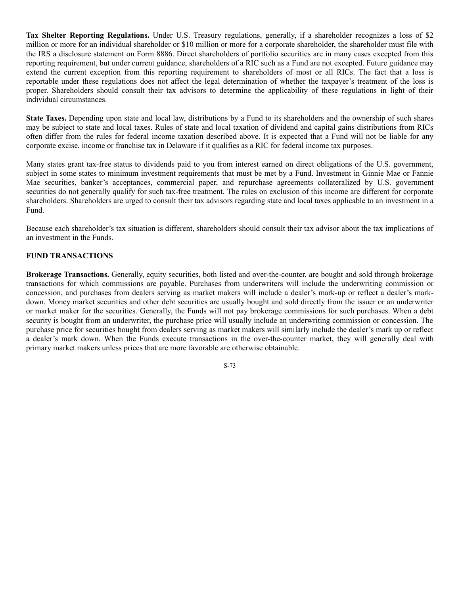**Tax Shelter Reporting Regulations.** Under U.S. Treasury regulations, generally, if a shareholder recognizes a loss of \$2 million or more for an individual shareholder or \$10 million or more for a corporate shareholder, the shareholder must file with the IRS a disclosure statement on Form 8886. Direct shareholders of portfolio securities are in many cases excepted from this reporting requirement, but under current guidance, shareholders of a RIC such as a Fund are not excepted. Future guidance may extend the current exception from this reporting requirement to shareholders of most or all RICs. The fact that a loss is reportable under these regulations does not affect the legal determination of whether the taxpayer's treatment of the loss is proper. Shareholders should consult their tax advisors to determine the applicability of these regulations in light of their individual circumstances.

**State Taxes.** Depending upon state and local law, distributions by a Fund to its shareholders and the ownership of such shares may be subject to state and local taxes. Rules of state and local taxation of dividend and capital gains distributions from RICs often differ from the rules for federal income taxation described above. It is expected that a Fund will not be liable for any corporate excise, income or franchise tax in Delaware if it qualifies as a RIC for federal income tax purposes.

Many states grant tax-free status to dividends paid to you from interest earned on direct obligations of the U.S. government, subject in some states to minimum investment requirements that must be met by a Fund. Investment in Ginnie Mae or Fannie Mae securities, banker's acceptances, commercial paper, and repurchase agreements collateralized by U.S. government securities do not generally qualify for such tax-free treatment. The rules on exclusion of this income are different for corporate shareholders. Shareholders are urged to consult their tax advisors regarding state and local taxes applicable to an investment in a Fund.

Because each shareholder's tax situation is different, shareholders should consult their tax advisor about the tax implications of an investment in the Funds.

### **FUND TRANSACTIONS**

**Brokerage Transactions.** Generally, equity securities, both listed and over-the-counter, are bought and sold through brokerage transactions for which commissions are payable. Purchases from underwriters will include the underwriting commission or concession, and purchases from dealers serving as market makers will include a dealer's mark-up or reflect a dealer's markdown. Money market securities and other debt securities are usually bought and sold directly from the issuer or an underwriter or market maker for the securities. Generally, the Funds will not pay brokerage commissions for such purchases. When a debt security is bought from an underwriter, the purchase price will usually include an underwriting commission or concession. The purchase price for securities bought from dealers serving as market makers will similarly include the dealer's mark up or reflect a dealer's mark down. When the Funds execute transactions in the over-the-counter market, they will generally deal with primary market makers unless prices that are more favorable are otherwise obtainable.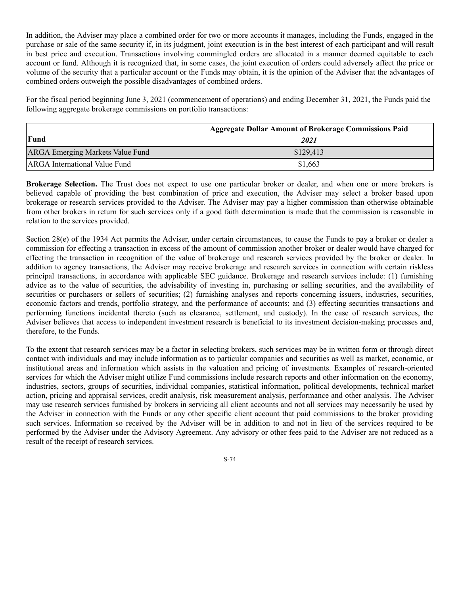In addition, the Adviser may place a combined order for two or more accounts it manages, including the Funds, engaged in the purchase or sale of the same security if, in its judgment, joint execution is in the best interest of each participant and will result in best price and execution. Transactions involving commingled orders are allocated in a manner deemed equitable to each account or fund. Although it is recognized that, in some cases, the joint execution of orders could adversely affect the price or volume of the security that a particular account or the Funds may obtain, it is the opinion of the Adviser that the advantages of combined orders outweigh the possible disadvantages of combined orders.

For the fiscal period beginning June 3, 2021 (commencement of operations) and ending December 31, 2021, the Funds paid the following aggregate brokerage commissions on portfolio transactions:

|                                         | <b>Aggregate Dollar Amount of Brokerage Commissions Paid</b> |  |
|-----------------------------------------|--------------------------------------------------------------|--|
| Fund                                    | 2021                                                         |  |
| <b>ARGA Emerging Markets Value Fund</b> | \$129,413                                                    |  |
| <b>ARGA</b> International Value Fund    | \$1,663                                                      |  |

**Brokerage Selection.** The Trust does not expect to use one particular broker or dealer, and when one or more brokers is believed capable of providing the best combination of price and execution, the Adviser may select a broker based upon brokerage or research services provided to the Adviser. The Adviser may pay a higher commission than otherwise obtainable from other brokers in return for such services only if a good faith determination is made that the commission is reasonable in relation to the services provided.

Section 28(e) of the 1934 Act permits the Adviser, under certain circumstances, to cause the Funds to pay a broker or dealer a commission for effecting a transaction in excess of the amount of commission another broker or dealer would have charged for effecting the transaction in recognition of the value of brokerage and research services provided by the broker or dealer. In addition to agency transactions, the Adviser may receive brokerage and research services in connection with certain riskless principal transactions, in accordance with applicable SEC guidance. Brokerage and research services include: (1) furnishing advice as to the value of securities, the advisability of investing in, purchasing or selling securities, and the availability of securities or purchasers or sellers of securities; (2) furnishing analyses and reports concerning issuers, industries, securities, economic factors and trends, portfolio strategy, and the performance of accounts; and (3) effecting securities transactions and performing functions incidental thereto (such as clearance, settlement, and custody). In the case of research services, the Adviser believes that access to independent investment research is beneficial to its investment decision-making processes and, therefore, to the Funds.

To the extent that research services may be a factor in selecting brokers, such services may be in written form or through direct contact with individuals and may include information as to particular companies and securities as well as market, economic, or institutional areas and information which assists in the valuation and pricing of investments. Examples of research-oriented services for which the Adviser might utilize Fund commissions include research reports and other information on the economy, industries, sectors, groups of securities, individual companies, statistical information, political developments, technical market action, pricing and appraisal services, credit analysis, risk measurement analysis, performance and other analysis. The Adviser may use research services furnished by brokers in servicing all client accounts and not all services may necessarily be used by the Adviser in connection with the Funds or any other specific client account that paid commissions to the broker providing such services. Information so received by the Adviser will be in addition to and not in lieu of the services required to be performed by the Adviser under the Advisory Agreement. Any advisory or other fees paid to the Adviser are not reduced as a result of the receipt of research services.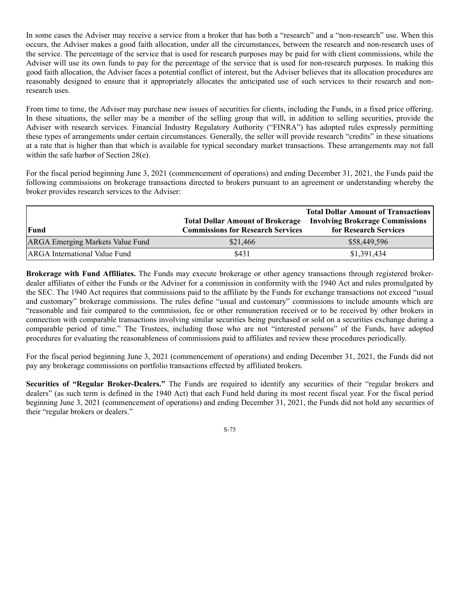In some cases the Adviser may receive a service from a broker that has both a "research" and a "non-research" use. When this occurs, the Adviser makes a good faith allocation, under all the circumstances, between the research and non-research uses of the service. The percentage of the service that is used for research purposes may be paid for with client commissions, while the Adviser will use its own funds to pay for the percentage of the service that is used for non-research purposes. In making this good faith allocation, the Adviser faces a potential conflict of interest, but the Adviser believes that its allocation procedures are reasonably designed to ensure that it appropriately allocates the anticipated use of such services to their research and nonresearch uses.

From time to time, the Adviser may purchase new issues of securities for clients, including the Funds, in a fixed price offering. In these situations, the seller may be a member of the selling group that will, in addition to selling securities, provide the Adviser with research services. Financial Industry Regulatory Authority ("FINRA") has adopted rules expressly permitting these types of arrangements under certain circumstances. Generally, the seller will provide research "credits" in these situations at a rate that is higher than that which is available for typical secondary market transactions. These arrangements may not fall within the safe harbor of Section 28(e).

For the fiscal period beginning June 3, 2021 (commencement of operations) and ending December 31, 2021, the Funds paid the following commissions on brokerage transactions directed to brokers pursuant to an agreement or understanding whereby the broker provides research services to the Adviser:

|                                         | <b>Total Dollar Amount of Transactions</b> |                                        |  |
|-----------------------------------------|--------------------------------------------|----------------------------------------|--|
|                                         | <b>Total Dollar Amount of Brokerage</b>    | <b>Involving Brokerage Commissions</b> |  |
| Fund                                    | <b>Commissions for Research Services</b>   | for Research Services                  |  |
| <b>ARGA Emerging Markets Value Fund</b> | \$21,466                                   | \$58,449,596                           |  |
| <b>ARGA</b> International Value Fund    | \$431                                      | \$1,391,434                            |  |

**Brokerage with Fund Affiliates.** The Funds may execute brokerage or other agency transactions through registered brokerdealer affiliates of either the Funds or the Adviser for a commission in conformity with the 1940 Act and rules promulgated by the SEC. The 1940 Act requires that commissions paid to the affiliate by the Funds for exchange transactions not exceed "usual and customary" brokerage commissions. The rules define "usual and customary" commissions to include amounts which are "reasonable and fair compared to the commission, fee or other remuneration received or to be received by other brokers in connection with comparable transactions involving similar securities being purchased or sold on a securities exchange during a comparable period of time." The Trustees, including those who are not "interested persons" of the Funds, have adopted procedures for evaluating the reasonableness of commissions paid to affiliates and review these procedures periodically.

For the fiscal period beginning June 3, 2021 (commencement of operations) and ending December 31, 2021, the Funds did not pay any brokerage commissions on portfolio transactions effected by affiliated brokers.

**Securities of "Regular Broker-Dealers."** The Funds are required to identify any securities of their "regular brokers and dealers" (as such term is defined in the 1940 Act) that each Fund held during its most recent fiscal year. For the fiscal period beginning June 3, 2021 (commencement of operations) and ending December 31, 2021, the Funds did not hold any securities of their "regular brokers or dealers."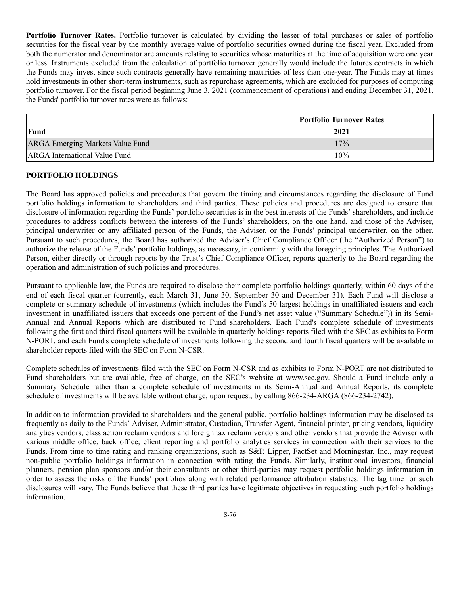**Portfolio Turnover Rates.** Portfolio turnover is calculated by dividing the lesser of total purchases or sales of portfolio securities for the fiscal year by the monthly average value of portfolio securities owned during the fiscal year. Excluded from both the numerator and denominator are amounts relating to securities whose maturities at the time of acquisition were one year or less. Instruments excluded from the calculation of portfolio turnover generally would include the futures contracts in which the Funds may invest since such contracts generally have remaining maturities of less than one-year. The Funds may at times hold investments in other short-term instruments, such as repurchase agreements, which are excluded for purposes of computing portfolio turnover. For the fiscal period beginning June 3, 2021 (commencement of operations) and ending December 31, 2021, the Funds' portfolio turnover rates were as follows:

|                                         | <b>Portfolio Turnover Rates</b> |  |
|-----------------------------------------|---------------------------------|--|
| Fund                                    | 2021                            |  |
| <b>ARGA Emerging Markets Value Fund</b> | 17%                             |  |
| <b>ARGA</b> International Value Fund    | 10%                             |  |

#### **PORTFOLIO HOLDINGS**

The Board has approved policies and procedures that govern the timing and circumstances regarding the disclosure of Fund portfolio holdings information to shareholders and third parties. These policies and procedures are designed to ensure that disclosure of information regarding the Funds' portfolio securities is in the best interests of the Funds' shareholders, and include procedures to address conflicts between the interests of the Funds' shareholders, on the one hand, and those of the Adviser, principal underwriter or any affiliated person of the Funds, the Adviser, or the Funds' principal underwriter, on the other. Pursuant to such procedures, the Board has authorized the Adviser's Chief Compliance Officer (the "Authorized Person") to authorize the release of the Funds' portfolio holdings, as necessary, in conformity with the foregoing principles. The Authorized Person, either directly or through reports by the Trust's Chief Compliance Officer, reports quarterly to the Board regarding the operation and administration of such policies and procedures.

Pursuant to applicable law, the Funds are required to disclose their complete portfolio holdings quarterly, within 60 days of the end of each fiscal quarter (currently, each March 31, June 30, September 30 and December 31). Each Fund will disclose a complete or summary schedule of investments (which includes the Fund's 50 largest holdings in unaffiliated issuers and each investment in unaffiliated issuers that exceeds one percent of the Fund's net asset value ("Summary Schedule")) in its Semi-Annual and Annual Reports which are distributed to Fund shareholders. Each Fund's complete schedule of investments following the first and third fiscal quarters will be available in quarterly holdings reports filed with the SEC as exhibits to Form N-PORT, and each Fund's complete schedule of investments following the second and fourth fiscal quarters will be available in shareholder reports filed with the SEC on Form N-CSR.

Complete schedules of investments filed with the SEC on Form N-CSR and as exhibits to Form N-PORT are not distributed to Fund shareholders but are available, free of charge, on the SEC's website at www.sec.gov. Should a Fund include only a Summary Schedule rather than a complete schedule of investments in its Semi-Annual and Annual Reports, its complete schedule of investments will be available without charge, upon request, by calling 866-234-ARGA (866-234-2742).

In addition to information provided to shareholders and the general public, portfolio holdings information may be disclosed as frequently as daily to the Funds' Adviser, Administrator, Custodian, Transfer Agent, financial printer, pricing vendors, liquidity analytics vendors, class action reclaim vendors and foreign tax reclaim vendors and other vendors that provide the Adviser with various middle office, back office, client reporting and portfolio analytics services in connection with their services to the Funds. From time to time rating and ranking organizations, such as S&P, Lipper, FactSet and Morningstar, Inc., may request non-public portfolio holdings information in connection with rating the Funds. Similarly, institutional investors, financial planners, pension plan sponsors and/or their consultants or other third-parties may request portfolio holdings information in order to assess the risks of the Funds' portfolios along with related performance attribution statistics. The lag time for such disclosures will vary. The Funds believe that these third parties have legitimate objectives in requesting such portfolio holdings information.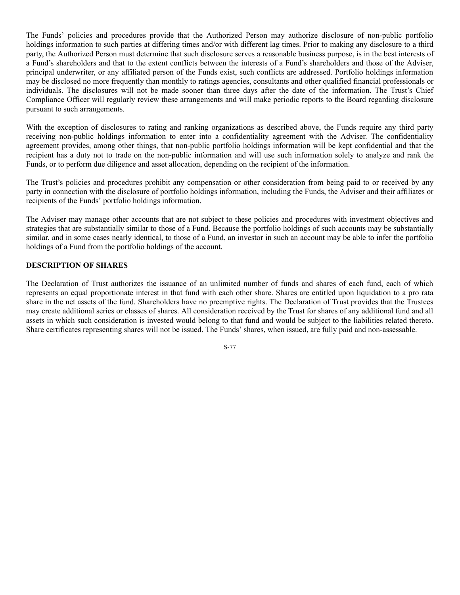The Funds' policies and procedures provide that the Authorized Person may authorize disclosure of non-public portfolio holdings information to such parties at differing times and/or with different lag times. Prior to making any disclosure to a third party, the Authorized Person must determine that such disclosure serves a reasonable business purpose, is in the best interests of a Fund's shareholders and that to the extent conflicts between the interests of a Fund's shareholders and those of the Adviser, principal underwriter, or any affiliated person of the Funds exist, such conflicts are addressed. Portfolio holdings information may be disclosed no more frequently than monthly to ratings agencies, consultants and other qualified financial professionals or individuals. The disclosures will not be made sooner than three days after the date of the information. The Trust's Chief Compliance Officer will regularly review these arrangements and will make periodic reports to the Board regarding disclosure pursuant to such arrangements.

With the exception of disclosures to rating and ranking organizations as described above, the Funds require any third party receiving non-public holdings information to enter into a confidentiality agreement with the Adviser. The confidentiality agreement provides, among other things, that non-public portfolio holdings information will be kept confidential and that the recipient has a duty not to trade on the non-public information and will use such information solely to analyze and rank the Funds, or to perform due diligence and asset allocation, depending on the recipient of the information.

The Trust's policies and procedures prohibit any compensation or other consideration from being paid to or received by any party in connection with the disclosure of portfolio holdings information, including the Funds, the Adviser and their affiliates or recipients of the Funds' portfolio holdings information.

The Adviser may manage other accounts that are not subject to these policies and procedures with investment objectives and strategies that are substantially similar to those of a Fund. Because the portfolio holdings of such accounts may be substantially similar, and in some cases nearly identical, to those of a Fund, an investor in such an account may be able to infer the portfolio holdings of a Fund from the portfolio holdings of the account.

# **DESCRIPTION OF SHARES**

The Declaration of Trust authorizes the issuance of an unlimited number of funds and shares of each fund, each of which represents an equal proportionate interest in that fund with each other share. Shares are entitled upon liquidation to a pro rata share in the net assets of the fund. Shareholders have no preemptive rights. The Declaration of Trust provides that the Trustees may create additional series or classes of shares. All consideration received by the Trust for shares of any additional fund and all assets in which such consideration is invested would belong to that fund and would be subject to the liabilities related thereto. Share certificates representing shares will not be issued. The Funds' shares, when issued, are fully paid and non-assessable.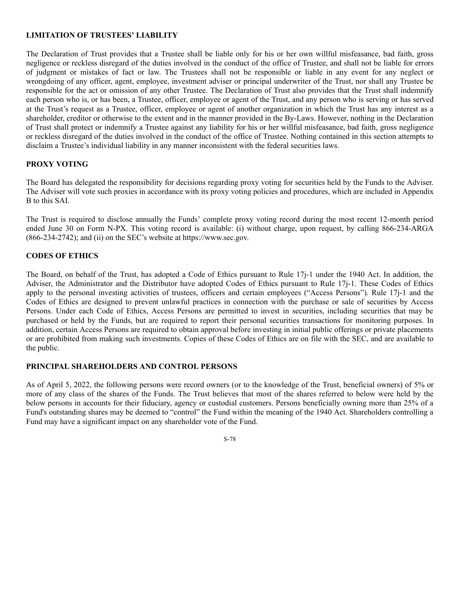# **LIMITATION OF TRUSTEES' LIABILITY**

The Declaration of Trust provides that a Trustee shall be liable only for his or her own willful misfeasance, bad faith, gross negligence or reckless disregard of the duties involved in the conduct of the office of Trustee, and shall not be liable for errors of judgment or mistakes of fact or law. The Trustees shall not be responsible or liable in any event for any neglect or wrongdoing of any officer, agent, employee, investment adviser or principal underwriter of the Trust, nor shall any Trustee be responsible for the act or omission of any other Trustee. The Declaration of Trust also provides that the Trust shall indemnify each person who is, or has been, a Trustee, officer, employee or agent of the Trust, and any person who is serving or has served at the Trust's request as a Trustee, officer, employee or agent of another organization in which the Trust has any interest as a shareholder, creditor or otherwise to the extent and in the manner provided in the By-Laws. However, nothing in the Declaration of Trust shall protect or indemnify a Trustee against any liability for his or her willful misfeasance, bad faith, gross negligence or reckless disregard of the duties involved in the conduct of the office of Trustee. Nothing contained in this section attempts to disclaim a Trustee's individual liability in any manner inconsistent with the federal securities laws.

# **PROXY VOTING**

The Board has delegated the responsibility for decisions regarding proxy voting for securities held by the Funds to the Adviser. The Adviser will vote such proxies in accordance with its proxy voting policies and procedures, which are included in Appendix B to this SAI.

The Trust is required to disclose annually the Funds' complete proxy voting record during the most recent 12-month period ended June 30 on Form N-PX. This voting record is available: (i) without charge, upon request, by calling 866-234-ARGA (866-234-2742); and (ii) on the SEC's website at https://www.sec.gov.

# **CODES OF ETHICS**

The Board, on behalf of the Trust, has adopted a Code of Ethics pursuant to Rule 17j-1 under the 1940 Act. In addition, the Adviser, the Administrator and the Distributor have adopted Codes of Ethics pursuant to Rule 17j-1. These Codes of Ethics apply to the personal investing activities of trustees, officers and certain employees ("Access Persons"). Rule 17j-1 and the Codes of Ethics are designed to prevent unlawful practices in connection with the purchase or sale of securities by Access Persons. Under each Code of Ethics, Access Persons are permitted to invest in securities, including securities that may be purchased or held by the Funds, but are required to report their personal securities transactions for monitoring purposes. In addition, certain Access Persons are required to obtain approval before investing in initial public offerings or private placements or are prohibited from making such investments. Copies of these Codes of Ethics are on file with the SEC, and are available to the public.

#### **PRINCIPAL SHAREHOLDERS AND CONTROL PERSONS**

As of April 5, 2022, the following persons were record owners (or to the knowledge of the Trust, beneficial owners) of 5% or more of any class of the shares of the Funds. The Trust believes that most of the shares referred to below were held by the below persons in accounts for their fiduciary, agency or custodial customers. Persons beneficially owning more than 25% of a Fund's outstanding shares may be deemed to "control" the Fund within the meaning of the 1940 Act. Shareholders controlling a Fund may have a significant impact on any shareholder vote of the Fund.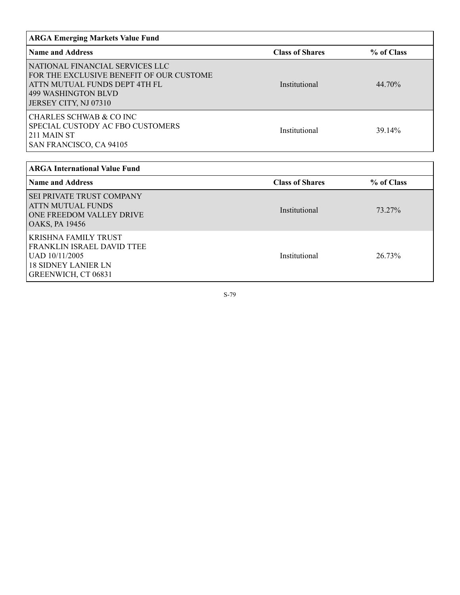| <b>ARGA Emerging Markets Value Fund</b>                                                                                                                             |                        |            |  |  |
|---------------------------------------------------------------------------------------------------------------------------------------------------------------------|------------------------|------------|--|--|
| <b>Name and Address</b>                                                                                                                                             | <b>Class of Shares</b> | % of Class |  |  |
| NATIONAL FINANCIAL SERVICES LLC<br>FOR THE EXCLUSIVE BENEFIT OF OUR CUSTOME<br>ATTN MUTUAL FUNDS DEPT 4TH FL<br><b>499 WASHINGTON BLVD</b><br>JERSEY CITY, NJ 07310 | Institutional          | 44.70%     |  |  |
| CHARLES SCHWAB & CO INC<br>SPECIAL CUSTODY AC FBO CUSTOMERS<br>211 MAIN ST<br>SAN FRANCISCO, CA 94105                                                               | Institutional          | 39.14%     |  |  |
| <b>ARGA International Value Fund</b>                                                                                                                                |                        |            |  |  |
| <b>Name and Address</b>                                                                                                                                             | <b>Class of Shares</b> | % of Class |  |  |
| SEI PRIVATE TRUST COMPANY<br><b>ATTN MUTUAL FUNDS</b><br>ONE FREEDOM VALLEY DRIVE<br>OAKS, PA 19456                                                                 | Institutional          | 73.27%     |  |  |
| KRISHNA FAMILY TRUST<br>FRANKLIN ISRAEL DAVID TTEE<br>UAD 10/11/2005<br><b>18 SIDNEY LANIER LN</b><br>GREENWICH, CT 06831                                           | Institutional          | 26.73%     |  |  |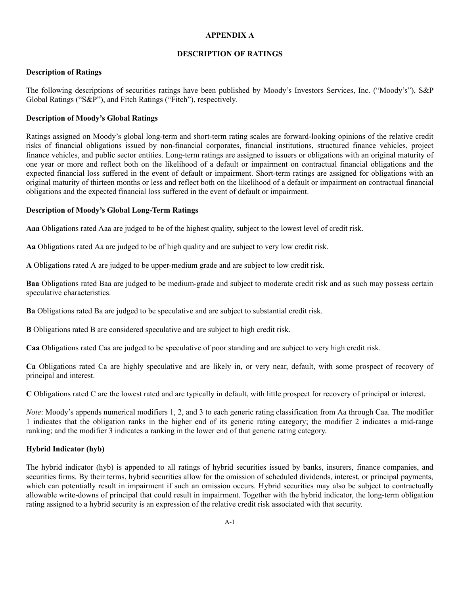#### **APPENDIX A**

#### **DESCRIPTION OF RATINGS**

#### **Description of Ratings**

The following descriptions of securities ratings have been published by Moody's Investors Services, Inc. ("Moody's"), S&P Global Ratings ("S&P"), and Fitch Ratings ("Fitch"), respectively.

#### **Description of Moody's Global Ratings**

Ratings assigned on Moody's global long-term and short-term rating scales are forward-looking opinions of the relative credit risks of financial obligations issued by non-financial corporates, financial institutions, structured finance vehicles, project finance vehicles, and public sector entities. Long-term ratings are assigned to issuers or obligations with an original maturity of one year or more and reflect both on the likelihood of a default or impairment on contractual financial obligations and the expected financial loss suffered in the event of default or impairment. Short-term ratings are assigned for obligations with an original maturity of thirteen months or less and reflect both on the likelihood of a default or impairment on contractual financial obligations and the expected financial loss suffered in the event of default or impairment.

#### **Description of Moody's Global Long-Term Ratings**

**Aaa** Obligations rated Aaa are judged to be of the highest quality, subject to the lowest level of credit risk.

**Aa** Obligations rated Aa are judged to be of high quality and are subject to very low credit risk.

**A** Obligations rated A are judged to be upper-medium grade and are subject to low credit risk.

**Baa** Obligations rated Baa are judged to be medium-grade and subject to moderate credit risk and as such may possess certain speculative characteristics.

**Ba** Obligations rated Ba are judged to be speculative and are subject to substantial credit risk.

**B** Obligations rated B are considered speculative and are subject to high credit risk.

**Caa** Obligations rated Caa are judged to be speculative of poor standing and are subject to very high credit risk.

**Ca** Obligations rated Ca are highly speculative and are likely in, or very near, default, with some prospect of recovery of principal and interest.

**C** Obligations rated C are the lowest rated and are typically in default, with little prospect for recovery of principal or interest.

*Note*: Moody's appends numerical modifiers 1, 2, and 3 to each generic rating classification from Aa through Caa. The modifier 1 indicates that the obligation ranks in the higher end of its generic rating category; the modifier 2 indicates a mid-range ranking; and the modifier 3 indicates a ranking in the lower end of that generic rating category.

#### **Hybrid Indicator (hyb)**

The hybrid indicator (hyb) is appended to all ratings of hybrid securities issued by banks, insurers, finance companies, and securities firms. By their terms, hybrid securities allow for the omission of scheduled dividends, interest, or principal payments, which can potentially result in impairment if such an omission occurs. Hybrid securities may also be subject to contractually allowable write-downs of principal that could result in impairment. Together with the hybrid indicator, the long-term obligation rating assigned to a hybrid security is an expression of the relative credit risk associated with that security.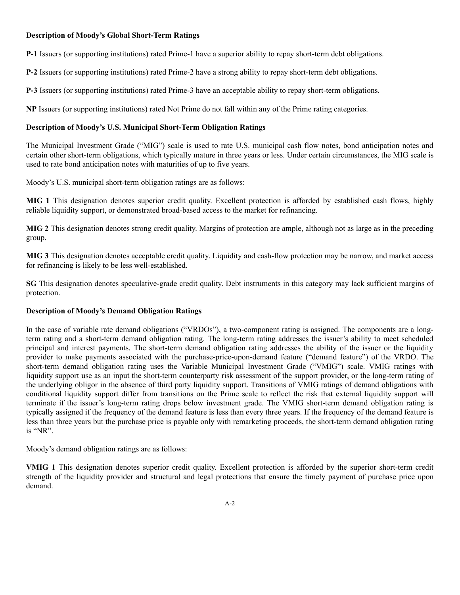# **Description of Moody's Global Short-Term Ratings**

**P-1** Issuers (or supporting institutions) rated Prime-1 have a superior ability to repay short-term debt obligations.

**P-2** Issuers (or supporting institutions) rated Prime-2 have a strong ability to repay short-term debt obligations.

**P-3** Issuers (or supporting institutions) rated Prime-3 have an acceptable ability to repay short-term obligations.

**NP** Issuers (or supporting institutions) rated Not Prime do not fall within any of the Prime rating categories.

### **Description of Moody's U.S. Municipal Short-Term Obligation Ratings**

The Municipal Investment Grade ("MIG") scale is used to rate U.S. municipal cash flow notes, bond anticipation notes and certain other short-term obligations, which typically mature in three years or less. Under certain circumstances, the MIG scale is used to rate bond anticipation notes with maturities of up to five years.

Moody's U.S. municipal short-term obligation ratings are as follows:

**MIG 1** This designation denotes superior credit quality. Excellent protection is afforded by established cash flows, highly reliable liquidity support, or demonstrated broad-based access to the market for refinancing.

**MIG 2** This designation denotes strong credit quality. Margins of protection are ample, although not as large as in the preceding group.

**MIG 3** This designation denotes acceptable credit quality. Liquidity and cash-flow protection may be narrow, and market access for refinancing is likely to be less well-established.

**SG** This designation denotes speculative-grade credit quality. Debt instruments in this category may lack sufficient margins of protection.

#### **Description of Moody's Demand Obligation Ratings**

In the case of variable rate demand obligations ("VRDOs"), a two-component rating is assigned. The components are a longterm rating and a short-term demand obligation rating. The long-term rating addresses the issuer's ability to meet scheduled principal and interest payments. The short-term demand obligation rating addresses the ability of the issuer or the liquidity provider to make payments associated with the purchase-price-upon-demand feature ("demand feature") of the VRDO. The short-term demand obligation rating uses the Variable Municipal Investment Grade ("VMIG") scale. VMIG ratings with liquidity support use as an input the short-term counterparty risk assessment of the support provider, or the long-term rating of the underlying obligor in the absence of third party liquidity support. Transitions of VMIG ratings of demand obligations with conditional liquidity support differ from transitions on the Prime scale to reflect the risk that external liquidity support will terminate if the issuer's long-term rating drops below investment grade. The VMIG short-term demand obligation rating is typically assigned if the frequency of the demand feature is less than every three years. If the frequency of the demand feature is less than three years but the purchase price is payable only with remarketing proceeds, the short-term demand obligation rating is "NR".

Moody's demand obligation ratings are as follows:

**VMIG 1** This designation denotes superior credit quality. Excellent protection is afforded by the superior short-term credit strength of the liquidity provider and structural and legal protections that ensure the timely payment of purchase price upon demand.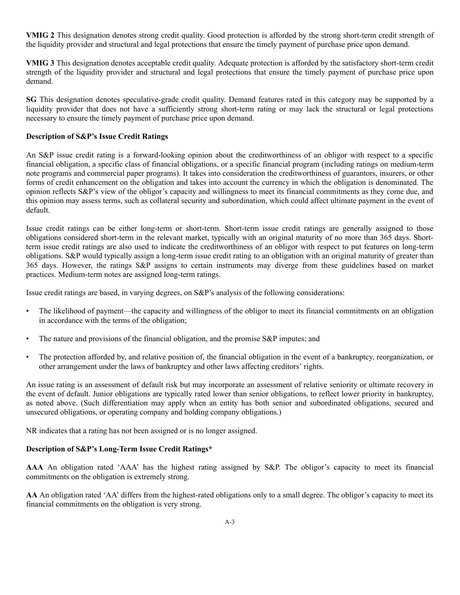**VMIG 2** This designation denotes strong credit quality. Good protection is afforded by the strong short-term credit strength of the liquidity provider and structural and legal protections that ensure the timely payment of purchase price upon demand.

**VMIG 3** This designation denotes acceptable credit quality. Adequate protection is afforded by the satisfactory short-term credit strength of the liquidity provider and structural and legal protections that ensure the timely payment of purchase price upon demand.

**SG** This designation denotes speculative-grade credit quality. Demand features rated in this category may be supported by a liquidity provider that does not have a sufficiently strong short-term rating or may lack the structural or legal protections necessary to ensure the timely payment of purchase price upon demand.

#### **Description of S&P's Issue Credit Ratings**

An S&P issue credit rating is a forward-looking opinion about the creditworthiness of an obligor with respect to a specific financial obligation, a specific class of financial obligations, or a specific financial program (including ratings on medium-term note programs and commercial paper programs). It takes into consideration the creditworthiness of guarantors, insurers, or other forms of credit enhancement on the obligation and takes into account the currency in which the obligation is denominated. The opinion reflects S&P's view of the obligor's capacity and willingness to meet its financial commitments as they come due, and this opinion may assess terms, such as collateral security and subordination, which could affect ultimate payment in the event of default.

Issue credit ratings can be either long-term or short-term. Short-term issue credit ratings are generally assigned to those obligations considered short-term in the relevant market, typically with an original maturity of no more than 365 days. Shortterm issue credit ratings are also used to indicate the creditworthiness of an obligor with respect to put features on long-term obligations. S&P would typically assign a long-term issue credit rating to an obligation with an original maturity of greater than 365 days. However, the ratings S&P assigns to certain instruments may diverge from these guidelines based on market practices. Medium-term notes are assigned long-term ratings.

Issue credit ratings are based, in varying degrees, on S&P's analysis of the following considerations:

- The likelihood of payment—the capacity and willingness of the obligor to meet its financial commitments on an obligation in accordance with the terms of the obligation;
- The nature and provisions of the financial obligation, and the promise S&P imputes; and
- The protection afforded by, and relative position of, the financial obligation in the event of a bankruptcy, reorganization, or other arrangement under the laws of bankruptcy and other laws affecting creditors' rights.

An issue rating is an assessment of default risk but may incorporate an assessment of relative seniority or ultimate recovery in the event of default. Junior obligations are typically rated lower than senior obligations, to reflect lower priority in bankruptcy, as noted above. (Such differentiation may apply when an entity has both senior and subordinated obligations, secured and unsecured obligations, or operating company and holding company obligations.)

NR indicates that a rating has not been assigned or is no longer assigned.

#### **Description of S&P's Long-Term Issue Credit Ratings\***

**AAA** An obligation rated 'AAA' has the highest rating assigned by S&P. The obligor's capacity to meet its financial commitments on the obligation is extremely strong.

**AA** An obligation rated 'AA' differs from the highest-rated obligations only to a small degree. The obligor's capacity to meet its financial commitments on the obligation is very strong.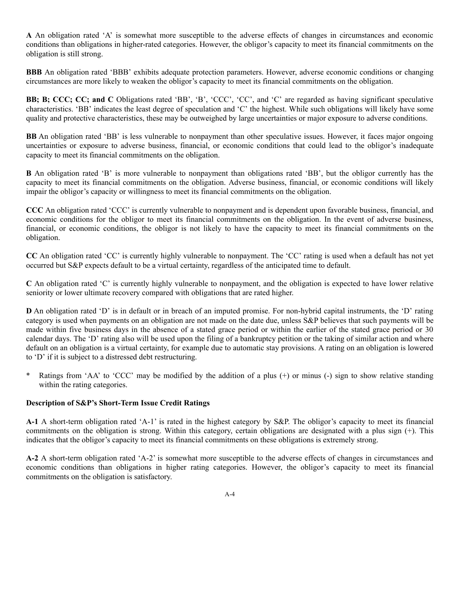**A** An obligation rated 'A' is somewhat more susceptible to the adverse effects of changes in circumstances and economic conditions than obligations in higher-rated categories. However, the obligor's capacity to meet its financial commitments on the obligation is still strong.

**BBB** An obligation rated 'BBB' exhibits adequate protection parameters. However, adverse economic conditions or changing circumstances are more likely to weaken the obligor's capacity to meet its financial commitments on the obligation.

**BB; B; CCC; CC; and C** Obligations rated 'BB', 'B', 'CCC', 'CC', and 'C' are regarded as having significant speculative characteristics. 'BB' indicates the least degree of speculation and 'C' the highest. While such obligations will likely have some quality and protective characteristics, these may be outweighed by large uncertainties or major exposure to adverse conditions.

**BB** An obligation rated 'BB' is less vulnerable to nonpayment than other speculative issues. However, it faces major ongoing uncertainties or exposure to adverse business, financial, or economic conditions that could lead to the obligor's inadequate capacity to meet its financial commitments on the obligation.

**B** An obligation rated 'B' is more vulnerable to nonpayment than obligations rated 'BB', but the obligor currently has the capacity to meet its financial commitments on the obligation. Adverse business, financial, or economic conditions will likely impair the obligor's capacity or willingness to meet its financial commitments on the obligation.

**CCC** An obligation rated 'CCC' is currently vulnerable to nonpayment and is dependent upon favorable business, financial, and economic conditions for the obligor to meet its financial commitments on the obligation. In the event of adverse business, financial, or economic conditions, the obligor is not likely to have the capacity to meet its financial commitments on the obligation.

**CC** An obligation rated 'CC' is currently highly vulnerable to nonpayment. The 'CC' rating is used when a default has not yet occurred but S&P expects default to be a virtual certainty, regardless of the anticipated time to default.

**C** An obligation rated 'C' is currently highly vulnerable to nonpayment, and the obligation is expected to have lower relative seniority or lower ultimate recovery compared with obligations that are rated higher.

**D** An obligation rated 'D' is in default or in breach of an imputed promise. For non-hybrid capital instruments, the 'D' rating category is used when payments on an obligation are not made on the date due, unless S&P believes that such payments will be made within five business days in the absence of a stated grace period or within the earlier of the stated grace period or 30 calendar days. The 'D' rating also will be used upon the filing of a bankruptcy petition or the taking of similar action and where default on an obligation is a virtual certainty, for example due to automatic stay provisions. A rating on an obligation is lowered to 'D' if it is subject to a distressed debt restructuring.

\* Ratings from 'AA' to 'CCC' may be modified by the addition of a plus (+) or minus (-) sign to show relative standing within the rating categories.

# **Description of S&P's Short-Term Issue Credit Ratings**

**A-1** A short-term obligation rated 'A-1' is rated in the highest category by S&P. The obligor's capacity to meet its financial commitments on the obligation is strong. Within this category, certain obligations are designated with a plus sign (+). This indicates that the obligor's capacity to meet its financial commitments on these obligations is extremely strong.

**A-2** A short-term obligation rated 'A-2' is somewhat more susceptible to the adverse effects of changes in circumstances and economic conditions than obligations in higher rating categories. However, the obligor's capacity to meet its financial commitments on the obligation is satisfactory.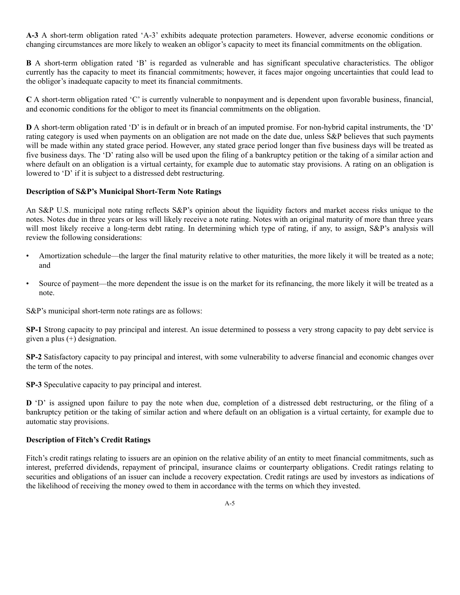**A-3** A short-term obligation rated 'A-3' exhibits adequate protection parameters. However, adverse economic conditions or changing circumstances are more likely to weaken an obligor's capacity to meet its financial commitments on the obligation.

**B** A short-term obligation rated 'B' is regarded as vulnerable and has significant speculative characteristics. The obligor currently has the capacity to meet its financial commitments; however, it faces major ongoing uncertainties that could lead to the obligor's inadequate capacity to meet its financial commitments.

**C** A short-term obligation rated 'C' is currently vulnerable to nonpayment and is dependent upon favorable business, financial, and economic conditions for the obligor to meet its financial commitments on the obligation.

**D** A short-term obligation rated 'D' is in default or in breach of an imputed promise. For non-hybrid capital instruments, the 'D' rating category is used when payments on an obligation are not made on the date due, unless S&P believes that such payments will be made within any stated grace period. However, any stated grace period longer than five business days will be treated as five business days. The 'D' rating also will be used upon the filing of a bankruptcy petition or the taking of a similar action and where default on an obligation is a virtual certainty, for example due to automatic stay provisions. A rating on an obligation is lowered to 'D' if it is subject to a distressed debt restructuring.

#### **Description of S&P's Municipal Short-Term Note Ratings**

An S&P U.S. municipal note rating reflects S&P's opinion about the liquidity factors and market access risks unique to the notes. Notes due in three years or less will likely receive a note rating. Notes with an original maturity of more than three years will most likely receive a long-term debt rating. In determining which type of rating, if any, to assign, S&P's analysis will review the following considerations:

- Amortization schedule—the larger the final maturity relative to other maturities, the more likely it will be treated as a note; and
- Source of payment—the more dependent the issue is on the market for its refinancing, the more likely it will be treated as a note.

S&P's municipal short-term note ratings are as follows:

**SP-1** Strong capacity to pay principal and interest. An issue determined to possess a very strong capacity to pay debt service is given a plus (+) designation.

**SP-2** Satisfactory capacity to pay principal and interest, with some vulnerability to adverse financial and economic changes over the term of the notes.

**SP-3** Speculative capacity to pay principal and interest.

**D** 'D' is assigned upon failure to pay the note when due, completion of a distressed debt restructuring, or the filing of a bankruptcy petition or the taking of similar action and where default on an obligation is a virtual certainty, for example due to automatic stay provisions.

#### **Description of Fitch's Credit Ratings**

Fitch's credit ratings relating to issuers are an opinion on the relative ability of an entity to meet financial commitments, such as interest, preferred dividends, repayment of principal, insurance claims or counterparty obligations. Credit ratings relating to securities and obligations of an issuer can include a recovery expectation. Credit ratings are used by investors as indications of the likelihood of receiving the money owed to them in accordance with the terms on which they invested.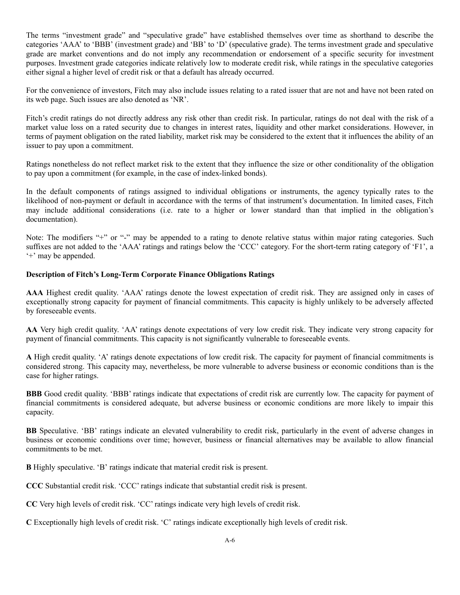The terms "investment grade" and "speculative grade" have established themselves over time as shorthand to describe the categories 'AAA' to 'BBB' (investment grade) and 'BB' to 'D' (speculative grade). The terms investment grade and speculative grade are market conventions and do not imply any recommendation or endorsement of a specific security for investment purposes. Investment grade categories indicate relatively low to moderate credit risk, while ratings in the speculative categories either signal a higher level of credit risk or that a default has already occurred.

For the convenience of investors, Fitch may also include issues relating to a rated issuer that are not and have not been rated on its web page. Such issues are also denoted as 'NR'.

Fitch's credit ratings do not directly address any risk other than credit risk. In particular, ratings do not deal with the risk of a market value loss on a rated security due to changes in interest rates, liquidity and other market considerations. However, in terms of payment obligation on the rated liability, market risk may be considered to the extent that it influences the ability of an issuer to pay upon a commitment.

Ratings nonetheless do not reflect market risk to the extent that they influence the size or other conditionality of the obligation to pay upon a commitment (for example, in the case of index-linked bonds).

In the default components of ratings assigned to individual obligations or instruments, the agency typically rates to the likelihood of non-payment or default in accordance with the terms of that instrument's documentation. In limited cases, Fitch may include additional considerations (i.e. rate to a higher or lower standard than that implied in the obligation's documentation).

Note: The modifiers "+" or "-" may be appended to a rating to denote relative status within major rating categories. Such suffixes are not added to the 'AAA' ratings and ratings below the 'CCC' category. For the short-term rating category of 'F1', a '+' may be appended.

#### **Description of Fitch's Long-Term Corporate Finance Obligations Ratings**

**AAA** Highest credit quality. 'AAA' ratings denote the lowest expectation of credit risk. They are assigned only in cases of exceptionally strong capacity for payment of financial commitments. This capacity is highly unlikely to be adversely affected by foreseeable events.

**AA** Very high credit quality. 'AA' ratings denote expectations of very low credit risk. They indicate very strong capacity for payment of financial commitments. This capacity is not significantly vulnerable to foreseeable events.

**A** High credit quality. 'A' ratings denote expectations of low credit risk. The capacity for payment of financial commitments is considered strong. This capacity may, nevertheless, be more vulnerable to adverse business or economic conditions than is the case for higher ratings.

**BBB** Good credit quality. 'BBB' ratings indicate that expectations of credit risk are currently low. The capacity for payment of financial commitments is considered adequate, but adverse business or economic conditions are more likely to impair this capacity.

**BB** Speculative. 'BB' ratings indicate an elevated vulnerability to credit risk, particularly in the event of adverse changes in business or economic conditions over time; however, business or financial alternatives may be available to allow financial commitments to be met.

**B** Highly speculative. 'B' ratings indicate that material credit risk is present.

**CCC** Substantial credit risk. 'CCC' ratings indicate that substantial credit risk is present.

**CC** Very high levels of credit risk. 'CC' ratings indicate very high levels of credit risk.

**C** Exceptionally high levels of credit risk. 'C' ratings indicate exceptionally high levels of credit risk.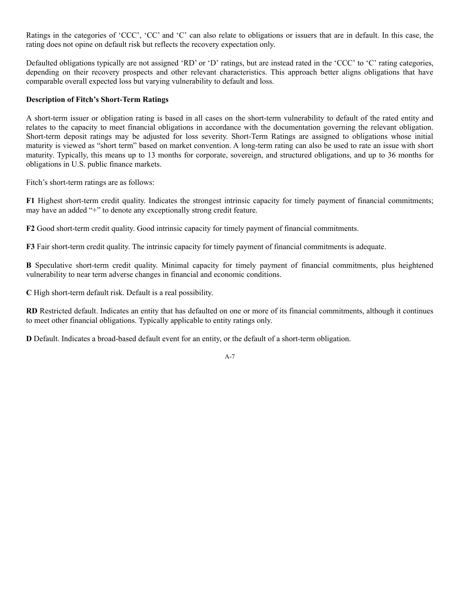Ratings in the categories of 'CCC', 'CC' and 'C' can also relate to obligations or issuers that are in default. In this case, the rating does not opine on default risk but reflects the recovery expectation only.

Defaulted obligations typically are not assigned 'RD' or 'D' ratings, but are instead rated in the 'CCC' to 'C' rating categories, depending on their recovery prospects and other relevant characteristics. This approach better aligns obligations that have comparable overall expected loss but varying vulnerability to default and loss.

#### **Description of Fitch's Short-Term Ratings**

A short-term issuer or obligation rating is based in all cases on the short-term vulnerability to default of the rated entity and relates to the capacity to meet financial obligations in accordance with the documentation governing the relevant obligation. Short-term deposit ratings may be adjusted for loss severity. Short-Term Ratings are assigned to obligations whose initial maturity is viewed as "short term" based on market convention. A long-term rating can also be used to rate an issue with short maturity. Typically, this means up to 13 months for corporate, sovereign, and structured obligations, and up to 36 months for obligations in U.S. public finance markets.

Fitch's short-term ratings are as follows:

**F1** Highest short-term credit quality. Indicates the strongest intrinsic capacity for timely payment of financial commitments; may have an added "+" to denote any exceptionally strong credit feature.

**F2** Good short-term credit quality. Good intrinsic capacity for timely payment of financial commitments.

**F3** Fair short-term credit quality. The intrinsic capacity for timely payment of financial commitments is adequate.

**B** Speculative short-term credit quality. Minimal capacity for timely payment of financial commitments, plus heightened vulnerability to near term adverse changes in financial and economic conditions.

**C** High short-term default risk. Default is a real possibility.

**RD** Restricted default. Indicates an entity that has defaulted on one or more of its financial commitments, although it continues to meet other financial obligations. Typically applicable to entity ratings only.

**D** Default. Indicates a broad-based default event for an entity, or the default of a short-term obligation.

A-7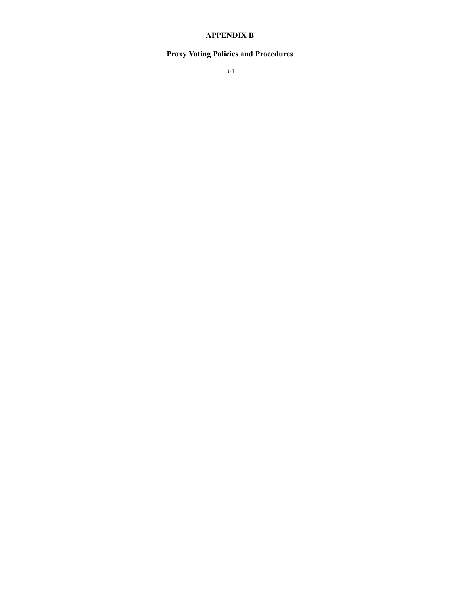# **APPENDIX B**

# **Proxy Voting Policies and Procedures**

B-1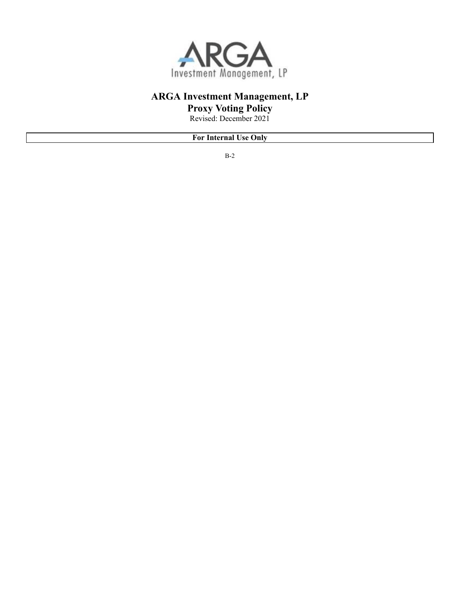

# **ARGA Investment Management, LP**

**Proxy Voting Policy**

Revised: December 2021

**For Internal Use Only**

B-2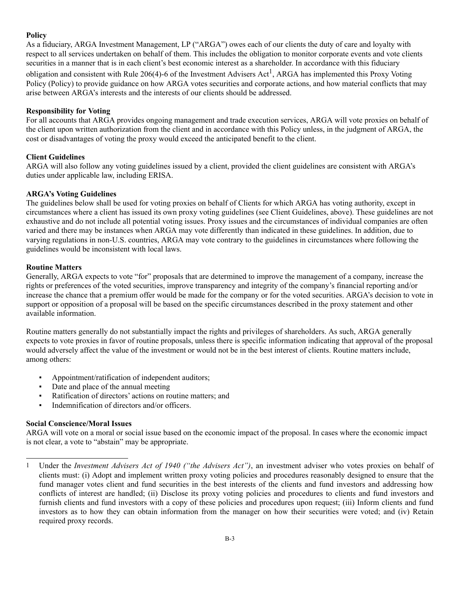# **Policy**

As a fiduciary, ARGA Investment Management, LP ("ARGA") owes each of our clients the duty of care and loyalty with respect to all services undertaken on behalf of them. This includes the obligation to monitor corporate events and vote clients securities in a manner that is in each client's best economic interest as a shareholder. In accordance with this fiduciary obligation and consistent with Rule 206(4)-6 of the Investment Advisers Act<sup>1</sup>, ARGA has implemented this Proxy Voting Policy (Policy) to provide guidance on how ARGA votes securities and corporate actions, and how material conflicts that may arise between ARGA's interests and the interests of our clients should be addressed.

#### **Responsibility for Voting**

For all accounts that ARGA provides ongoing management and trade execution services, ARGA will vote proxies on behalf of the client upon written authorization from the client and in accordance with this Policy unless, in the judgment of ARGA, the cost or disadvantages of voting the proxy would exceed the anticipated benefit to the client.

### **Client Guidelines**

ARGA will also follow any voting guidelines issued by a client, provided the client guidelines are consistent with ARGA's duties under applicable law, including ERISA.

### **ARGA's Voting Guidelines**

The guidelines below shall be used for voting proxies on behalf of Clients for which ARGA has voting authority, except in circumstances where a client has issued its own proxy voting guidelines (see Client Guidelines, above). These guidelines are not exhaustive and do not include all potential voting issues. Proxy issues and the circumstances of individual companies are often varied and there may be instances when ARGA may vote differently than indicated in these guidelines. In addition, due to varying regulations in non-U.S. countries, ARGA may vote contrary to the guidelines in circumstances where following the guidelines would be inconsistent with local laws.

### **Routine Matters**

Generally, ARGA expects to vote "for" proposals that are determined to improve the management of a company, increase the rights or preferences of the voted securities, improve transparency and integrity of the company's financial reporting and/or increase the chance that a premium offer would be made for the company or for the voted securities. ARGA's decision to vote in support or opposition of a proposal will be based on the specific circumstances described in the proxy statement and other available information.

Routine matters generally do not substantially impact the rights and privileges of shareholders. As such, ARGA generally expects to vote proxies in favor of routine proposals, unless there is specific information indicating that approval of the proposal would adversely affect the value of the investment or would not be in the best interest of clients. Routine matters include, among others:

- Appointment/ratification of independent auditors;
- Date and place of the annual meeting
- Ratification of directors' actions on routine matters; and
- Indemnification of directors and/or officers.

# **Social Conscience/Moral Issues**

ARGA will vote on a moral or social issue based on the economic impact of the proposal. In cases where the economic impact is not clear, a vote to "abstain" may be appropriate.

<sup>1</sup> Under the *Investment Advisers Act of 1940 ("the Advisers Act")*, an investment adviser who votes proxies on behalf of clients must: (i) Adopt and implement written proxy voting policies and procedures reasonably designed to ensure that the fund manager votes client and fund securities in the best interests of the clients and fund investors and addressing how conflicts of interest are handled; (ii) Disclose its proxy voting policies and procedures to clients and fund investors and furnish clients and fund investors with a copy of these policies and procedures upon request; (iii) Inform clients and fund investors as to how they can obtain information from the manager on how their securities were voted; and (iv) Retain required proxy records.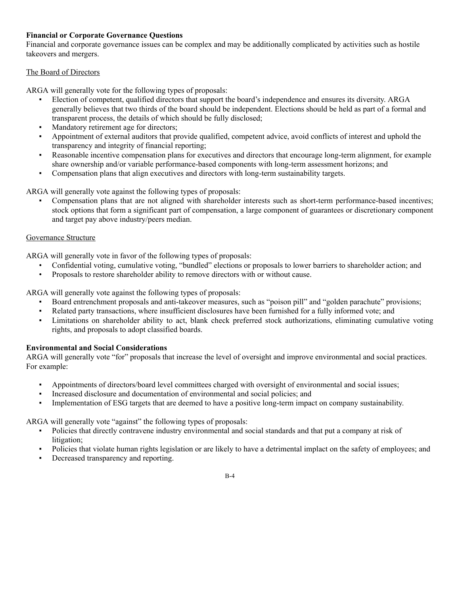# **Financial or Corporate Governance Questions**

Financial and corporate governance issues can be complex and may be additionally complicated by activities such as hostile takeovers and mergers.

# The Board of Directors

ARGA will generally vote for the following types of proposals:

- Election of competent, qualified directors that support the board's independence and ensures its diversity. ARGA generally believes that two thirds of the board should be independent. Elections should be held as part of a formal and transparent process, the details of which should be fully disclosed;
- Mandatory retirement age for directors:
- Appointment of external auditors that provide qualified, competent advice, avoid conflicts of interest and uphold the transparency and integrity of financial reporting;
- Reasonable incentive compensation plans for executives and directors that encourage long-term alignment, for example share ownership and/or variable performance-based components with long-term assessment horizons; and
- Compensation plans that align executives and directors with long-term sustainability targets.

ARGA will generally vote against the following types of proposals:

Compensation plans that are not aligned with shareholder interests such as short-term performance-based incentives; stock options that form a significant part of compensation, a large component of guarantees or discretionary component and target pay above industry/peers median.

### Governance Structure

ARGA will generally vote in favor of the following types of proposals:

- Confidential voting, cumulative voting, "bundled" elections or proposals to lower barriers to shareholder action; and
- Proposals to restore shareholder ability to remove directors with or without cause.

ARGA will generally vote against the following types of proposals:

- Board entrenchment proposals and anti-takeover measures, such as "poison pill" and "golden parachute" provisions;
- Related party transactions, where insufficient disclosures have been furnished for a fully informed vote; and
- Limitations on shareholder ability to act, blank check preferred stock authorizations, eliminating cumulative voting rights, and proposals to adopt classified boards.

# **Environmental and Social Considerations**

ARGA will generally vote "for" proposals that increase the level of oversight and improve environmental and social practices. For example:

- Appointments of directors/board level committees charged with oversight of environmental and social issues;
- Increased disclosure and documentation of environmental and social policies; and
- Implementation of ESG targets that are deemed to have a positive long-term impact on company sustainability.

ARGA will generally vote "against" the following types of proposals:

- Policies that directly contravene industry environmental and social standards and that put a company at risk of litigation:
- Policies that violate human rights legislation or are likely to have a detrimental implact on the safety of employees; and
- Decreased transparency and reporting.

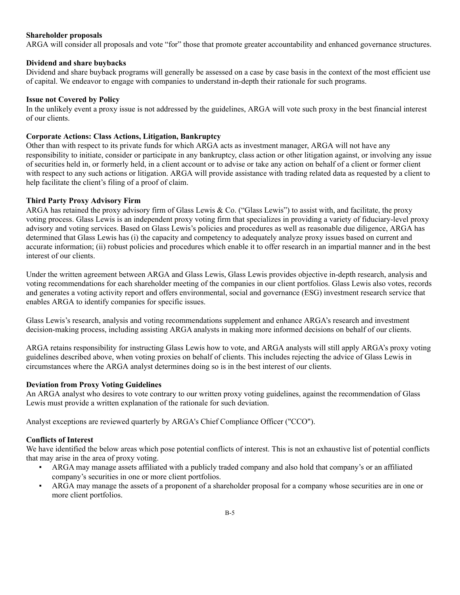### **Shareholder proposals**

ARGA will consider all proposals and vote "for" those that promote greater accountability and enhanced governance structures.

### **Dividend and share buybacks**

Dividend and share buyback programs will generally be assessed on a case by case basis in the context of the most efficient use of capital. We endeavor to engage with companies to understand in-depth their rationale for such programs.

## **Issue not Covered by Policy**

In the unlikely event a proxy issue is not addressed by the guidelines, ARGA will vote such proxy in the best financial interest of our clients.

# **Corporate Actions: Class Actions, Litigation, Bankruptcy**

Other than with respect to its private funds for which ARGA acts as investment manager, ARGA will not have any responsibility to initiate, consider or participate in any bankruptcy, class action or other litigation against, or involving any issue of securities held in, or formerly held, in a client account or to advise or take any action on behalf of a client or former client with respect to any such actions or litigation. ARGA will provide assistance with trading related data as requested by a client to help facilitate the client's filing of a proof of claim.

# **Third Party Proxy Advisory Firm**

ARGA has retained the proxy advisory firm of Glass Lewis & Co. ("Glass Lewis") to assist with, and facilitate, the proxy voting process. Glass Lewis is an independent proxy voting firm that specializes in providing a variety of fiduciary-level proxy advisory and voting services. Based on Glass Lewis's policies and procedures as well as reasonable due diligence, ARGA has determined that Glass Lewis has (i) the capacity and competency to adequately analyze proxy issues based on current and accurate information; (ii) robust policies and procedures which enable it to offer research in an impartial manner and in the best interest of our clients.

Under the written agreement between ARGA and Glass Lewis, Glass Lewis provides objective in-depth research, analysis and voting recommendations for each shareholder meeting of the companies in our client portfolios. Glass Lewis also votes, records and generates a voting activity report and offers environmental, social and governance (ESG) investment research service that enables ARGA to identify companies for specific issues.

Glass Lewis's research, analysis and voting recommendations supplement and enhance ARGA's research and investment decision-making process, including assisting ARGA analysts in making more informed decisions on behalf of our clients.

ARGA retains responsibility for instructing Glass Lewis how to vote, and ARGA analysts will still apply ARGA's proxy voting guidelines described above, when voting proxies on behalf of clients. This includes rejecting the advice of Glass Lewis in circumstances where the ARGA analyst determines doing so is in the best interest of our clients.

#### **Deviation from Proxy Voting Guidelines**

An ARGA analyst who desires to vote contrary to our written proxy voting guidelines, against the recommendation of Glass Lewis must provide a written explanation of the rationale for such deviation.

Analyst exceptions are reviewed quarterly by ARGA's Chief Compliance Officer ("CCO").

# **Conflicts of Interest**

We have identified the below areas which pose potential conflicts of interest. This is not an exhaustive list of potential conflicts that may arise in the area of proxy voting.

- ARGA may manage assets affiliated with a publicly traded company and also hold that company's or an affiliated company's securities in one or more client portfolios.
- ARGA may manage the assets of a proponent of a shareholder proposal for a company whose securities are in one or more client portfolios.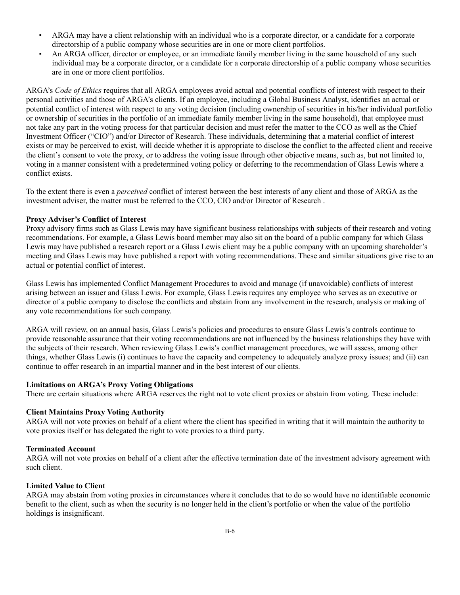- ARGA may have a client relationship with an individual who is a corporate director, or a candidate for a corporate directorship of a public company whose securities are in one or more client portfolios.
- An ARGA officer, director or employee, or an immediate family member living in the same household of any such individual may be a corporate director, or a candidate for a corporate directorship of a public company whose securities are in one or more client portfolios.

ARGA's *Code of Ethics* requires that all ARGA employees avoid actual and potential conflicts of interest with respect to their personal activities and those of ARGA's clients. If an employee, including a Global Business Analyst, identifies an actual or potential conflict of interest with respect to any voting decision (including ownership of securities in his/her individual portfolio or ownership of securities in the portfolio of an immediate family member living in the same household), that employee must not take any part in the voting process for that particular decision and must refer the matter to the CCO as well as the Chief Investment Officer ("CIO") and/or Director of Research. These individuals, determining that a material conflict of interest exists or may be perceived to exist, will decide whether it is appropriate to disclose the conflict to the affected client and receive the client's consent to vote the proxy, or to address the voting issue through other objective means, such as, but not limited to, voting in a manner consistent with a predetermined voting policy or deferring to the recommendation of Glass Lewis where a conflict exists.

To the extent there is even a *perceived* conflict of interest between the best interests of any client and those of ARGA as the investment adviser, the matter must be referred to the CCO, CIO and/or Director of Research .

### **Proxy Adviser's Conflict of Interest**

Proxy advisory firms such as Glass Lewis may have significant business relationships with subjects of their research and voting recommendations. For example, a Glass Lewis board member may also sit on the board of a public company for which Glass Lewis may have published a research report or a Glass Lewis client may be a public company with an upcoming shareholder's meeting and Glass Lewis may have published a report with voting recommendations. These and similar situations give rise to an actual or potential conflict of interest.

Glass Lewis has implemented Conflict Management Procedures to avoid and manage (if unavoidable) conflicts of interest arising between an issuer and Glass Lewis. For example, Glass Lewis requires any employee who serves as an executive or director of a public company to disclose the conflicts and abstain from any involvement in the research, analysis or making of any vote recommendations for such company.

ARGA will review, on an annual basis, Glass Lewis's policies and procedures to ensure Glass Lewis's controls continue to provide reasonable assurance that their voting recommendations are not influenced by the business relationships they have with the subjects of their research. When reviewing Glass Lewis's conflict management procedures, we will assess, among other things, whether Glass Lewis (i) continues to have the capacity and competency to adequately analyze proxy issues; and (ii) can continue to offer research in an impartial manner and in the best interest of our clients.

#### **Limitations on ARGA's Proxy Voting Obligations**

There are certain situations where ARGA reserves the right not to vote client proxies or abstain from voting. These include:

#### **Client Maintains Proxy Voting Authority**

ARGA will not vote proxies on behalf of a client where the client has specified in writing that it will maintain the authority to vote proxies itself or has delegated the right to vote proxies to a third party.

#### **Terminated Account**

ARGA will not vote proxies on behalf of a client after the effective termination date of the investment advisory agreement with such client.

### **Limited Value to Client**

ARGA may abstain from voting proxies in circumstances where it concludes that to do so would have no identifiable economic benefit to the client, such as when the security is no longer held in the client's portfolio or when the value of the portfolio holdings is insignificant.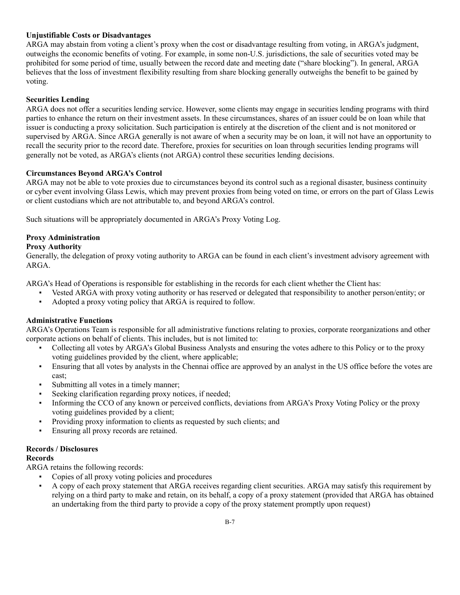# **Unjustifiable Costs or Disadvantages**

ARGA may abstain from voting a client's proxy when the cost or disadvantage resulting from voting, in ARGA's judgment, outweighs the economic benefits of voting. For example, in some non-U.S. jurisdictions, the sale of securities voted may be prohibited for some period of time, usually between the record date and meeting date ("share blocking"). In general, ARGA believes that the loss of investment flexibility resulting from share blocking generally outweighs the benefit to be gained by voting.

### **Securities Lending**

ARGA does not offer a securities lending service. However, some clients may engage in securities lending programs with third parties to enhance the return on their investment assets. In these circumstances, shares of an issuer could be on loan while that issuer is conducting a proxy solicitation. Such participation is entirely at the discretion of the client and is not monitored or supervised by ARGA. Since ARGA generally is not aware of when a security may be on loan, it will not have an opportunity to recall the security prior to the record date. Therefore, proxies for securities on loan through securities lending programs will generally not be voted, as ARGA's clients (not ARGA) control these securities lending decisions.

### **Circumstances Beyond ARGA's Control**

ARGA may not be able to vote proxies due to circumstances beyond its control such as a regional disaster, business continuity or cyber event involving Glass Lewis, which may prevent proxies from being voted on time, or errors on the part of Glass Lewis or client custodians which are not attributable to, and beyond ARGA's control.

Such situations will be appropriately documented in ARGA's Proxy Voting Log.

# **Proxy Administration**

### **Proxy Authority**

Generally, the delegation of proxy voting authority to ARGA can be found in each client's investment advisory agreement with ARGA.

ARGA's Head of Operations is responsible for establishing in the records for each client whether the Client has:

- Vested ARGA with proxy voting authority or has reserved or delegated that responsibility to another person/entity; or
	- Adopted a proxy voting policy that ARGA is required to follow.

# **Administrative Functions**

ARGA's Operations Team is responsible for all administrative functions relating to proxies, corporate reorganizations and other corporate actions on behalf of clients. This includes, but is not limited to:

- Collecting all votes by ARGA's Global Business Analysts and ensuring the votes adhere to this Policy or to the proxy voting guidelines provided by the client, where applicable;
- Ensuring that all votes by analysts in the Chennai office are approved by an analyst in the US office before the votes are cast;
- Submitting all votes in a timely manner;
- Seeking clarification regarding proxy notices, if needed;
- Informing the CCO of any known or perceived conflicts, deviations from ARGA's Proxy Voting Policy or the proxy voting guidelines provided by a client;
- Providing proxy information to clients as requested by such clients; and
- Ensuring all proxy records are retained.

# **Records / Disclosures**

#### **Records**

ARGA retains the following records:

- Copies of all proxy voting policies and procedures
- A copy of each proxy statement that ARGA receives regarding client securities. ARGA may satisfy this requirement by relying on a third party to make and retain, on its behalf, a copy of a proxy statement (provided that ARGA has obtained an undertaking from the third party to provide a copy of the proxy statement promptly upon request)